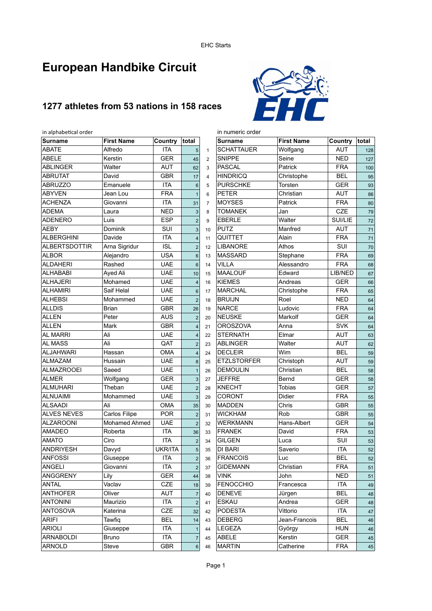# **European Handbike Circuit**

# **1277 athletes from 53 nations in 158 races**



| in alphabetical order    |                      |                          |                                  |                | in numeric order   |                   |            |                 |  |  |
|--------------------------|----------------------|--------------------------|----------------------------------|----------------|--------------------|-------------------|------------|-----------------|--|--|
| <b>Surname</b>           | <b>First Name</b>    | Country                  | total                            |                | <b>Surname</b>     | <b>First Name</b> | Country    | total           |  |  |
| <b>ABATE</b>             | Alfredo              | <b>ITA</b>               | 5                                | $\mathbf{1}$   | <b>SCHATTAUER</b>  | Wolfgang          | AUT        | 128             |  |  |
| <b>ABELE</b>             | Kerstin              | <b>GER</b>               | 45                               | $\overline{2}$ | <b>SNIPPE</b>      | Seine             | <b>NED</b> | 127             |  |  |
| <b>ABLINGER</b>          | Walter               | <b>AUT</b>               | 62                               | 3              | <b>PASCAL</b>      | Patrick           | <b>FRA</b> | 10 <sub>C</sub> |  |  |
| <b>ABRUTAT</b>           | David                | <b>GBR</b>               | 17                               | $\overline{4}$ | <b>HINDRICQ</b>    | Christophe        | <b>BEL</b> | 95              |  |  |
| <b>ABRUZZO</b>           | Emanuele             | <b>ITA</b>               | 6                                | 5              | <b>PURSCHKE</b>    | Torsten           | <b>GER</b> | 93              |  |  |
| <b>ABYVEN</b>            | Jean Lou             | <b>FRA</b>               | $\mathbf{1}$                     | 6              | <b>PETER</b>       | Christian         | <b>AUT</b> | 86              |  |  |
| <b>ACHENZA</b>           | Giovanni             | <b>ITA</b>               | 31                               | $\overline{7}$ | <b>MOYSES</b>      | Patrick           | <b>FRA</b> | 80              |  |  |
| <b>ADEMA</b>             | Laura                | <b>NED</b>               | 3                                | 8              | <b>TOMANEK</b>     | Jan               | CZE        | <b>79</b>       |  |  |
| <b>ADENERO</b>           | Luis                 | <b>ESP</b>               | $\overline{c}$                   | 9              | <b>EBERLE</b>      | Walter            | SUI/LIE    | 72              |  |  |
| <b>AEBY</b>              | Dominik              | SUI                      | 3                                | 10             | <b>PUTZ</b>        | Manfred           | <b>AUT</b> | 71              |  |  |
| <b>ALBERGHINI</b>        | Davide               | <b>ITA</b>               | $\overline{\mathbf{4}}$          | 11             | QUITTET            | Alain             | <b>FRA</b> | 71              |  |  |
| <b>ALBERTSDOTTIR</b>     | Arna Sigridur        | <b>ISL</b>               | $\overline{c}$                   | 12             | <b>LIBANORE</b>    | Athos             | SUI        | 70              |  |  |
| <b>ALBOR</b>             | Alejandro            | <b>USA</b>               | $\,6$                            | 13             | <b>MASSARD</b>     | Stephane          | <b>FRA</b> | 69              |  |  |
| <b>ALDAHERI</b>          | Rashed               | <b>UAE</b>               | $6\phantom{1}$                   | 14             | <b>VILLA</b>       | Alessandro        | <b>FRA</b> | 68              |  |  |
| <b>ALHABABI</b>          | Ayed Ali             | <b>UAE</b>               | 10                               | 15             | <b>MAALOUF</b>     | Edward            | LIB/NED    | 67              |  |  |
| <b>ALHAJERI</b>          | Mohamed              | <b>UAE</b>               | $\overline{\mathbf{4}}$          | 16             | <b>KIEMES</b>      | Andreas           | <b>GER</b> | 66              |  |  |
| <b>ALHAMIRI</b>          | Saif Helal           | <b>UAE</b>               | 6                                | 17             | <b>MARCHAL</b>     | Christophe        | <b>FRA</b> | 65              |  |  |
| <b>ALHEBSI</b>           | Mohammed             | <b>UAE</b>               | $\overline{2}$                   | 18             | <b>BRUIJN</b>      | Roel              | <b>NED</b> | 64              |  |  |
| <b>ALLDIS</b>            | Brian                | <b>GBR</b>               | 26                               | 19             | <b>NARCE</b>       | Ludovic           | <b>FRA</b> | 64              |  |  |
| <b>ALLEN</b>             | Peter                | <b>AUS</b>               | $\overline{c}$                   | 20             | <b>NEUSKE</b>      | Markolf           | <b>GER</b> | 64              |  |  |
| <b>ALLEN</b>             | Mark                 | <b>GBR</b>               | $\overline{\mathbf{4}}$          | 21             | <b>OROSZOVA</b>    | Anna              | <b>SVK</b> | 64              |  |  |
| <b>AL MARRI</b>          | Ali                  | <b>UAE</b>               | $\overline{4}$                   | 22             | <b>STERNATH</b>    | Elmar             | <b>AUT</b> | 63              |  |  |
| AL MASS                  | Ali                  | QAT                      | $\overline{2}$                   | 23             | <b>ABLINGER</b>    | Walter            | <b>AUT</b> | 62              |  |  |
| <b>ALJAHWARI</b>         | Hassan               | <b>OMA</b>               | $\overline{\mathbf{4}}$          | 24             | <b>DECLEIR</b>     | Wim               | <b>BEL</b> | <b>59</b>       |  |  |
| <b>ALMAZAM</b>           | Hussain              | <b>UAE</b>               | 8                                | 25             | <b>ETZLSTORFER</b> | Christoph         | <b>AUT</b> | <b>59</b>       |  |  |
| <b>ALMAZROOEI</b>        | Saeed                | <b>UAE</b>               | $\mathbf{1}$                     | 26             | <b>DEMOULIN</b>    | Christian         | <b>BEL</b> | 58              |  |  |
| <b>ALMER</b>             | Wolfgang             | <b>GER</b>               | 3                                | 27             | <b>JEFFRE</b>      | Bernd             | <b>GER</b> | 58              |  |  |
| <b>ALMUHARI</b>          | Theban               | <b>UAE</b>               | $\overline{2}$                   | 28             | <b>KNECHT</b>      | <b>Tobias</b>     | <b>GER</b> | 57              |  |  |
| <b>ALNUAIMI</b>          | Mohammed             | <b>UAE</b>               | $\mathbf{3}$                     | 29             | <b>CORONT</b>      | Didier            | <b>FRA</b> |                 |  |  |
| <b>ALSAADI</b>           | Ali                  | <b>OMA</b>               | 35                               | 30             | <b>MADDEN</b>      | Chris             | <b>GBR</b> | 55              |  |  |
| <b>ALVES NEVES</b>       | Carlos Filipe        | <b>POR</b>               | $\overline{c}$                   | 31             | <b>WICKHAM</b>     | Rob               | <b>GBR</b> | 55              |  |  |
| <b>ALZAROONI</b>         | <b>Mohamed Ahmed</b> | <b>UAE</b>               |                                  |                | <b>WERKMANN</b>    | Hans-Albert       | <b>GER</b> | 55              |  |  |
| AMADEO                   | Roberta              | <b>ITA</b>               | $\overline{2}$                   | 32             | <b>FRANEK</b>      | David             | <b>FRA</b> | 54              |  |  |
| <b>AMATO</b>             | Ciro                 | <b>ITA</b>               | 36                               | 33             | <b>GILGEN</b>      | Luca              | SUI        | 53              |  |  |
| <b>ANDRIYESH</b>         |                      | UKR/ITA                  | $\overline{c}$<br>$\overline{5}$ | 34             | DI BARI            |                   | <b>ITA</b> | 53              |  |  |
|                          | Davyd                |                          |                                  | 35             |                    | Saverio           |            | 52              |  |  |
| ANFOSSI<br><b>ANGELI</b> | Giuseppe<br>Giovanni | <b>ITA</b><br><b>ITA</b> | $\mathbf{2}$                     | 36             | FRANCOIS           | Luc               | <b>BEL</b> | 52              |  |  |
|                          |                      |                          | $\overline{2}$                   | 37             | <b>GIDEMANN</b>    | Christian         | <b>FRA</b> | 51              |  |  |
| <b>ANGGRENY</b>          | Lily<br>Vaclav       | <b>GER</b>               | 44                               | 38             | <b>VINK</b>        | John              | <b>NED</b> | 51              |  |  |
| <b>ANTAL</b>             |                      | CZE                      | 18                               | 39             | <b>FENOCCHIO</b>   | Francesca         | ITA        | 4S              |  |  |
| <b>ANTHOFER</b>          | Oliver               | <b>AUT</b>               | $\overline{7}$                   | 40             | <b>DENEVE</b>      | Jürgen            | <b>BEL</b> | 48              |  |  |
| <b>ANTONINI</b>          | Maurizio             | ITA                      | $\overline{2}$                   | 41             | <b>ESKAU</b>       | Andrea            | <b>GER</b> | 48              |  |  |
| <b>ANTOSOVA</b>          | Katerina             | CZE                      | 32                               | 42             | <b>PODESTA</b>     | Vittorio          | ITA        | 47              |  |  |
| <b>ARIFI</b>             | Tawfiq               | <b>BEL</b>               | 14                               | 43             | <b>DEBERG</b>      | Jean-Francois     | <b>BEL</b> | 46              |  |  |
| <b>ARIOLI</b>            | Giuseppe             | <b>ITA</b>               | $\mathbf{1}$                     | 44             | <b>LEGEZA</b>      | György            | <b>HUN</b> | 46              |  |  |
| ARNABOLDI                | <b>Bruno</b>         | ITA                      | $\overline{7}$                   | 45             | ABELE              | Kerstin           | <b>GER</b> | 45              |  |  |
| <b>ARNOLD</b>            | Steve                | <b>GBR</b>               | 6                                | 46             | <b>MARTIN</b>      | Catherine         | <b>FRA</b> | 45              |  |  |

| <b>Surname</b>     | <b>First Name</b> | Country    | total |
|--------------------|-------------------|------------|-------|
| <b>SCHATTAUER</b>  | Wolfgang          | <b>AUT</b> | 128   |
| <b>SNIPPE</b>      | Seine             | <b>NED</b> | 127   |
| <b>PASCAL</b>      | Patrick           | <b>FRA</b> | 100   |
| <b>HINDRICQ</b>    | Christophe        | <b>BEL</b> | 95    |
| <b>PURSCHKE</b>    | Torsten           | GER        | 93    |
| <b>PETER</b>       | Christian         | <b>AUT</b> | 86    |
| <b>MOYSES</b>      | Patrick           | <b>FRA</b> | 80    |
| <b>TOMANEK</b>     | Jan               | CZE        | 79    |
| <b>EBERLE</b>      | Walter            | SUI/LIE    | 72    |
| PUTZ               | Manfred           | <b>AUT</b> | 71    |
| QUITTET            | Alain             | <b>FRA</b> | 71    |
| <b>LIBANORE</b>    | Athos             | SUI        | 70    |
| <b>MASSARD</b>     | Stephane          | <b>FRA</b> | 69    |
| <b>VILLA</b>       | Alessandro        | <b>FRA</b> | 68    |
| <b>MAALOUF</b>     | Edward            | LIB/NED    | 67    |
| <b>KIEMES</b>      | Andreas           | <b>GER</b> | 66    |
| <b>MARCHAL</b>     | Christophe        | <b>FRA</b> | 65    |
| <b>BRUIJN</b>      | Roel              | <b>NED</b> | 64    |
| <b>NARCE</b>       | Ludovic           | <b>FRA</b> | 64    |
| <b>NEUSKE</b>      | Markolf           | <b>GER</b> | 64    |
| <b>OROSZOVA</b>    | Anna              | <b>SVK</b> | 64    |
| <b>STERNATH</b>    | Elmar             | <b>AUT</b> | 63    |
| <b>ABLINGER</b>    | Walter            | <b>AUT</b> | 62    |
| <b>DECLEIR</b>     | Wim               | <b>BEL</b> | 59    |
| <b>ETZLSTORFER</b> | Christoph         | <b>AUT</b> | 59    |
| <b>DEMOULIN</b>    | Christian         | <b>BEL</b> | 58    |
| <b>JEFFRE</b>      | Bernd             | <b>GER</b> | 58    |
| <b>KNECHT</b>      | Tobias            | <b>GER</b> | 57    |
| <b>CORONT</b>      | Didier            | <b>FRA</b> | 55    |
| <b>MADDEN</b>      | Chris             | <b>GBR</b> | 55    |
| <b>WICKHAM</b>     | Rob               | <b>GBR</b> | 55    |
| <b>WERKMANN</b>    | Hans-Albert       | <b>GER</b> | 54    |
| <b>FRANEK</b>      | David             | <b>FRA</b> | 53    |
| <b>GILGEN</b>      | Luca              | SUI        | 53    |
| <b>DI BARI</b>     | Saverio           | <b>ITA</b> | 52    |
| <b>FRANCOIS</b>    | Luc               | BEL        | 52    |
| <b>GIDEMANN</b>    | Christian         | <b>FRA</b> | 51    |
| <b>VINK</b>        | John              | NED        | 51    |
| FENOCCHIO          | Francesca         | <b>ITA</b> | 49    |
| <b>DENEVE</b>      | Jürgen            | BEL        | 48    |
| <b>ESKAU</b>       | Andrea            | GER        | 48    |
| <b>PODESTA</b>     | Vittorio          | <b>ITA</b> | 47    |
| <b>DEBERG</b>      | Jean-Francois     | BEL        | 46    |
| LEGEZA             | György            | <b>HUN</b> | 46    |
| ABELE              | Kerstin           | GER        | 45    |
| <b>MARTIN</b>      | Catherine         | <b>FRA</b> | 45    |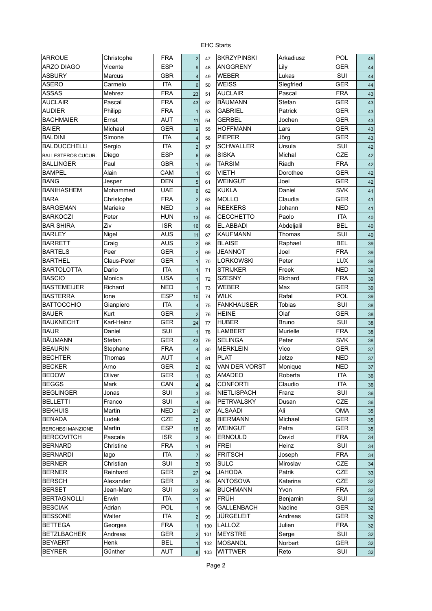| <b>ARROUE</b>             | Christophe         | <b>FRA</b> | $\mathbf 2$             | 47  | <b>SKRZYPINSKI</b> | Arkadiusz          | <b>POL</b> | 45             |
|---------------------------|--------------------|------------|-------------------------|-----|--------------------|--------------------|------------|----------------|
| ARZO DIAGO                | Vicente            | <b>ESP</b> | $9\,$                   | 48  | <b>ANGGRENY</b>    | Lily               | <b>GER</b> | 44             |
| ASBURY                    | <b>Marcus</b>      | <b>GBR</b> | $\overline{\mathbf{4}}$ | 49  | <b>WEBER</b>       | Lukas              | SUI        | 44             |
| ASERO                     | Carmelo            | <b>ITA</b> | $6\phantom{1}$          | 50  | <b>WEISS</b>       | Siegfried          | <b>GER</b> | 44             |
| ASSAS                     | Mehrez             | <b>FRA</b> | 23                      | 51  | <b>AUCLAIR</b>     | Pascal             | <b>FRA</b> | 43             |
| AUCLAIR                   | Pascal             | <b>FRA</b> | 43                      | 52  | <b>BÄUMANN</b>     | Stefan             | <b>GER</b> | 43             |
| AUDIER                    | Philipp            | FRA        | $\mathbf{1}$            | 53  | <b>GABRIEL</b>     | Patrick            | <b>GER</b> | 43             |
| <b>BACHMAIER</b>          | Ernst              | <b>AUT</b> | 11                      | 54  | <b>GERBEL</b>      | Jochen             | <b>GER</b> | 43             |
| <b>BAIER</b>              | Michael            | <b>GER</b> | 9                       | 55  | <b>HOFFMANN</b>    | Lars               | <b>GER</b> | 43             |
| BALDINI                   | Simone             | <b>ITA</b> | $\overline{4}$          | 56  | <b>PIEPER</b>      | Jörg               | <b>GER</b> | 43             |
| <b>BALDUCCHELLI</b>       | Sergio             | <b>ITA</b> | $\overline{2}$          | 57  | <b>SCHWALLER</b>   | Ursula             | SUI        | 42             |
| <b>BALLESTEROS CUCUR.</b> | Diego              | <b>ESP</b> | $6\phantom{1}$          | 58  | <b>SISKA</b>       | Michal             | CZE        | 42             |
| <b>BALLINGER</b>          | Paul               | <b>GBR</b> | $\mathbf{1}$            | 59  | <b>TARSIM</b>      | Riadh              | <b>FRA</b> | 42             |
| <b>BAMPEL</b>             | Alain              | CAM        | $\mathbf{1}$            | 60  | <b>VIETH</b>       | Dorothee           | <b>GER</b> | 42             |
| <b>BANG</b>               | Jesper             | <b>DEN</b> | $\overline{5}$          | 61  | <b>WEINGUT</b>     | Joel               | <b>GER</b> | 42             |
| <b>BANIHASHEM</b>         | Mohammed           | <b>UAE</b> | $6\phantom{1}$          | 62  | <b>KUKLA</b>       | Daniel             | <b>SVK</b> | 41             |
| <b>BARA</b>               | Christophe         | <b>FRA</b> | $\overline{2}$          | 63  | <b>MOLLO</b>       | Claudia            | <b>GER</b> | 41             |
| <b>BARGEMAN</b>           | Marieke            | <b>NED</b> | 3                       | 64  | <b>REEKERS</b>     | Johann             | <b>NED</b> | 41             |
| <b>BARKOCZI</b>           | Peter              | <b>HUN</b> | 13                      | 65  | <b>CECCHETTO</b>   | Paolo              | <b>ITA</b> | 4 <sub>C</sub> |
| <b>BAR SHIRA</b>          | Ziv                | <b>ISR</b> | 16                      | 66  | <b>EL ABBADI</b>   | Abdeljalil         | <b>BEL</b> | 4 <sub>C</sub> |
| <b>BARLEY</b>             | Nigel              | <b>AUS</b> | 11                      | 67  | <b>KAUFMANN</b>    | Thomas             | SUI        | 4 <sub>C</sub> |
| BARRETT                   | Craig              | <b>AUS</b> | $\mathbf 2$             | 68  | <b>BLAISE</b>      | Raphael            | <b>BEL</b> | 3 <sub>5</sub> |
| <b>BARTELS</b>            | Peer               | <b>GER</b> | $\mathbf 2$             | 69  | <b>JEANNOT</b>     | Joel               | <b>FRA</b> | 39             |
| <b>BARTHEL</b>            | <b>Claus-Peter</b> | <b>GER</b> | $\mathbf{1}$            | 70  | <b>LORKOWSKI</b>   | Peter              | <b>LUX</b> | 39             |
| <b>BARTOLOTTA</b>         | Dario              | <b>ITA</b> |                         | 71  | <b>STRIJKER</b>    | Freek              | <b>NED</b> | 39             |
| <b>BASCIO</b>             | Monica             | <b>USA</b> |                         | 72  | <b>SZESNY</b>      | Richard            | <b>FRA</b> | 39             |
| <b>BASTEMEIJER</b>        | Richard            | <b>NED</b> |                         | 73  | <b>WEBER</b>       | Max                | <b>GER</b> | 39             |
| <b>BASTERRA</b>           | lone               | <b>ESP</b> | 10                      | 74  | <b>WILK</b>        | Rafal              | POL        | 39             |
| <b>BATTOCCHIO</b>         | Gianpiero          | <b>ITA</b> | $\overline{4}$          | 75  | <b>FANKHAUSER</b>  | Tobias             | SUI        | 38             |
| BAUER                     | Kurt               | <b>GER</b> | $\overline{2}$          | 76  | <b>HEINE</b>       | Olaf               | <b>GER</b> | 38             |
| <b>BAUKNECHT</b>          | Karl-Heinz         | <b>GER</b> | 24                      | 77  | <b>HUBER</b>       | <b>Bruno</b>       | SUI        | 38             |
| BAUR                      | Daniel             | SUI        |                         | 78  | <b>LAMBERT</b>     | Murielle           | <b>FRA</b> | 38             |
| BÄUMANN                   | Stefan             | <b>GER</b> | $\mathbf{1}$            |     | <b>SELINGA</b>     | Peter              | <b>SVK</b> |                |
| <b>BEAURIN</b>            |                    | <b>FRA</b> | 43                      | 79  | <b>MERKLEIN</b>    | Vico               | <b>GER</b> | 38             |
| BECHTER                   | Stephane<br>Thomas | <b>AUT</b> | $\sqrt{4}$              | 80  | PLAT               | Jetze              | <b>NED</b> | 37             |
| BECKER                    | Arno               | <b>GER</b> | $\overline{\mathbf{4}}$ | 81  | VAN DER VORST      |                    | <b>NED</b> | 37             |
| BEDOW                     | Oliver             | <b>GER</b> | $\overline{c}$          | 82  | <b>AMADEO</b>      | Monique<br>Roberta | <b>ITA</b> | 37             |
|                           | Mark               | CAN        | $\mathbf{1}$            | 83  | <b>CONFORTI</b>    | Claudio            | ITA        | 36             |
| BEGGS                     |                    | SUI        | $\overline{\mathbf{4}}$ | 84  | NIETLISPACH        |                    | SUI        | 36             |
| <b>BEGLINGER</b>          | Jonas              |            | $\sqrt{3}$              | 85  | <b>PETRVALSKY</b>  | Franz              | <b>CZE</b> | 36             |
| BELLETTI                  | Franco             | SUI        | 4                       | 86  |                    | Dusan<br>Ali       |            | 36             |
| BEKHUIS                   | Martin             | <b>NED</b> | 21                      | 87  | <b>ALSAADI</b>     |                    | OMA        | 35             |
| <b>BENADA</b>             | Ludek              | CZE        | $\overline{\mathbf{c}}$ | 88  | <b>BIERMANN</b>    | Michael            | <b>GER</b> | 35             |
| <b>BERCHESI MANZIONE</b>  | Martin             | ESP        | 16                      | 89  | <b>WEINGUT</b>     | Petra              | <b>GER</b> | 35             |
| BERCOVITCH                | Pascale            | <b>ISR</b> | 3                       | 90  | <b>ERNOULD</b>     | David              | <b>FRA</b> | 34             |
| BERNARD                   | Christine          | <b>FRA</b> | $\mathbf{1}$            | 91  | <b>FREI</b>        | Heinz              | SUI        | 34             |
| BERNARDI                  | lago               | <b>ITA</b> | $\overline{7}$          | 92  | <b>FRITSCH</b>     | Joseph             | <b>FRA</b> | 34             |
| <b>BERNER</b>             | Christian          | SUI        | $\sqrt{3}$              | 93  | <b>SULC</b>        | Miroslav           | CZE        | 34             |
| <b>BERNER</b>             | Reinhard           | <b>GER</b> | 27                      | 94  | <b>JAHODA</b>      | Patrik             | CZE        | 33             |
| BERSCH                    | Alexander          | <b>GER</b> | $\sqrt{3}$              | 95  | <b>ANTOSOVA</b>    | Katerina           | CZE        | 32             |
| <b>BERSET</b>             | Jean-Marc          | SUI        | 23                      | 96  | <b>BUCHMANN</b>    | Yvon               | <b>FRA</b> | 32             |
| BERTAGNOLLI               | Erwin              | <b>ITA</b> | $\mathbf{1}$            | 97  | FRÜH               | Benjamin           | SUI        | 32             |
| <b>BESCIAK</b>            | Adrian             | POL        | $\mathbf{1}$            | 98  | <b>GALLENBACH</b>  | Nadine             | <b>GER</b> | 32             |
| <b>BESSONE</b>            | Walter             | <b>ITA</b> | $\mathbf 2$             | 99  | <b>JÜRGELEIT</b>   | Andreas            | GER        | 32             |
| BETTEGA                   | Georges            | <b>FRA</b> | $\mathbf{1}$            | 100 | LALLOZ             | Julien             | <b>FRA</b> | 32             |
| BETZLBACHER               | Andreas            | <b>GER</b> | $\overline{c}$          | 101 | <b>MEYSTRE</b>     | Serge              | SUI        | 32             |
| <b>BEYAERT</b>            | Henk               | BEL        | $\mathbf{1}$            | 102 | <b>MOSANDL</b>     | Norbert            | <b>GER</b> | 32             |
| <b>BEYRER</b>             | Günther            | <b>AUT</b> | 8                       | 103 | <b>WITTWER</b>     | Reto               | <b>SUI</b> | 32             |

| ARROUE                          | Christophe  | <b>FRA</b> | $\overline{2}$          | 47  | <b>SKRZYPINSKI</b> | Arkadiusz     | POL        | 45     |
|---------------------------------|-------------|------------|-------------------------|-----|--------------------|---------------|------------|--------|
| <b>ARZO DIAGO</b>               | Vicente     | <b>ESP</b> | $9\,$                   | 48  | <b>ANGGRENY</b>    | Lily          | <b>GER</b> | 44     |
| <b>ASBURY</b>                   | Marcus      | <b>GBR</b> | $\overline{\mathbf{4}}$ | 49  | <b>WEBER</b>       | Lukas         | SUI        | 44     |
| ASERO                           | Carmelo     | <b>ITA</b> | $6\phantom{1}6$         | 50  | <b>WEISS</b>       | Siegfried     | <b>GER</b> | 44     |
| <b>ASSAS</b>                    | Mehrez      | <b>FRA</b> | 23                      | 51  | <b>AUCLAIR</b>     | Pascal        | <b>FRA</b> | 43     |
| <b>AUCLAIR</b>                  | Pascal      | <b>FRA</b> | 43                      | 52  | <b>BÄUMANN</b>     | Stefan        | <b>GER</b> | 43     |
| <b>AUDIER</b>                   | Philipp     | <b>FRA</b> | $\mathbf{1}$            | 53  | <b>GABRIEL</b>     | Patrick       | <b>GER</b> | 43     |
| <b>BACHMAIER</b>                | Ernst       | <b>AUT</b> | 11                      | 54  | GERBEL             | Jochen        | <b>GER</b> | 43     |
| <b>BAIER</b>                    | Michael     | <b>GER</b> | 9                       | 55  | <b>HOFFMANN</b>    | Lars          | <b>GER</b> | 43     |
| <b>BALDINI</b>                  | Simone      | <b>ITA</b> | $\overline{\mathbf{4}}$ | 56  | <b>PIEPER</b>      | Jörg          | <b>GER</b> | 43     |
| <b>BALDUCCHELLI</b>             | Sergio      | <b>ITA</b> | $\mathbf 2$             | 57  | <b>SCHWALLER</b>   | Ursula        | SUI        | 42     |
| <b>BALLESTEROS CUCUR.</b>       | Diego       | <b>ESP</b> | $\,6\,$                 | 58  | <b>SISKA</b>       | Michal        | CZE        | 42     |
| <b>BALLINGER</b>                | Paul        | <b>GBR</b> | $\mathbf{1}$            | 59  | <b>TARSIM</b>      | Riadh         | <b>FRA</b> | 42     |
| <b>BAMPEL</b>                   | Alain       | CAM        | $\mathbf{1}$            | 60  | <b>VIETH</b>       | Dorothee      | <b>GER</b> | 42     |
| <b>BANG</b>                     | Jesper      | <b>DEN</b> | $\sqrt{5}$              | 61  | <b>WEINGUT</b>     | Joel          | <b>GER</b> | 42     |
| <b>BANIHASHEM</b>               | Mohammed    | <b>UAE</b> | $6\phantom{1}$          | 62  | <b>KUKLA</b>       | Daniel        | <b>SVK</b> | 41     |
| <b>BARA</b>                     | Christophe  | <b>FRA</b> | $\overline{2}$          | 63  | <b>MOLLO</b>       | Claudia       | <b>GER</b> | 41     |
| <b>BARGEMAN</b>                 | Marieke     | <b>NED</b> | 3                       | 64  | <b>REEKERS</b>     | Johann        | <b>NED</b> | 41     |
| <b>BARKOCZI</b>                 | Peter       | <b>HUN</b> | 13                      | 65  | <b>CECCHETTO</b>   | Paolo         | <b>ITA</b> | 40     |
| <b>BAR SHIRA</b>                | Ziv         | <b>ISR</b> |                         |     | <b>EL ABBADI</b>   | Abdeljalil    | <b>BEL</b> |        |
|                                 |             | <b>AUS</b> | 16                      | 66  | <b>KAUFMANN</b>    | Thomas        | SUI        | 40     |
| <b>BARLEY</b><br><b>BARRETT</b> | Nigel       | <b>AUS</b> | 11                      | 67  | <b>BLAISE</b>      |               | <b>BEL</b> | 40     |
|                                 | Craig       |            | $\mathbf 2$             | 68  |                    | Raphael       |            | 39     |
| <b>BARTELS</b>                  | Peer        | <b>GER</b> | $\overline{2}$          | 69  | <b>JEANNOT</b>     | Joel          | <b>FRA</b> | 39     |
| <b>BARTHEL</b>                  | Claus-Peter | <b>GER</b> | $\mathbf{1}$            | 70  | <b>LORKOWSKI</b>   | Peter         | LUX        | 39     |
| <b>BARTOLOTTA</b>               | Dario       | <b>ITA</b> | $\mathbf{1}$            | 71  | <b>STRIJKER</b>    | Freek         | <b>NED</b> | 39     |
| <b>BASCIO</b>                   | Monica      | <b>USA</b> | $\mathbf{1}$            | 72  | <b>SZESNY</b>      | Richard       | <b>FRA</b> | 39     |
| <b>BASTEMEIJER</b>              | Richard     | NED        | $\mathbf{1}$            | 73  | <b>WEBER</b>       | Max           | <b>GER</b> | 39     |
| <b>BASTERRA</b>                 | lone        | <b>ESP</b> | 10                      | 74  | <b>WILK</b>        | Rafal         | POL        | 39     |
| <b>BATTOCCHIO</b>               | Gianpiero   | <b>ITA</b> | $\overline{\mathbf{4}}$ | 75  | <b>FANKHAUSER</b>  | <b>Tobias</b> | SUI        | 38     |
| BAUER                           | Kurt        | <b>GER</b> | $\overline{2}$          | 76  | <b>HEINE</b>       | Olaf          | <b>GER</b> | 38     |
| <b>BAUKNECHT</b>                | Karl-Heinz  | <b>GER</b> | 24                      | 77  | <b>HUBER</b>       | <b>Bruno</b>  | SUI        | 38     |
| BAUR                            | Daniel      | SUI        | $\mathbf{1}$            | 78  | <b>LAMBERT</b>     | Murielle      | <b>FRA</b> | 38     |
| BÄUMANN                         | Stefan      | <b>GER</b> | 43                      | 79  | <b>SELINGA</b>     | Peter         | <b>SVK</b> | 38     |
| <b>BEAURIN</b>                  | Stephane    | <b>FRA</b> | $\overline{\mathbf{4}}$ | 80  | <b>MERKLEIN</b>    | Vico          | <b>GER</b> | 37     |
| <b>BECHTER</b>                  | Thomas      | AUT        | $\overline{\mathbf{4}}$ | 81  | <b>PLAT</b>        | Jetze         | <b>NED</b> | 37     |
| <b>BECKER</b>                   | Arno        | <b>GER</b> | $\mathbf 2$             | 82  | VAN DER VORST      | Monique       | <b>NED</b> | 37     |
| BEDOW                           | Oliver      | GER        | $\mathbf{1}$            | 83  | AMADEO             | Roberta       | <b>ITA</b> | $36\,$ |
| BEGGS                           | Mark        | CAN        | $\sqrt{4}$              | 84  | <b>CONFORTI</b>    | Claudio       | <b>ITA</b> | 36     |
| BEGLINGER                       | Jonas       | <b>SUI</b> | $\sqrt{3}$              | 85  | NIETLISPACH        | Franz         | SUI        | 36     |
| BELLETTI                        | Franco      | SUI        | $\overline{\mathbf{4}}$ | 86  | <b>PETRVALSKY</b>  | Dusan         | CZE        | 36     |
| BEKHUIS                         | Martin      | <b>NED</b> | 21                      | 87  | <b>ALSAADI</b>     | Ali           | <b>OMA</b> | 35     |
| <b>BENADA</b>                   | Ludek       | CZE        | $\overline{c}$          | 88  | <b>BIERMANN</b>    | Michael       | GER        | 35     |
| <b>BERCHESI MANZIONE</b>        | Martin      | <b>ESP</b> | 16                      | 89  | <b>WEINGUT</b>     | Petra         | GER        | 35     |
| <b>BERCOVITCH</b>               | Pascale     | <b>ISR</b> | 3                       | 90  | <b>ERNOULD</b>     | David         | <b>FRA</b> | 34     |
| <b>BERNARD</b>                  | Christine   | <b>FRA</b> | $\mathbf{1}$            | 91  | <b>FREI</b>        | Heinz         | SUI        | 34     |
| <b>BERNARDI</b>                 | lago        | <b>ITA</b> | $\overline{7}$          | 92  | <b>FRITSCH</b>     | Joseph        | <b>FRA</b> | 34     |
| <b>BERNER</b>                   | Christian   | SUI        | 3                       | 93  | <b>SULC</b>        | Miroslav      | CZE        | 34     |
| <b>BERNER</b>                   | Reinhard    | <b>GER</b> | 27                      | 94  | <b>JAHODA</b>      | Patrik        | CZE        | 33     |
| BERSCH                          | Alexander   | <b>GER</b> | $\mathbf{3}$            | 95  | <b>ANTOSOVA</b>    | Katerina      | CZE        | 32     |
| BERSET                          | Jean-Marc   | SUI        | 23                      | 96  | <b>BUCHMANN</b>    | Yvon          | <b>FRA</b> | 32     |
| BERTAGNOLLI                     | Erwin       | <b>ITA</b> | $\mathbf{1}$            | 97  | FRÜH               | Benjamin      | SUI        | 32     |
| <b>BESCIAK</b>                  | Adrian      | POL        | $\mathbf{1}$            | 98  | <b>GALLENBACH</b>  | Nadine        | <b>GER</b> | 32     |
| <b>BESSONE</b>                  | Walter      | <b>ITA</b> | $\mathbf 2$             | 99  | JÜRGELEIT          | Andreas       | GER        | 32     |
| <b>BETTEGA</b>                  | Georges     | <b>FRA</b> | $\mathbf{1}$            | 100 | LALLOZ             | Julien        | <b>FRA</b> | 32     |
| BETZLBACHER                     | Andreas     | GER        | $\mathbf 2$             | 101 | MEYSTRE            | Serge         | SUI        |        |
| BEYAERT                         | Henk        | <b>BEL</b> | $\mathbf{1}$            |     | <b>MOSANDL</b>     | Norbert       | <b>GER</b> | 32     |
| <b>BEYRER</b>                   |             |            |                         | 102 |                    |               |            | 32     |
|                                 | Günther     | AUT        | 8                       | 103 | <b>WITTWER</b>     | Reto          | SUI        | $32\,$ |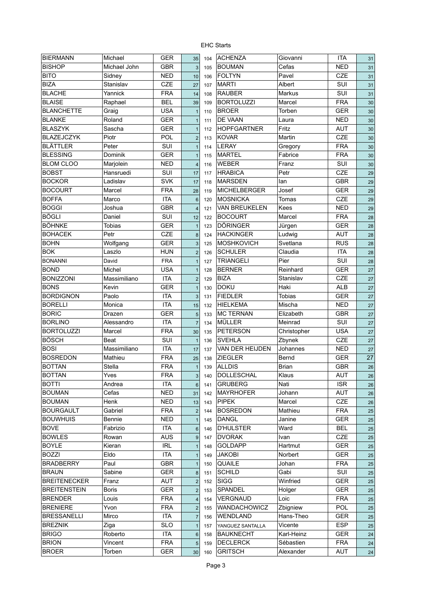| <b>BIERMANN</b>     | Michael        | <b>GER</b> | 35                      | 104 | <b>ACHENZA</b>       | Giovanni      | <b>ITA</b> | 31             |
|---------------------|----------------|------------|-------------------------|-----|----------------------|---------------|------------|----------------|
| <b>BISHOP</b>       | Michael John   | <b>GBR</b> | $\overline{3}$          | 105 | <b>BOUMAN</b>        | Cefas         | <b>NED</b> | 31             |
| <b>BITO</b>         | Sidney         | <b>NED</b> | 10                      | 106 | <b>FOLTYN</b>        | Pavel         | CZE        | 31             |
| <b>BIZA</b>         | Stanislav      | CZE        | 27                      | 107 | <b>MARTI</b>         | Albert        | SUI        | 31             |
| <b>BLACHE</b>       | Yannick        | <b>FRA</b> | 14                      | 108 | <b>RAUBER</b>        | Markus        | SUI        | 31             |
| <b>BLAISE</b>       | Raphael        | <b>BEL</b> | 39                      | 109 | <b>BORTOLUZZI</b>    | Marcel        | <b>FRA</b> | 3 <sub>C</sub> |
| <b>BLANCHETTE</b>   | Graig          | <b>USA</b> | $\mathbf{1}$            | 110 | <b>BROER</b>         | Torben        | <b>GER</b> | 3 <sub>C</sub> |
| <b>BLANKE</b>       | Roland         | <b>GER</b> | $\mathbf{1}$            | 111 | DE VAAN              | Laura         | <b>NED</b> | 3 <sub>C</sub> |
| <b>BLASZYK</b>      | Sascha         | <b>GER</b> | $\mathbf{1}$            | 112 | <b>HOPFGARTNER</b>   | Fritz         | <b>AUT</b> | 3 <sub>C</sub> |
| <b>BLAZEJCZYK</b>   | Piotr          | POL        | $\overline{2}$          | 113 | <b>KOVAR</b>         | Martin        | <b>CZE</b> | 3 <sub>C</sub> |
| <b>BLÄTTLER</b>     | Peter          | SUI        | $\mathbf{1}$            | 114 | <b>LERAY</b>         | Gregory       | <b>FRA</b> | 3 <sub>C</sub> |
| <b>BLESSING</b>     | <b>Dominik</b> | <b>GER</b> | $\mathbf{1}$            | 115 | <b>MARTEL</b>        | Fabrice       | <b>FRA</b> | 3 <sub>C</sub> |
| <b>BLOM CLOO</b>    | Marjolein      | <b>NED</b> | $\overline{\mathbf{4}}$ | 116 | <b>WEBER</b>         | Franz         | SUI        | 3 <sub>C</sub> |
| <b>BOBST</b>        | Hansruedi      | SUI        | 17                      | 117 | <b>HRABICA</b>       | Petr          | CZE        | 29             |
| <b>BOCKOR</b>       | Ladislav       | <b>SVK</b> | 17                      | 118 | <b>MARSDEN</b>       | lan           | GBR        | 29             |
| <b>BOCOURT</b>      | Marcel         | <b>FRA</b> | 28                      | 119 | <b>MICHELBERGER</b>  | Josef         | <b>GER</b> | 29             |
| <b>BOFFA</b>        | Marco          | <b>ITA</b> | $6\phantom{a}$          | 120 | <b>MOSNICKA</b>      | Tomas         | <b>CZE</b> | 29             |
| <b>BOGGI</b>        | Joshua         | <b>GBR</b> | $\overline{\mathbf{4}}$ | 121 | <b>VAN BREUKELEN</b> | Kees          | <b>NED</b> | 29             |
| <b>BÖGLI</b>        | Daniel         | SUI        | 12                      | 122 | <b>BOCOURT</b>       | Marcel        | <b>FRA</b> | 28             |
| <b>BÖHNKE</b>       | <b>Tobias</b>  | <b>GER</b> | $\overline{1}$          | 123 | <b>DÖRINGER</b>      | Jürgen        | <b>GER</b> | 28             |
| <b>BOHACEK</b>      | Petr           | <b>CZE</b> | 8                       | 124 | <b>HACKINGER</b>     | Ludwig        | <b>AUT</b> | 28             |
| <b>BOHN</b>         | Wolfgang       | <b>GER</b> | 3                       | 125 | <b>MOSHKOVICH</b>    | Svetlana      | <b>RUS</b> | 28             |
| <b>BOK</b>          | Laszlo         | <b>HUN</b> | $\overline{2}$          |     | <b>SCHULER</b>       | Claudia       | <b>ITA</b> |                |
|                     |                |            |                         | 126 | <b>TRIANGELI</b>     | Pier          | SUI        | 28             |
| <b>BONANNI</b>      | David          | <b>FRA</b> | $\overline{1}$          | 127 |                      |               |            | 28             |
| <b>BOND</b>         | Michel         | <b>USA</b> | $\overline{1}$          | 128 | <b>BERNER</b>        | Reinhard      | <b>GER</b> | 27             |
| <b>BONIZZONI</b>    | Massimiliano   | <b>ITA</b> | $\overline{2}$          | 129 | <b>BIZA</b>          | Stanislav     | <b>CZE</b> | 27             |
| <b>BONS</b>         | Kevin          | <b>GER</b> | $\mathbf{1}$            | 130 | <b>DOKU</b>          | Haki          | <b>ALB</b> | 27             |
| <b>BORDIGNON</b>    | Paolo          | <b>ITA</b> | 3                       | 131 | <b>FIEDLER</b>       | <b>Tobias</b> | <b>GER</b> | 27             |
| <b>BORELLI</b>      | Monica         | <b>ITA</b> | 15                      | 132 | <b>HIELKEMA</b>      | Mischa        | <b>NED</b> | 27             |
| <b>BORIC</b>        | Drazen         | <b>GER</b> | 5                       | 133 | <b>MC TERNAN</b>     | Elizabeth     | <b>GBR</b> | 27             |
| <b>BORLINO</b>      | Alessandro     | <b>ITA</b> | $\overline{7}$          | 134 | <b>MÜLLER</b>        | Meinrad       | SUI        | 27             |
| <b>BORTOLUZZI</b>   | Marcel         | <b>FRA</b> | 30                      | 135 | <b>PETERSON</b>      | Christopher   | <b>USA</b> | 27             |
| <b>BÖSCH</b>        | Beat           | SUI        | $\mathbf{1}$            | 136 | <b>SVEHLA</b>        | Zbynek        | CZE        | 27             |
| <b>BOSI</b>         | Massimiliano   | <b>ITA</b> | 17                      | 137 | VAN DER HEIJDEN      | Johannes      | <b>NED</b> | 27             |
| <b>BOSREDON</b>     | Mathieu        | <b>FRA</b> | 25                      | 138 | <b>ZIEGLER</b>       | Bernd         | <b>GER</b> | 27             |
| <b>BOTTAN</b>       | Stella         | <b>FRA</b> | $\mathbf{1}$            | 139 | <b>ALLDIS</b>        | <b>Brian</b>  | GBR        | 26             |
| <b>BOTTAN</b>       | Yves           | <b>FRA</b> | $\overline{3}$          | 140 | DOLLESCHAL           | Klaus         | <b>AUT</b> | 26             |
| <b>BOTTI</b>        | Andrea         | <b>ITA</b> | $6\phantom{1}$          | 141 | <b>GRUBERG</b>       | Nati          | <b>ISR</b> | 26             |
| <b>BOUMAN</b>       | Cefas          | <b>NED</b> | 31                      | 142 | <b>MAYRHOFER</b>     | Johann        | <b>AUT</b> | 26             |
| <b>BOUMAN</b>       | Henk           | <b>NED</b> | 13                      | 143 | <b>PIPEK</b>         | Marcel        | CZE        | 26             |
| <b>BOURGAULT</b>    | Gabriel        | <b>FRA</b> | $\overline{c}$          | 144 | <b>BOSREDON</b>      | Mathieu       | <b>FRA</b> | 25             |
| <b>BOUWHUIS</b>     | Bennie         | <b>NED</b> | $\mathbf{1}$            | 145 | <b>DANGL</b>         | Janine        | <b>GER</b> | 25             |
| <b>BOVE</b>         | Fabrizio       | ITA        | $6\phantom{1}$          | 146 | <b>D'HULSTER</b>     | Ward          | <b>BEL</b> | 25             |
| <b>BOWLES</b>       | Rowan          | <b>AUS</b> | 9                       | 147 | <b>DVORAK</b>        | Ivan          | <b>CZE</b> | 25             |
| <b>BOYLE</b>        | Kieran         | <b>IRL</b> | $\mathbf{1}$            | 148 | <b>GOLDAPP</b>       | Hartmut       | <b>GER</b> | 25             |
| <b>BOZZI</b>        | Eldo           | ITA        | $\mathbf{1}$            | 149 | <b>JAKOBI</b>        | Norbert       | <b>GER</b> | 25             |
| <b>BRADBERRY</b>    | Paul           | <b>GBR</b> | $\mathbf{1}$            | 150 | <b>QUAILE</b>        | Johan         | <b>FRA</b> | 25             |
| <b>BRAUN</b>        | Sabine         | <b>GER</b> | 8                       | 151 | <b>SCHILD</b>        | Gabi          | SUI        | 25             |
| <b>BREITENECKER</b> | Franz          | <b>AUT</b> | $\overline{2}$          | 152 | <b>SIGG</b>          | Winfried      | <b>GER</b> | 25             |
| <b>BREITENSTEIN</b> | <b>Boris</b>   | <b>GER</b> | $\overline{c}$          | 153 | SPANDEL              | Holger        | <b>GER</b> | 25             |
| <b>BRENDER</b>      | Louis          | <b>FRA</b> | $\overline{4}$          | 154 | VERGNAUD             | Loic          | <b>FRA</b> | 25             |
| <b>BRENIERE</b>     | Yvon           | <b>FRA</b> | $\mathbf 2$             | 155 | WANDACHOWICZ         | Zbigniew      | POL        | 25             |
| <b>BRESSANELLI</b>  | Mirco          | ITA        | $\overline{7}$          | 156 | WENDLAND             | Hans-Theo     | <b>GER</b> | 25             |
| <b>BREZNIK</b>      | Ziga           | <b>SLO</b> | $\mathbf{1}$            | 157 | YANGUEZ SANTALLA     | Vicente       | <b>ESP</b> | 25             |
| <b>BRIGO</b>        | Roberto        | ITA        | $6\phantom{1}$          | 158 | <b>BAUKNECHT</b>     | Karl-Heinz    | <b>GER</b> | 24             |
| <b>BRION</b>        | Vincent        | <b>FRA</b> | 5                       | 159 | <b>DECLERCK</b>      | Sébastien     | <b>FRA</b> | 24             |
| <b>BROER</b>        | Torben         | <b>GER</b> | 30                      | 160 | <b>GRITSCH</b>       | Alexander     | <b>AUT</b> | 24             |
|                     |                |            |                         |     |                      |               |            |                |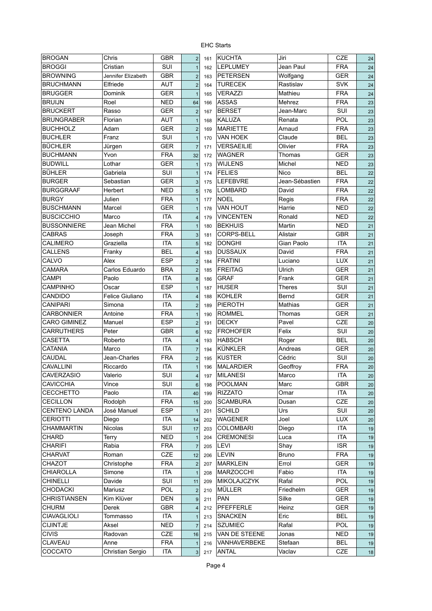| <b>BROGAN</b>       | Chris               | GBR        | $\overline{2}$          | 161 | <b>KUCHTA</b>     | Jiri           | CZE        | 24 |
|---------------------|---------------------|------------|-------------------------|-----|-------------------|----------------|------------|----|
| <b>BROGGI</b>       | Cristian            | SUI        | $\mathbf{1}$            | 162 | <b>LEPLUMEY</b>   | Jean Paul      | <b>FRA</b> | 24 |
| <b>BROWNING</b>     | Jennifer Elizabeth  | <b>GBR</b> | $\overline{2}$          | 163 | <b>PETERSEN</b>   | Wolfgang       | <b>GER</b> | 24 |
| <b>BRUCHMANN</b>    | Elfriede            | <b>AUT</b> | $\overline{c}$          | 164 | <b>TURECEK</b>    | Rastislav      | <b>SVK</b> | 24 |
| <b>BRUGGER</b>      | Dominik             | <b>GER</b> | $\mathbf{1}$            | 165 | <b>VERAZZI</b>    | Mathieu        | <b>FRA</b> | 24 |
| <b>BRUIJN</b>       | Roel                | <b>NED</b> | 64                      | 166 | <b>ASSAS</b>      | Mehrez         | <b>FRA</b> | 23 |
| <b>BRUCKERT</b>     | Rasso               | <b>GER</b> | $\overline{\mathbf{c}}$ | 167 | <b>BERSET</b>     | Jean-Marc      | SUI        | 23 |
| <b>BRUNGRABER</b>   | Florian             | AUT        | $\mathbf{1}$            | 168 | <b>KALUZA</b>     | Renata         | POL        | 23 |
| <b>BUCHHOLZ</b>     | Adam                | <b>GER</b> | $\overline{2}$          | 169 | <b>MARIETTE</b>   | Arnaud         | <b>FRA</b> | 23 |
| <b>BUCHLER</b>      | Franz               | SUI        | $\mathbf{1}$            | 170 | <b>VAN HOEK</b>   | Claude         | <b>BEL</b> | 23 |
| <b>BÜCHLER</b>      | Jürgen              | <b>GER</b> | $\overline{7}$          | 171 | VERSAEILIE        | Olivier        | <b>FRA</b> | 23 |
| <b>BUCHMANN</b>     | Yvon                | <b>FRA</b> | 32                      | 172 | <b>WAGNER</b>     | Thomas         | <b>GER</b> | 23 |
| <b>BUDWILL</b>      | Lothar              | <b>GER</b> | $\mathbf{1}$            | 173 | <b>WIJLENS</b>    | Michel         | <b>NED</b> | 23 |
| <b>BÜHLER</b>       | Gabriela            | SUI        | $\mathbf{1}$            | 174 | <b>FELIES</b>     | Nico           | <b>BEL</b> | 22 |
| <b>BURGER</b>       | Sebastian           | <b>GER</b> | 3                       | 175 | <b>LEFEBVRE</b>   | Jean-Sébastien | <b>FRA</b> | 22 |
| <b>BURGGRAAF</b>    | Herbert             | <b>NED</b> | 5                       | 176 | <b>LOMBARD</b>    | David          | <b>FRA</b> | 22 |
| <b>BURGY</b>        | Julien              | <b>FRA</b> | $\mathbf{1}$            | 177 | <b>NOEL</b>       | Regis          | <b>FRA</b> | 22 |
| <b>BUSCHMANN</b>    | Marcel              | <b>GER</b> | $\mathbf{1}$            | 178 | <b>VAN HOUT</b>   | Harrie         | <b>NED</b> | 22 |
| <b>BUSCICCHIO</b>   | Marco               | <b>ITA</b> | $\overline{4}$          | 179 | <b>VINCENTEN</b>  | Ronald         | <b>NED</b> | 22 |
| <b>BUSSONNIERE</b>  | Jean Michel         | <b>FRA</b> |                         |     | <b>BEKHUIS</b>    | Martin         | <b>NED</b> |    |
| <b>CABRAS</b>       |                     | <b>FRA</b> | $\mathbf{1}$            | 180 | <b>CORPS-BELL</b> | Alistair       | <b>GBR</b> | 21 |
| <b>CALIMERO</b>     | Joseph<br>Graziella | <b>ITA</b> | 3                       | 181 | <b>DONGHI</b>     | Gian Paolo     | <b>ITA</b> | 21 |
| <b>CALLENS</b>      |                     |            | 5                       | 182 |                   |                |            | 21 |
|                     | Franky              | <b>BEL</b> | $\overline{4}$          | 183 | <b>DUSSAUX</b>    | David          | <b>FRA</b> | 21 |
| CALVO               | Alex                | <b>ESP</b> | $\overline{2}$          | 184 | <b>FRATINI</b>    | Luciano        | <b>LUX</b> | 21 |
| <b>CAMARA</b>       | Carlos Eduardo      | <b>BRA</b> | $\overline{c}$          | 185 | <b>FREITAG</b>    | Ulrich         | <b>GER</b> | 21 |
| <b>CAMPI</b>        | Paolo               | <b>ITA</b> | $\bf 8$                 | 186 | <b>GRAF</b>       | Frank          | <b>GER</b> | 21 |
| CAMPINHO            | Oscar               | <b>ESP</b> | $\mathbf{1}$            | 187 | <b>HUSER</b>      | Theres         | SUI        | 21 |
| CANDIDO             | Felice Giuliano     | <b>ITA</b> | $\overline{\mathbf{4}}$ | 188 | <b>KOHLER</b>     | Bernd          | GER        | 21 |
| <b>CANIPARI</b>     | Simona              | <b>ITA</b> | $\overline{\mathbf{c}}$ | 189 | <b>PIEROTH</b>    | Mathias        | GER        | 21 |
| <b>CARBONNIER</b>   | Antoine             | <b>FRA</b> | $\mathbf{1}$            | 190 | <b>ROMMEL</b>     | Thomas         | <b>GER</b> | 21 |
| <b>CARO GIMINEZ</b> | Manuel              | <b>ESP</b> | $\mathbf 2$             | 191 | <b>DECKY</b>      | Pavel          | <b>CZE</b> | 20 |
| <b>CARRUTHERS</b>   | Peter               | <b>GBR</b> | $6\phantom{1}6$         | 192 | <b>FROHOFER</b>   | Felix          | SUI        | 20 |
| <b>CASETTA</b>      | Roberto             | <b>ITA</b> | $\overline{4}$          | 193 | <b>HABSCH</b>     | Roger          | <b>BEL</b> | 20 |
| CATANIA             | Marco               | <b>ITA</b> | $\overline{7}$          | 194 | <b>KÜNKLER</b>    | Andreas        | <b>GER</b> | 20 |
| CAUDAL              | Jean-Charles        | <b>FRA</b> | $\overline{c}$          | 195 | <b>KUSTER</b>     | Cédric         | SUI        | 20 |
| <b>CAVALLINI</b>    | Riccardo            | <b>ITA</b> | $\mathbf{1}$            | 196 | <b>MALARDIER</b>  | Geoffroy       | <b>FRA</b> | 20 |
| <b>CAVERZASIO</b>   | Valerio             | SUI        | $\overline{\mathbf{4}}$ | 197 | <b>MILANESI</b>   | Marco          | <b>ITA</b> | 20 |
| <b>CAVICCHIA</b>    | Vince               | <b>SUI</b> | $\,6$                   | 198 | POOLMAN           | Marc           | <b>GBR</b> | 20 |
| <b>CECCHETTO</b>    | Paolo               | <b>ITA</b> | 40                      | 199 | <b>RIZZATO</b>    | Omar           | <b>ITA</b> | 20 |
| <b>CECILLON</b>     | Rodolph             | <b>FRA</b> | 15                      | 200 | <b>SCAMBURA</b>   | Dusan          | CZE        | 20 |
| CENTENO LANDA       | José Manuel         | <b>ESP</b> | $\mathbf{1}$            | 201 | <b>SCHILD</b>     | Urs            | SUI        | 20 |
| <b>CERIOTTI</b>     | Diego               | <b>ITA</b> | 14                      | 202 | <b>WAGENER</b>    | Joel           | LUX        | 20 |
| <b>CHAMMARTIN</b>   | Nicolas             | SUI        | 17                      | 203 | <b>COLOMBARI</b>  | Diego          | <b>ITA</b> | 19 |
| <b>CHARD</b>        | Terry               | <b>NED</b> | $\mathbf{1}$            | 204 | <b>CREMONESI</b>  | Luca           | <b>ITA</b> | 19 |
| <b>CHARIFI</b>      | Rabia               | <b>FRA</b> | $\overline{7}$          | 205 | LEVI              | Shay           | <b>ISR</b> | 19 |
| <b>CHARVAT</b>      | Roman               | CZE        | 12                      | 206 | <b>LEVIN</b>      | <b>Bruno</b>   | <b>FRA</b> | 19 |
| CHAZOT              | Christophe          | <b>FRA</b> | $\overline{\mathbf{c}}$ | 207 | <b>MARKLEIN</b>   | Errol          | <b>GER</b> | 19 |
| <b>CHIAROLLA</b>    | Simone              | <b>ITA</b> | $\mathbf{1}$            | 208 | <b>MARZOCCHI</b>  | Fabio          | <b>ITA</b> | 19 |
| <b>CHINELLI</b>     | Davide              | SUI        | 11                      | 209 | MIKOLAJCZYK       | Rafal          | POL        | 19 |
| CHODACKI            | Mariusz             | POL        | $\overline{\mathbf{c}}$ | 210 | <b>MÜLLER</b>     | Friedhelm      | <b>GER</b> | 19 |
| <b>CHRISTIANSEN</b> | Kim Klüver          | <b>DEN</b> | $\boldsymbol{9}$        | 211 | PAN               | Silke          | <b>GER</b> | 19 |
| <b>CHURM</b>        | Derek               | GBR        | 4                       | 212 | PFEFFERLE         | Heinz          | <b>GER</b> | 19 |
| CIAVAGLIOLI         | Tommasso            | <b>ITA</b> | $\mathbf{1}$            | 213 | <b>SNACKEN</b>    | Eric           | <b>BEL</b> | 19 |
| <b>CIJINTJE</b>     | Aksel               | <b>NED</b> | $\overline{7}$          | 214 | <b>SZUMIEC</b>    | Rafal          | POL        | 19 |
| <b>CIVIS</b>        | Radovan             | CZE        | 16                      | 215 | VAN DE STEENE     | Jonas          | <b>NED</b> | 19 |
| CLAVEAU             | Anne                | <b>FRA</b> | $\mathbf{1}$            | 216 | VANHAVERBEKE      | Stefaan        | <b>BEL</b> | 19 |
| COCCATO             | Christian Sergio    | <b>ITA</b> | $\sqrt{3}$              | 217 | <b>ANTAL</b>      | Vaclav         | CZE        | 18 |
|                     |                     |            |                         |     |                   |                |            |    |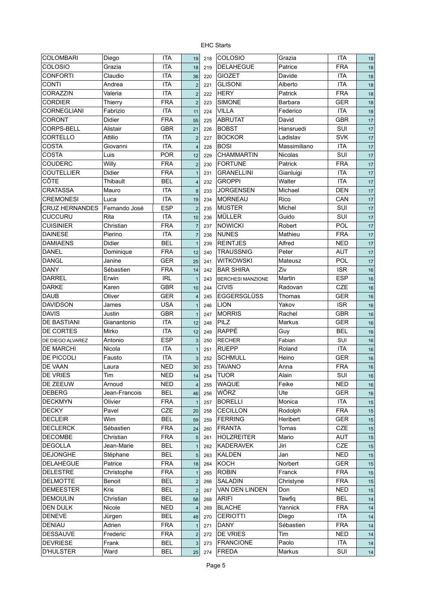| <b>COLOMBARI</b>      | Diego         | <b>ITA</b> | 19                      | 218 | COLOSIO                  | Grazia         | <b>ITA</b> | 18     |
|-----------------------|---------------|------------|-------------------------|-----|--------------------------|----------------|------------|--------|
| COLOSIO               | Grazia        | <b>ITA</b> | 18                      | 219 | <b>DELAHEGUE</b>         | Patrice        | <b>FRA</b> | 18     |
| <b>CONFORTI</b>       | Claudio       | <b>ITA</b> | 36                      | 220 | <b>GIOZET</b>            | Davide         | <b>ITA</b> | 18     |
| <b>CONTI</b>          | Andrea        | <b>ITA</b> | $\mathbf 2$             | 221 | <b>GLISONI</b>           | Alberto        | <b>ITA</b> | 18     |
| CORAZZIN              | Valeria       | <b>ITA</b> | $\overline{2}$          | 222 | <b>HERY</b>              | Patrick        | <b>FRA</b> | 18     |
| <b>CORDIER</b>        | Thierry       | <b>FRA</b> | $\overline{2}$          | 223 | <b>SIMONE</b>            | Barbara        | GER        | 18     |
| <b>CORNEGLIANI</b>    | Fabrizio      | <b>ITA</b> | 11                      | 224 | <b>VILLA</b>             | Federico       | <b>ITA</b> | 18     |
| <b>CORONT</b>         | Didier        | <b>FRA</b> | 55                      | 225 | <b>ABRUTAT</b>           | David          | <b>GBR</b> | 17     |
| CORPS-BELL            | Alistair      | GBR        | 21                      | 226 | <b>BOBST</b>             | Hansruedi      | SUI        | 17     |
| CORTELLO              | Attilio       | <b>ITA</b> | $\overline{2}$          | 227 | <b>BOCKOR</b>            | Ladislav       | <b>SVK</b> | 17     |
| <b>COSTA</b>          | Giovanni      | <b>ITA</b> | $\overline{4}$          | 228 | <b>BOSI</b>              | Massimiliano   | <b>ITA</b> | 17     |
| <b>COSTA</b>          | Luis          | <b>POR</b> | 12                      | 229 | <b>CHAMMARTIN</b>        | <b>Nicolas</b> | SUI        | 17     |
| <b>COUDERC</b>        | Willy         | <b>FRA</b> | $\overline{2}$          | 230 | <b>FORTUNE</b>           | Patrick        | <b>FRA</b> | 17     |
| <b>COUTELLIER</b>     | Didier        | <b>FRA</b> | $\mathbf{1}$            | 231 | <b>GRANELLINI</b>        | Gianluigi      | <b>ITA</b> | 17     |
| <b>CÔTE</b>           | Thibault      | <b>BEL</b> | $\overline{\mathbf{4}}$ | 232 | <b>GROPPI</b>            | Walter         | <b>ITA</b> | 17     |
| <b>CRATASSA</b>       | Mauro         | <b>ITA</b> | $\boldsymbol{8}$        | 233 | <b>JORGENSEN</b>         | Michael        | <b>DEN</b> | 17     |
| <b>CREMONESI</b>      | Luca          | <b>ITA</b> | 19                      | 234 | <b>MORNEAU</b>           | Rico           | CAN        | 17     |
| <b>CRUZ HERNANDES</b> | Fernando José | <b>ESP</b> | $\overline{2}$          | 235 | <b>MUSTER</b>            | Michel         | SUI        | 17     |
| <b>CUCCURU</b>        | Rita          | <b>ITA</b> | 10                      | 236 | MÜLLER                   | Guido          | SUI        | 17     |
| <b>CUISINIER</b>      | Christian     | <b>FRA</b> | $\overline{7}$          | 237 | <b>NOWICKI</b>           | Robert         | <b>POL</b> | $17$   |
| <b>DAINESE</b>        | Pierino       | <b>ITA</b> | $\overline{7}$          | 238 | <b>NUNES</b>             | Mathieu        | <b>FRA</b> | 17     |
| <b>DAMIAENS</b>       | Didier        | <b>BEL</b> | $\overline{1}$          | 239 | <b>REINTJES</b>          | Alfred         | <b>NED</b> | 17     |
| <b>DANEL</b>          | Dominique     | <b>FRA</b> | 12                      | 240 | <b>TRAUSSNIG</b>         | Peter          | <b>AUT</b> | 17     |
| <b>DANGL</b>          | Janine        | <b>GER</b> | 25                      | 241 | <b>WITKOWSKI</b>         | Mateusz        | <b>POL</b> | 17     |
| <b>DANY</b>           | Sébastien     | <b>FRA</b> | 14                      | 242 | <b>BAR SHIRA</b>         | Ziv            | <b>ISR</b> | 16     |
| <b>DARREL</b>         | Erwin         | <b>IRL</b> | $\overline{1}$          | 243 | <b>BERCHESI MANZIONE</b> | Martin         | <b>ESP</b> | 16     |
| <b>DARKE</b>          | Karen         | <b>GBR</b> | 10                      | 244 | <b>CIVIS</b>             | Radovan        | <b>CZE</b> | 16     |
| <b>DAUB</b>           | Oliver        | <b>GER</b> | $\overline{4}$          | 245 | <b>EGGERSGLÜSS</b>       | Thomas         | <b>GER</b> | 16     |
| <b>DAVIDSON</b>       | James         | <b>USA</b> | $\mathbf{1}$            | 246 | <b>LION</b>              | Yakov          | <b>ISR</b> | 16     |
| <b>DAVIS</b>          | Justin        | <b>GBR</b> | $\mathbf{1}$            | 247 | <b>MORRIS</b>            | Rachel         | <b>GBR</b> | 16     |
| <b>DE BASTIANI</b>    | Gianantonio   | <b>ITA</b> | 12                      | 248 | PILZ                     | Markus         | <b>GER</b> | 16     |
| <b>DE CORTES</b>      | Mirko         | <b>ITA</b> | 12                      | 249 | RAPPÉ                    | Guy            | <b>BEL</b> | 16     |
| DE DIEGO ALVAREZ      | Antonio       | <b>ESP</b> | 3                       | 250 | <b>RECHER</b>            | Fabian         | SUI        | 16     |
| <b>DE MARCHI</b>      | Nicola        | <b>ITA</b> | $\mathbf{1}$            | 251 | <b>RUEPP</b>             | Roland         | <b>ITA</b> | 16     |
| <b>DE PICCOLI</b>     | Fausto        | <b>ITA</b> | 3                       | 252 | <b>SCHMULL</b>           | Heino          | <b>GER</b> | 16     |
| <b>DE VAAN</b>        | Laura         | <b>NED</b> | 30                      | 253 | <b>TAVANO</b>            | Anna           | <b>FRA</b> | 16     |
| <b>DE VRIES</b>       | Tim           | <b>NED</b> | 14                      | 254 | <b>TUOR</b>              | Alain          | SUI        | 16     |
| DE ZEEUW              | Arnoud        | NED        | $\sqrt{4}$              | 255 | <b>WAQUE</b>             | Feike          | <b>NED</b> | 16     |
| <b>DEBERG</b>         | Jean-Francois | <b>BEL</b> | 46                      | 256 | WÖRZ                     | Ute            | <b>GER</b> | 16     |
| <b>DECKMYN</b>        | Olivier       | <b>FRA</b> | $\overline{1}$          | 257 | <b>BORELLI</b>           | Monica         | <b>ITA</b> | 15     |
| <b>DECKY</b>          | Pavel         | CZE        | 20                      | 258 | <b>CECILLON</b>          | Rodolph        | <b>FRA</b> | 15     |
| <b>DECLEIR</b>        | Wim           | <b>BEL</b> | 59                      | 259 | <b>FERRING</b>           | Heribert       | GER        | 15     |
| <b>DECLERCK</b>       | Sébastien     | <b>FRA</b> | $24\,$                  | 260 | <b>FRANTA</b>            | Tomas          | <b>CZE</b> | 15     |
| <b>DECOMBE</b>        | Christian     | <b>FRA</b> | $\sqrt{5}$              | 261 | <b>HOLZREITER</b>        | Mario          | <b>AUT</b> | 15     |
| <b>DEGOLLA</b>        | Jean-Marie    | <b>BEL</b> | $\mathbf{1}$            | 262 | <b>KADERAVEK</b>         | Jiri           | <b>CZE</b> | 15     |
| <b>DEJONGHE</b>       | Stéphane      | <b>BEL</b> | $\sqrt{5}$              | 263 | <b>KALDEN</b>            | Jan            | <b>NED</b> | 15     |
| <b>DELAHEGUE</b>      | Patrice       | <b>FRA</b> | 18                      | 264 | <b>KOCH</b>              | Norbert        | <b>GER</b> | 15     |
| <b>DELESTRE</b>       | Christophe    | <b>FRA</b> | $\mathbf{1}$            | 265 | <b>ROBIN</b>             | Franck         | <b>FRA</b> | 15     |
| <b>DELMOTTE</b>       | Benoit        | <b>BEL</b> | $\mathbf 2$             | 266 | SALADIN                  | Christyne      | <b>FRA</b> | 15     |
| <b>DEMEESTER</b>      | Kris          | <b>BEL</b> | $\mathbf 2$             | 267 | VAN DEN LINDEN           | Don            | <b>NED</b> | 15     |
| <b>DEMOULIN</b>       | Christian     | <b>BEL</b> | 58                      | 268 | <b>ARIFI</b>             | Tawfiq         | <b>BEL</b> | 14     |
| DEN DULK              | Nicole        | <b>NED</b> | $\overline{4}$          | 269 | <b>BLACHE</b>            | Yannick        | <b>FRA</b> | 14     |
| <b>DENEVE</b>         | Jürgen        | <b>BEL</b> | 48                      | 270 | <b>CERIOTTI</b>          | Diego          | <b>ITA</b> | 14     |
| DENIAU                | Adrien        | <b>FRA</b> | $\mathbf{1}$            | 271 | <b>DANY</b>              | Sébastien      | <b>FRA</b> | 14     |
| <b>DESSAUVE</b>       | Frederic      | <b>FRA</b> | $\mathbf 2$             | 272 | <b>DE VRIES</b>          | Tim            | <b>NED</b> | 14     |
| <b>DEVRIESE</b>       | Frank         | <b>BEL</b> | 3                       | 273 | <b>FRANCIONE</b>         | Paolo          | <b>ITA</b> | 14     |
| <b>D'HULSTER</b>      | Ward          | <b>BEL</b> | 25                      | 274 | FREDA                    | Markus         | SUI        | $14\,$ |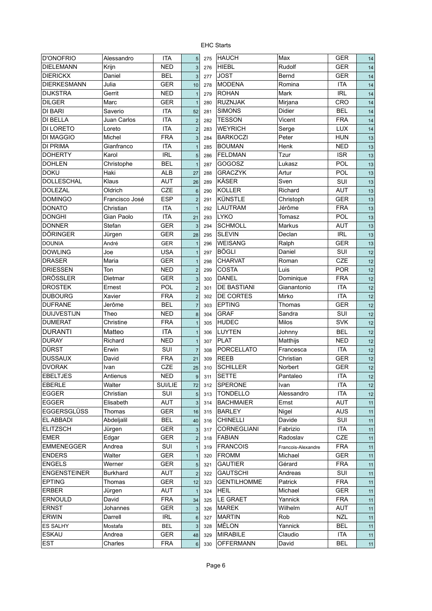| <b>D'ONOFRIO</b>    | Alessandro      | <b>ITA</b> | 5              | 275 | <b>HAUCH</b>       | Max                | <b>GER</b> | 14 |
|---------------------|-----------------|------------|----------------|-----|--------------------|--------------------|------------|----|
| <b>DIELEMANN</b>    | Krijn           | <b>NED</b> | 3              | 276 | <b>HIEBL</b>       | Rudolf             | <b>GER</b> | 14 |
| <b>DIERICKX</b>     | Daniel          | BEL        | 3              | 277 | <b>JOST</b>        | Bernd              | <b>GER</b> | 14 |
| <b>DIERKESMANN</b>  | Julia           | GER        | 10             | 278 | <b>MODENA</b>      | Romina             | <b>ITA</b> | 14 |
| <b>DIJKSTRA</b>     | Gerrit          | <b>NED</b> | $\mathbf{1}$   | 279 | <b>ROHAN</b>       | Mark               | <b>IRL</b> | 14 |
| <b>DILGER</b>       | Marc            | <b>GER</b> | $\mathbf{1}$   | 280 | <b>RUZNJAK</b>     | Mirjana            | CRO        | 14 |
| <b>DI BARI</b>      | Saverio         | <b>ITA</b> | 52             | 281 | <b>SIMONS</b>      | Didier             | <b>BEL</b> | 14 |
| <b>DI BELLA</b>     | Juan Carlos     | <b>ITA</b> | $\overline{2}$ | 282 | <b>TESSON</b>      | Vicent             | <b>FRA</b> | 14 |
| DI LORETO           | Loreto          | <b>ITA</b> | $\overline{2}$ | 283 | <b>WEYRICH</b>     | Serge              | <b>LUX</b> | 14 |
| <b>DI MAGGIO</b>    | Michel          | <b>FRA</b> | 3              | 284 | <b>BARKOCZI</b>    | Peter              | <b>HUN</b> | 13 |
| <b>DI PRIMA</b>     | Gianfranco      | <b>ITA</b> | $\mathbf{1}$   | 285 | <b>BOUMAN</b>      | Henk               | <b>NED</b> | 13 |
| <b>DOHERTY</b>      | Karol           | <b>IRL</b> | 5              | 286 | <b>FELDMAN</b>     | Tzur               | <b>ISR</b> | 13 |
| <b>DOHLEN</b>       | Christophe      | <b>BEL</b> | $\overline{1}$ | 287 | <b>GOGOSZ</b>      | Lukasz             | <b>POL</b> | 13 |
| <b>DOKU</b>         | Haki            | <b>ALB</b> | 27             | 288 | <b>GRACZYK</b>     | Artur              | <b>POL</b> | 13 |
| <b>DOLLESCHAL</b>   | Klaus           | <b>AUT</b> | 26             | 289 | <b>KÄSER</b>       | Sven               | SUI        | 13 |
| <b>DOLEZAL</b>      | Oldrich         | CZE        | $\,6$          | 290 | <b>KOLLER</b>      | Richard            | <b>AUT</b> | 13 |
| <b>DOMINGO</b>      | Francisco José  | <b>ESP</b> | $\overline{2}$ | 291 | <b>KÜNSTLE</b>     | Christoph          | <b>GER</b> | 13 |
| <b>DONATO</b>       | Christian       | <b>ITA</b> | $\mathbf{1}$   | 292 | <b>LAUTRAM</b>     | Jérôme             | <b>FRA</b> | 13 |
| <b>DONGHI</b>       | Gian Paolo      | <b>ITA</b> | 21             | 293 | <b>LYKO</b>        | Tomasz             | <b>POL</b> | 13 |
| <b>DONNER</b>       | Stefan          | <b>GER</b> | 3              | 294 | <b>SCHMOLL</b>     | Markus             | <b>AUT</b> | 13 |
| <b>DÖRINGER</b>     | Jürgen          | <b>GER</b> | 28             | 295 | <b>SLEVIN</b>      | Declan             | <b>IRL</b> | 13 |
| <b>DOUNIA</b>       | André           | <b>GER</b> | $\mathbf{1}$   | 296 | <b>WEISANG</b>     | Ralph              | <b>GER</b> | 13 |
| <b>DOWLING</b>      | Joe             | <b>USA</b> |                |     | <b>BÖGLI</b>       | Daniel             | SUI        |    |
| <b>DRASER</b>       |                 |            | $\mathbf{1}$   | 297 | <b>CHARVAT</b>     | Roman              | CZE        | 12 |
|                     | Maria           | <b>GER</b> | $\mathbf{1}$   | 298 |                    |                    |            | 12 |
| <b>DRIESSEN</b>     | Ton             | NED        | $\overline{2}$ | 299 | <b>COSTA</b>       | Luis               | <b>POR</b> | 12 |
| <b>DRÖSSLER</b>     | Dietmar         | <b>GER</b> | 3              | 300 | DANEL              | Dominique          | <b>FRA</b> | 12 |
| <b>DROSTEK</b>      | Ernest          | POL        | $\overline{2}$ | 301 | <b>DE BASTIANI</b> | Gianantonio        | <b>ITA</b> | 12 |
| <b>DUBOURG</b>      | Xavier          | <b>FRA</b> | $\overline{2}$ | 302 | DE CORTES          | Mirko              | <b>ITA</b> | 12 |
| <b>DUFRANE</b>      | Jerôme          | <b>BEL</b> | $\overline{7}$ | 303 | <b>EPTING</b>      | Thomas             | <b>GER</b> | 12 |
| <b>DUIJVESTIJN</b>  | Theo            | <b>NED</b> | 8              | 304 | <b>GRAF</b>        | Sandra             | SUI        | 12 |
| <b>DUMERAT</b>      | Christine       | <b>FRA</b> | $\mathbf{1}$   | 305 | <b>HUDEC</b>       | Milos              | <b>SVK</b> | 12 |
| <b>DURANTI</b>      | Matteo          | <b>ITA</b> | $\mathbf{1}$   | 306 | <b>LUYTEN</b>      | Johnny             | <b>BEL</b> | 12 |
| <b>DURAY</b>        | Richard         | <b>NED</b> | $\mathbf{1}$   | 307 | <b>PLAT</b>        | Matthijs           | <b>NED</b> | 12 |
| <b>DÜRST</b>        | Erwin           | SUI        | $\overline{7}$ | 308 | <b>PORCELLATO</b>  | Francesca          | <b>ITA</b> | 12 |
| <b>DUSSAUX</b>      | David           | <b>FRA</b> | 21             | 309 | <b>REEB</b>        | Christian          | <b>GER</b> | 12 |
| <b>DVORAK</b>       | Ivan            | <b>CZE</b> | 25             | 310 | <b>SCHILLER</b>    | Norbert            | <b>GER</b> | 12 |
| <b>EBELTJES</b>     | Antienus        | <b>NED</b> | 9              | 311 | SETTE              | Pantaleo           | <b>ITA</b> | 12 |
| <b>EBERLE</b>       | Walter          | SUI/LIE    | 72             | 312 | <b>SPERONE</b>     | Ivan               | <b>ITA</b> | 12 |
| <b>EGGER</b>        | Christian       | SUI        | 5              | 313 | <b>TONDELLO</b>    | Alessandro         | <b>ITA</b> | 12 |
| <b>EGGER</b>        | Elisabeth       | AUT        | 3              | 314 | <b>BACHMAIER</b>   | Ernst              | AUT        | 11 |
| <b>EGGERSGLÜSS</b>  | Thomas          | <b>GER</b> | 16             | 315 | <b>BARLEY</b>      | Nigel              | <b>AUS</b> | 11 |
| <b>EL ABBADI</b>    | Abdeljalil      | BEL        | 40             | 316 | <b>CHINELLI</b>    | Davide             | SUI        | 11 |
| ELITZSCH            | Jürgen          | GER        | $\sqrt{3}$     | 317 | <b>CORNEGLIANI</b> | Fabrizio           | <b>ITA</b> | 11 |
| <b>EMER</b>         | Edgar           | <b>GER</b> | $\overline{c}$ | 318 | <b>FABIAN</b>      | Radoslav           | <b>CZE</b> | 11 |
| <b>EMMENEGGER</b>   | Andrea          | SUI        | $\mathbf{1}$   | 319 | <b>FRANCOIS</b>    | Francois-Alexandre | <b>FRA</b> | 11 |
| <b>ENDERS</b>       | Walter          | GER        | $\mathbf{1}$   | 320 | <b>FROMM</b>       | Michael            | <b>GER</b> | 11 |
| <b>ENGELS</b>       | Werner          | <b>GER</b> | $\sqrt{5}$     | 321 | <b>GAUTIER</b>     | Gérard             | <b>FRA</b> | 11 |
| <b>ENGENSTEINER</b> | <b>Burkhard</b> | AUT        | $\mathbf 2$    | 322 | <b>GAUTSCHI</b>    | Andreas            | SUI        | 11 |
| <b>EPTING</b>       | Thomas          | GER        | 12             | 323 | <b>GENTILHOMME</b> | Patrick            | <b>FRA</b> | 11 |
| <b>ERBER</b>        | Jürgen          | AUT        | $\overline{1}$ | 324 | <b>HEIL</b>        | Michael            | GER        | 11 |
| <b>ERNOULD</b>      | David           | <b>FRA</b> | 34             | 325 | LE GRAET           | Yannick            | <b>FRA</b> | 11 |
| <b>ERNST</b>        | Johannes        | GER        | $\sqrt{3}$     | 326 | <b>MAREK</b>       | Wilhelm            | <b>AUT</b> | 11 |
| <b>ERWIN</b>        | Darrell         | IRL        | 6              | 327 | <b>MARTIN</b>      | Rob                | <b>NZL</b> | 11 |
| <b>ES SALHY</b>     | Mostafa         | <b>BEL</b> | 3              | 328 | MÉLON              | Yannick            | <b>BEL</b> | 11 |
| <b>ESKAU</b>        | Andrea          | GER        | 48             | 329 | <b>MIRABILE</b>    | Claudio            | <b>ITA</b> | 11 |
| <b>EST</b>          | Charles         | <b>FRA</b> | $\,6$          | 330 | <b>OFFERMANN</b>   | David              | <b>BEL</b> | 11 |
|                     |                 |            |                |     |                    |                    |            |    |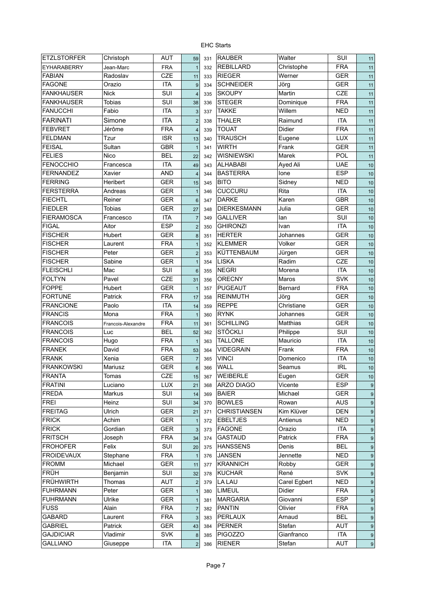| <b>ETZLSTORFER</b> | Christoph          | <b>AUT</b>        | 59               | 331 | <b>RAUBER</b>                    | Walter        | SUI                      | 11               |
|--------------------|--------------------|-------------------|------------------|-----|----------------------------------|---------------|--------------------------|------------------|
| <b>EYHARABERRY</b> | Jean-Marc          | <b>FRA</b>        | $\overline{1}$   | 332 | <b>REBILLARD</b>                 | Christophe    | <b>FRA</b>               | 11               |
| <b>FABIAN</b>      | Radoslav           | CZE               | 11               | 333 | <b>RIEGER</b>                    | Werner        | GER                      | 11               |
| <b>FAGONE</b>      | Orazio             | <b>ITA</b>        | 9                | 334 | <b>SCHNEIDER</b>                 | Jörg          | <b>GER</b>               | 11               |
| <b>FANKHAUSER</b>  | <b>Nick</b>        | SUI               | $\overline{4}$   | 335 | <b>SKOUPY</b>                    | Martin        | CZE                      | 11               |
| <b>FANKHAUSER</b>  | <b>Tobias</b>      | SUI               | 38               | 336 | <b>STEGER</b>                    | Dominique     | <b>FRA</b>               | 11               |
| <b>FANUCCHI</b>    | Fabio              | <b>ITA</b>        | 3                | 337 | <b>TAKKE</b>                     | Willem        | <b>NED</b>               | 11               |
| <b>FARINATI</b>    | Simone             | <b>ITA</b>        | $\overline{2}$   | 338 | <b>THALER</b>                    | Raimund       | <b>ITA</b>               | 11               |
| <b>FEBVRET</b>     | Jérôme             | <b>FRA</b>        | $\overline{4}$   | 339 | <b>TOUAT</b>                     | <b>Didier</b> | <b>FRA</b>               | 11               |
| <b>FELDMAN</b>     | Tzur               | <b>ISR</b>        | 13               | 340 | <b>TRAUSCH</b>                   | Eugene        | <b>LUX</b>               | 11               |
| <b>FEISAL</b>      | Sultan             | <b>GBR</b>        | $\overline{1}$   | 341 | <b>WIRTH</b>                     | Frank         | GER                      | 11               |
| <b>FELIES</b>      | Nico               | <b>BEL</b>        | 22               | 342 | <b>WISNIEWSKI</b>                | Marek         | POL                      | 11               |
| <b>FENOCCHIO</b>   | Francesca          | <b>ITA</b>        | 49               | 343 | <b>ALHABABI</b>                  | Ayed Ali      | <b>UAE</b>               | 10               |
| <b>FERNANDEZ</b>   | Xavier             | <b>AND</b>        | $\overline{4}$   | 344 | <b>BASTERRA</b>                  | lone          | <b>ESP</b>               | 10               |
| <b>FERRING</b>     | Heribert           | <b>GER</b>        | 15               | 345 | <b>BITO</b>                      | Sidney        | <b>NED</b>               | 10               |
| <b>FERSTERRA</b>   | Andreas            | GER               | $\mathbf{1}$     | 346 | <b>CUCCURU</b>                   | Rita          | <b>ITA</b>               | 10               |
| <b>FIECHTL</b>     | Reiner             | <b>GER</b>        | $6\phantom{1}$   | 347 | <b>DARKE</b>                     | Karen         | <b>GBR</b>               | 10               |
| <b>FIEDLER</b>     | <b>Tobias</b>      | <b>GER</b>        | 27               | 348 | <b>DIERKESMANN</b>               | Julia         | <b>GER</b>               | 10               |
| <b>FIERAMOSCA</b>  | Francesco          | <b>ITA</b>        | $\overline{7}$   | 349 | <b>GALLIVER</b>                  | lan           | SUI                      | 10               |
| <b>FIGAL</b>       | Aitor              | <b>ESP</b>        | $\overline{2}$   | 350 | <b>GHIRONZI</b>                  | Ivan          | <b>ITA</b>               | 10               |
| <b>FISCHER</b>     | Hubert             | GER               | $\boldsymbol{8}$ | 351 | <b>HERTER</b>                    | Johannes      | <b>GER</b>               | 10               |
| <b>FISCHER</b>     | Laurent            | <b>FRA</b>        | $\overline{1}$   | 352 | <b>KLEMMER</b>                   | Volker        | <b>GER</b>               | 10               |
| <b>FISCHER</b>     | Peter              | <b>GER</b>        | $\overline{2}$   | 353 | KÜTTENBAUM                       | Jürgen        | <b>GER</b>               | 10               |
| <b>FISCHER</b>     | Sabine             | GER               | $\overline{1}$   | 354 | <b>LISKA</b>                     | Radim         | <b>CZE</b>               | 10               |
| <b>FLEISCHLI</b>   | Mac                | SUI               | $6\phantom{1}6$  | 355 | <b>NEGRI</b>                     | Morena        | <b>ITA</b>               | 10               |
| <b>FOLTYN</b>      | Pavel              | CZE               | 31               | 356 | <b>ORECNY</b>                    | Maros         | <b>SVK</b>               | 10               |
| <b>FOPPE</b>       | Hubert             | <b>GER</b>        | $\overline{1}$   | 357 | <b>PUGEAUT</b>                   | Bernard       | <b>FRA</b>               | 10               |
| <b>FORTUNE</b>     | Patrick            | <b>FRA</b>        | 17               | 358 | <b>REINMUTH</b>                  | Jörg          | <b>GER</b>               | 10               |
| <b>FRANCIONE</b>   | Paolo              | <b>ITA</b>        | 14               | 359 | <b>REPPE</b>                     | Christiane    | <b>GER</b>               | 10               |
| <b>FRANCIS</b>     | Mona               | <b>FRA</b>        | $\overline{1}$   | 360 | <b>RYNK</b>                      | Johannes      | <b>GER</b>               | 10               |
| <b>FRANCOIS</b>    | Francois-Alexandre | <b>FRA</b>        | 11               | 361 | <b>SCHILLING</b>                 | Matthias      | <b>GER</b>               | 10               |
| <b>FRANCOIS</b>    | Luc                | <b>BEL</b>        | 52               | 362 | <b>STÖCKLI</b>                   | Philippe      | SUI                      | 10               |
| <b>FRANCOIS</b>    | Hugo               | <b>FRA</b>        | $\mathbf{1}$     | 363 | <b>TALLONE</b>                   | Mauricio      | <b>ITA</b>               | 10               |
| <b>FRANEK</b>      | David              | <b>FRA</b>        | 53               | 364 | <b>VIDEGRAIN</b>                 | Frank         | <b>FRA</b>               | 10               |
| <b>FRANK</b>       | Xenia              | <b>GER</b>        | $\overline{7}$   | 365 | <b>VINCI</b>                     | Domenico      | <b>ITA</b>               | 10               |
| <b>FRANKOWSKI</b>  | Mariusz            | <b>GER</b>        | 6                | 366 | <b>WALL</b>                      | Seamus        | <b>IRL</b>               | 10               |
| <b>FRANTA</b>      | Tomas              | CZE               | 15               | 367 | WEIBERLE                         | Eugen         | GER                      | 10               |
| <b>FRATINI</b>     | Luciano            | <b>LUX</b>        | 21               | 368 | <b>ARZO DIAGO</b>                | Vicente       | <b>ESP</b>               | $\boldsymbol{9}$ |
| <b>FREDA</b>       | Markus             | SUI               | 14               | 369 | <b>BAIER</b>                     | Michael       | <b>GER</b>               | $\boldsymbol{9}$ |
| <b>FREI</b>        | Heinz              | SUI               | 34               | 370 | <b>BOWLES</b>                    | Rowan         | <b>AUS</b>               | $\boldsymbol{9}$ |
| <b>FREITAG</b>     | <b>Ulrich</b>      | <b>GER</b>        | 21               | 371 | <b>CHRISTIANSEN</b>              | Kim Klüver    | <b>DEN</b>               | $\boldsymbol{9}$ |
| <b>FRICK</b>       | Achim              | <b>GER</b>        | $\overline{1}$   | 372 | <b>EBELTJES</b>                  | Antienus      | <b>NED</b>               | $\boldsymbol{9}$ |
| <b>FRICK</b>       | Gordian            | <b>GER</b>        |                  | 373 | <b>FAGONE</b>                    | Orazio        | ITA                      |                  |
| <b>FRITSCH</b>     | Joseph             | <b>FRA</b>        | 3                |     | <b>GASTAUD</b>                   | Patrick       | <b>FRA</b>               | 9                |
| <b>FROHOFER</b>    | Felix              | SUI               | 34               | 374 | <b>HANSSENS</b>                  | Denis         | <b>BEL</b>               | 9                |
| <b>FROIDEVAUX</b>  | Stephane           | <b>FRA</b>        | 20               | 375 | <b>JANSEN</b>                    | Jennette      | <b>NED</b>               | $\boldsymbol{9}$ |
| <b>FROMM</b>       |                    |                   | $\overline{1}$   | 376 |                                  |               |                          | $\boldsymbol{9}$ |
| <b>FRÜH</b>        | Michael            | <b>GER</b><br>SUI | 11               | 377 | <b>KRANNICH</b><br><b>KUCHAR</b> | Robby<br>René | <b>GER</b>               | $\boldsymbol{9}$ |
| <b>FRÜHWIRTH</b>   | Benjamin           |                   | 32               | 378 | <b>LA LAU</b>                    |               | <b>SVK</b><br><b>NED</b> | $\boldsymbol{9}$ |
|                    | Thomas             | AUT               | $\overline{2}$   | 379 |                                  | Carel Egbert  |                          | 9                |
| <b>FUHRMANN</b>    | Peter              | <b>GER</b>        | $\mathbf{1}$     | 380 | <b>LIMEUL</b>                    | Didier        | <b>FRA</b>               | 9                |
| <b>FUHRMANN</b>    | Ulrike             | <b>GER</b>        | $\mathbf{1}$     | 381 | <b>MARGARIA</b>                  | Giovanni      | <b>ESP</b>               | 9                |
| <b>FUSS</b>        | Alain              | <b>FRA</b>        | $\overline{7}$   | 382 | <b>PANTIN</b>                    | Olivier       | <b>FRA</b>               | 9                |
| <b>GABARD</b>      | Laurent            | <b>FRA</b>        | $\mathbf{3}$     | 383 | PERLAUX                          | Arnaud        | <b>BEL</b>               | $\boldsymbol{9}$ |
| <b>GABRIEL</b>     | Patrick            | <b>GER</b>        | 43               | 384 | <b>PERNER</b>                    | Stefan        | AUT                      | 9                |
| <b>GAJDICIAR</b>   | Vladimir           | <b>SVK</b>        | 8                | 385 | <b>PIGOZZO</b>                   | Gianfranco    | <b>ITA</b>               | 9                |
| <b>GALLIANO</b>    | Giuseppe           | <b>ITA</b>        | $\overline{2}$   | 386 | <b>RIENER</b>                    | Stefan        | <b>AUT</b>               | $9\,$            |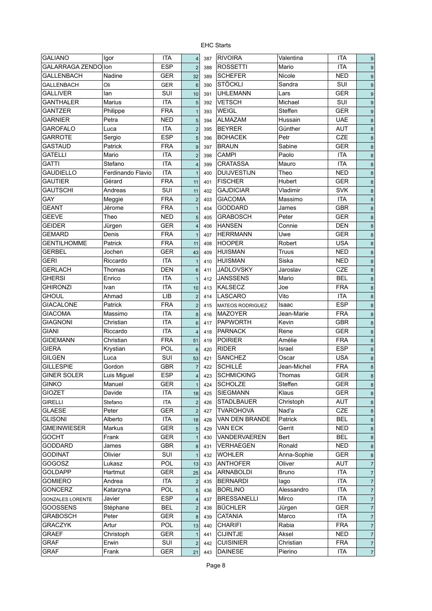| <b>GALIANO</b>          | Igor              | <b>ITA</b> | $\vert$                   | 387 | <b>RIVOIRA</b>          | Valentina      | <b>ITA</b> | $\boldsymbol{9}$    |
|-------------------------|-------------------|------------|---------------------------|-----|-------------------------|----------------|------------|---------------------|
| GALARRAGA ZENDO Ion     |                   | <b>ESP</b> | 2                         | 388 | <b>ROSSETTI</b>         | Mario          | <b>ITA</b> | $\boldsymbol{9}$    |
| <b>GALLENBACH</b>       | Nadine            | <b>GER</b> | 32                        | 389 | <b>SCHEFER</b>          | Nicole         | <b>NED</b> | $\boldsymbol{9}$    |
| <b>GALLENBACH</b>       | Oli               | <b>GER</b> | $6\phantom{1}$            | 390 | <b>STÖCKLI</b>          | Sandra         | SUI        | $\boldsymbol{9}$    |
| <b>GALLIVER</b>         | lan               | <b>SUI</b> | 10                        | 391 | <b>UHLEMANN</b>         | Lars           | <b>GER</b> | $\boldsymbol{9}$    |
| <b>GANTHALER</b>        | <b>Marius</b>     | <b>ITA</b> | $5\phantom{1}$            | 392 | <b>VETSCH</b>           | Michael        | SUI        | $\boldsymbol{9}$    |
| <b>GANTZER</b>          | Philippe          | <b>FRA</b> | $\mathbf{1}$              | 393 | <b>WEIGL</b>            | <b>Steffen</b> | <b>GER</b> | 9                   |
| <b>GARNIER</b>          | Petra             | <b>NED</b> | $5\phantom{.0}$           | 394 | <b>ALMAZAM</b>          | Hussain        | <b>UAE</b> | $\bf 8$             |
| <b>GAROFALO</b>         | Luca              | <b>ITA</b> | $\overline{2}$            | 395 | <b>BEYRER</b>           | Günther        | <b>AUT</b> | 8                   |
| <b>GARROTE</b>          | Sergio            | <b>ESP</b> | 5                         | 396 | <b>BOHACEK</b>          | Petr           | <b>CZE</b> | 8                   |
| <b>GASTAUD</b>          | Patrick           | <b>FRA</b> | 9                         | 397 | <b>BRAUN</b>            | Sabine         | <b>GER</b> | 8                   |
| <b>GATELLI</b>          | Mario             | <b>ITA</b> | $\overline{2}$            |     | <b>CAMPI</b>            | Paolo          | <b>ITA</b> |                     |
| <b>GATTI</b>            | Stefano           | <b>ITA</b> |                           | 398 | <b>CRATASSA</b>         | Mauro          | <b>ITA</b> | $\bf 8$             |
| <b>GAUDIELLO</b>        |                   | <b>ITA</b> | $\overline{4}$            | 399 |                         |                |            | $\bf 8$             |
|                         | Ferdinando Flavio |            | $\overline{1}$            | 400 | <b>DUIJVESTIJN</b>      | Theo           | <b>NED</b> | 8                   |
| <b>GAUTIER</b>          | Gérard            | <b>FRA</b> | 11                        | 401 | <b>FISCHER</b>          | <b>Hubert</b>  | <b>GER</b> | $\bf 8$             |
| <b>GAUTSCHI</b>         | Andreas           | <b>SUI</b> | 11                        | 402 | <b>GAJDICIAR</b>        | Vladimir       | <b>SVK</b> | $\bf 8$             |
| GAY                     | Meggie            | <b>FRA</b> | $\overline{2}$            | 403 | <b>GIACOMA</b>          | Massimo        | <b>ITA</b> | $\bf 8$             |
| <b>GEANT</b>            | Jérome            | <b>FRA</b> | $\mathbf{1}$              | 404 | <b>GODDARD</b>          | James          | <b>GBR</b> | 8                   |
| <b>GEEVE</b>            | Theo              | <b>NED</b> | 5                         | 405 | <b>GRABOSCH</b>         | Peter          | <b>GER</b> | $\bf 8$             |
| <b>GEIDER</b>           | Jürgen            | GER        | $\overline{4}$            | 406 | <b>HANSEN</b>           | Connie         | <b>DEN</b> | $\bf 8$             |
| GEMARD                  | Denis             | <b>FRA</b> | $\overline{1}$            | 407 | <b>HERRMANN</b>         | Uwe            | <b>GER</b> | $\bf 8$             |
| <b>GENTILHOMME</b>      | Patrick           | <b>FRA</b> | 11                        | 408 | <b>HOOPER</b>           | Robert         | <b>USA</b> | $\bf 8$             |
| <b>GERBEL</b>           | Jochen            | <b>GER</b> | 43                        | 409 | <b>HUISMAN</b>          | Truus          | <b>NED</b> | $\bf 8$             |
| <b>GERI</b>             | Riccardo          | <b>ITA</b> | $\mathbf{1}$              | 410 | <b>HUISMAN</b>          | Siska          | <b>NED</b> | $\bf 8$             |
| <b>GERLACH</b>          | Thomas            | <b>DEN</b> | 6                         | 411 | <b>JADLOVSKY</b>        | Jaroslav       | <b>CZE</b> | $\bf 8$             |
| <b>GHERSI</b>           | Enrico            | <b>ITA</b> | $\mathbf{1}$              | 412 | <b>JANSSENS</b>         | Mario          | <b>BEL</b> | $\bf 8$             |
| <b>GHIRONZI</b>         | Ivan              | <b>ITA</b> | 10                        | 413 | <b>KALSECZ</b>          | Joe            | <b>FRA</b> | $\bf 8$             |
| <b>GHOUL</b>            | Ahmad             | LIB        | $\overline{2}$            | 414 | <b>LASCARO</b>          | Vito           | <b>ITA</b> | $\bf 8$             |
| <b>GIACALONE</b>        | Patrick           | <b>FRA</b> | $\overline{2}$            | 415 | <b>MATEOS RODRIGUEZ</b> | Isaac          | <b>ESP</b> | $\bf 8$             |
| <b>GIACOMA</b>          | Massimo           | <b>ITA</b> | 8                         | 416 | <b>MAZOYER</b>          | Jean-Marie     | <b>FRA</b> | 8                   |
| <b>GIAGNONI</b>         | Christian         | <b>ITA</b> | 6                         | 417 | <b>PAPWORTH</b>         | Kevin          | <b>GBR</b> | 8                   |
| <b>GIANI</b>            | Riccardo          | <b>ITA</b> | $\overline{4}$            | 418 | <b>PARNACK</b>          | Rene           | <b>GER</b> | $\bf 8$             |
| <b>GIDEMANN</b>         | Christian         | <b>FRA</b> | 51                        | 419 | <b>POIRIER</b>          | Amélie         | <b>FRA</b> | $\bf 8$             |
| <b>GIERA</b>            | Krystian          | POL        | 6                         | 420 | <b>RIDER</b>            | Israel         | <b>ESP</b> | $\bf8$              |
| <b>GILGEN</b>           | Luca              | SUI        | 53                        | 421 | <b>SANCHEZ</b>          | Oscar          | <b>USA</b> | $\bf 8$             |
| <b>GILLESPIE</b>        | Gordon            | <b>GBR</b> |                           |     | SCHILLÉ                 | Jean-Michel    | <b>FRA</b> |                     |
| <b>GINER SOLER</b>      | Luis Miguel       | ESP        | $\overline{7}$<br>$\vert$ | 422 | SCHMICKING              | Thomas         | GER        | $\bf 8$<br>$\bf{8}$ |
|                         |                   | <b>GER</b> |                           | 423 |                         | Steffen        |            |                     |
| <b>GINKO</b>            | Manuel            |            | $\mathbf{1}$              | 424 | <b>SCHOLZE</b>          |                | GER        | $\bf 8$             |
| <b>GIOZET</b>           | Davide            | ITA        | 18                        | 425 | <b>SIEGMANN</b>         | Klaus          | GER        | 8                   |
| <b>GIRELLI</b>          | Stefano           | <b>ITA</b> | $\overline{2}$            | 426 | <b>STADLBAUER</b>       | Christoph      | <b>AUT</b> | 8                   |
| <b>GLAESE</b>           | Peter             | <b>GER</b> | $\overline{2}$            | 427 | <b>TVAROHOVA</b>        | Nad'a          | CZE        | $\bf 8$             |
| <b>GLISONI</b>          | Alberto           | ITA        | 18                        | 428 | VAN DEN BRANDE          | Patrick        | <b>BEL</b> | $\bf 8$             |
| <b>GMEINWIESER</b>      | Markus            | GER        | $\sqrt{5}$                | 429 | VAN ECK                 | Gerrit         | <b>NED</b> | $\bf 8$             |
| <b>GOCHT</b>            | Frank             | <b>GER</b> | $\mathbf{1}$              | 430 | VANDERVAEREN            | Bert           | <b>BEL</b> | 8                   |
| <b>GODDARD</b>          | James             | <b>GBR</b> | 8 <sup>1</sup>            | 431 | <b>VERHAEGEN</b>        | Ronald         | <b>NED</b> | 8                   |
| <b>GODINAT</b>          | Olivier           | SUI        | $\overline{1}$            | 432 | <b>WOHLER</b>           | Anna-Sophie    | <b>GER</b> | $\bf 8$             |
| GOGOSZ                  | Lukasz            | POL        | 13                        | 433 | <b>ANTHOFER</b>         | Oliver         | <b>AUT</b> | $\overline{7}$      |
| GOLDAPP                 | Hartmut           | <b>GER</b> | 25                        | 434 | <b>ARNABOLDI</b>        | <b>Bruno</b>   | <b>ITA</b> | $\overline{7}$      |
| <b>GOMIERO</b>          | Andrea            | ITA        | $\overline{2}$            | 435 | <b>BERNARDI</b>         | lago           | <b>ITA</b> | $\overline{7}$      |
| <b>GONCERZ</b>          | Katarzyna         | <b>POL</b> | $\sqrt{5}$                | 436 | <b>BORLINO</b>          | Alessandro     | <b>ITA</b> | $\overline{7}$      |
| <b>GONZALES LORENTE</b> | Javier            | <b>ESP</b> | $\overline{\mathbf{4}}$   | 437 | <b>BRESSANELLI</b>      | Mirco          | <b>ITA</b> | $\overline{7}$      |
| <b>GOOSSENS</b>         | Stéphane          | BEL        | $\overline{2}$            | 438 | <b>BÜCHLER</b>          | Jürgen         | <b>GER</b> | $\overline{7}$      |
| <b>GRABOSCH</b>         | Peter             | <b>GER</b> | $\bf 8$                   | 439 | <b>CATANIA</b>          | Marco          | <b>ITA</b> | $\overline{7}$      |
| <b>GRACZYK</b>          | Artur             | POL        | 13                        | 440 | <b>CHARIFI</b>          | Rabia          | <b>FRA</b> | $\overline{7}$      |
| GRAEF                   | Christoph         | <b>GER</b> | $\mathbf{1}$              | 441 | <b>CIJINTJE</b>         | Aksel          | <b>NED</b> | $\overline{7}$      |
| <b>GRAF</b>             | Erwin             | SUI        | 2                         | 442 | <b>CUISINIER</b>        | Christian      | <b>FRA</b> | $\overline{7}$      |
| GRAF                    | Frank             | GER        | 21                        |     | <b>DAINESE</b>          | Pierino        | <b>ITA</b> |                     |
|                         |                   |            |                           | 443 |                         |                |            | $\boldsymbol{7}$    |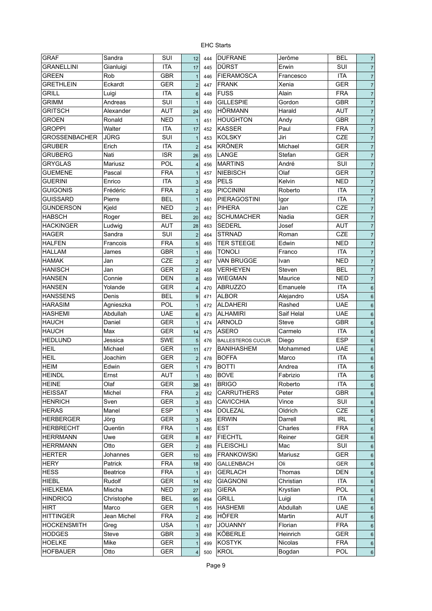| <b>GRAF</b>          | Sandra          | SUI        | 12                      | 444 | <b>DUFRANE</b>            | Jerôme     | <b>BEL</b> | $\overline{7}$  |
|----------------------|-----------------|------------|-------------------------|-----|---------------------------|------------|------------|-----------------|
| <b>GRANELLINI</b>    | Gianluigi       | <b>ITA</b> | 17                      | 445 | <b>DÜRST</b>              | Erwin      | SUI        | $\overline{7}$  |
| <b>GREEN</b>         | Rob             | <b>GBR</b> | $\mathbf{1}$            | 446 | <b>FIERAMOSCA</b>         | Francesco  | <b>ITA</b> | $\overline{7}$  |
| <b>GRETHLEIN</b>     | Eckardt         | <b>GER</b> | $\overline{2}$          | 447 | <b>FRANK</b>              | Xenia      | <b>GER</b> | $\overline{7}$  |
| <b>GRILL</b>         | Luigi           | <b>ITA</b> | $6\phantom{1}$          | 448 | <b>FUSS</b>               | Alain      | <b>FRA</b> | $\overline{7}$  |
| <b>GRIMM</b>         | Andreas         | SUI        | $\mathbf{1}$            | 449 | <b>GILLESPIE</b>          | Gordon     | <b>GBR</b> | $\overline{7}$  |
| <b>GRITSCH</b>       | Alexander       | <b>AUT</b> | 24                      | 450 | <b>HÖRMANN</b>            | Harald     | <b>AUT</b> | $\overline{7}$  |
| <b>GROEN</b>         | Ronald          | <b>NED</b> | $\mathbf{1}$            | 451 | <b>HOUGHTON</b>           | Andy       | <b>GBR</b> | $\overline{7}$  |
| <b>GROPPI</b>        | Walter          | <b>ITA</b> | 17                      | 452 | <b>KASSER</b>             | Paul       | <b>FRA</b> | $\overline{7}$  |
| <b>GROSSENBACHER</b> | <b>JÜRG</b>     | SUI        | $\mathbf{1}$            | 453 | <b>KOLSKY</b>             | Jiri       | CZE        | $\overline{7}$  |
| <b>GRUBER</b>        | Erich           | <b>ITA</b> | $\overline{2}$          | 454 | <b>KRÖNER</b>             | Michael    | <b>GER</b> | $\overline{7}$  |
| <b>GRUBERG</b>       | Nati            | <b>ISR</b> | 26                      | 455 | LANGE                     | Stefan     | GER        | $\overline{7}$  |
| <b>GRYGLAS</b>       | Mariusz         | <b>POL</b> | $\overline{\mathbf{4}}$ | 456 | <b>MARTINS</b>            | André      | SUI        | $\overline{7}$  |
| <b>GUEMENE</b>       | Pascal          | <b>FRA</b> | $\mathbf{1}$            | 457 | <b>NIEBISCH</b>           | Olaf       | <b>GER</b> | $\overline{7}$  |
| <b>GUERINI</b>       | Enrico          | <b>ITA</b> | $\mathsf 3$             | 458 | <b>PELS</b>               | Kelvin     | <b>NED</b> | $\overline{7}$  |
| <b>GUIGONIS</b>      | Frédéric        | <b>FRA</b> | $\overline{c}$          | 459 | <b>PICCININI</b>          | Roberto    | <b>ITA</b> | $\overline{7}$  |
| <b>GUISSARD</b>      | Pierre          | <b>BEL</b> | $\mathbf{1}$            | 460 | PIERAGOSTINI              | Igor       | <b>ITA</b> | $\overline{7}$  |
| <b>GUNDERSON</b>     | Kjeld           | NED        | $\mathbf 2$             | 461 | <b>PIHERA</b>             | Jan        | CZE        | $\overline{7}$  |
| <b>HABSCH</b>        | Roger           | <b>BEL</b> | 20                      | 462 | <b>SCHUMACHER</b>         | Nadia      | <b>GER</b> | $\overline{7}$  |
| <b>HACKINGER</b>     | Ludwig          | <b>AUT</b> | 28                      |     | <b>SEDERL</b>             | Josef      | <b>AUT</b> | $\overline{7}$  |
| <b>HAGER</b>         | Sandra          | SUI        |                         | 463 | <b>STRNAD</b>             | Roman      | CZE        |                 |
| HALFEN               | Francois        | <b>FRA</b> | $\overline{c}$          | 464 | <b>TER STEEGE</b>         | Edwin      | <b>NED</b> | $\overline{7}$  |
|                      |                 |            | 5                       | 465 |                           |            |            | $\overline{7}$  |
| <b>HALLAM</b>        | James           | <b>GBR</b> | $\mathbf{1}$            | 466 | TONOLI                    | Franco     | <b>ITA</b> | $\overline{7}$  |
| <b>HAMAK</b>         | Jan             | CZE        | $\overline{c}$          | 467 | <b>VAN BRUGGE</b>         | Ivan       | <b>NED</b> | $\overline{7}$  |
| <b>HANISCH</b>       | Jan             | GER        | $\mathbf 2$             | 468 | <b>VERHEYEN</b>           | Steven     | <b>BEL</b> | $\overline{7}$  |
| <b>HANSEN</b>        | Connie          | <b>DEN</b> | 8                       | 469 | WIEGMAN                   | Maurice    | <b>NED</b> | $\overline{7}$  |
| <b>HANSEN</b>        | Yolande         | <b>GER</b> | $\overline{\mathbf{4}}$ | 470 | <b>ABRUZZO</b>            | Emanuele   | <b>ITA</b> | $6\phantom{1}$  |
| <b>HANSSENS</b>      | Denis           | <b>BEL</b> | $9\,$                   | 471 | <b>ALBOR</b>              | Alejandro  | <b>USA</b> | $6\phantom{1}$  |
| <b>HARASIM</b>       | Agnieszka       | POL        | $\mathbf{1}$            | 472 | <b>ALDAHERI</b>           | Rashed     | <b>UAE</b> | $6\phantom{1}6$ |
| <b>HASHEMI</b>       | Abdullah        | <b>UAE</b> | $6\phantom{1}6$         | 473 | <b>ALHAMIRI</b>           | Saif Helal | <b>UAE</b> | $6\phantom{1}6$ |
| <b>HAUCH</b>         | Daniel          | <b>GER</b> | $\mathbf{1}$            | 474 | ARNOLD                    | Steve      | <b>GBR</b> | $6\phantom{1}$  |
| <b>HAUCH</b>         | Max             | GER        | 14                      | 475 | <b>ASERO</b>              | Carmelo    | <b>ITA</b> | $6\phantom{1}$  |
| <b>HEDLUND</b>       | Jessica         | <b>SWE</b> | 5                       | 476 | <b>BALLESTEROS CUCUR.</b> | Diego      | <b>ESP</b> | $6\phantom{1}$  |
| <b>HEIL</b>          | Michael         | <b>GER</b> | 11                      | 477 | <b>BANIHASHEM</b>         | Mohammed   | <b>UAE</b> | $6\phantom{1}$  |
| <b>HEIL</b>          | Joachim         | <b>GER</b> | $\overline{\mathbf{c}}$ | 478 | <b>BOFFA</b>              | Marco      | <b>ITA</b> | $6\phantom{1}$  |
| <b>HEIM</b>          | Edwin           | <b>GER</b> | $\mathbf{1}$            | 479 | <b>BOTTI</b>              | Andrea     | <b>ITA</b> | $6\phantom{1}6$ |
| <b>HEINDL</b>        | Ernst           | AUT        | $\overline{1}$          | 480 | <b>BOVE</b>               | Fabrizio   | <b>ITA</b> | $6\phantom{1}$  |
| <b>HEINE</b>         | Olaf            | <b>GER</b> | 38                      | 481 | <b>BRIGO</b>              | Roberto    | <b>ITA</b> | $6\phantom{1}6$ |
| <b>HEISSAT</b>       | Michel          | <b>FRA</b> | $\overline{2}$          | 482 | <b>CARRUTHERS</b>         | Peter      | GBR        | $6\phantom{1}$  |
| <b>HENRICH</b>       | Sven            | <b>GER</b> | 3                       | 483 | <b>CAVICCHIA</b>          | Vince      | SUI        | $6\phantom{1}$  |
| <b>HERAS</b>         | Manel           | <b>ESP</b> | $\mathbf{1}$            | 484 | <b>DOLEZAL</b>            | Oldrich    | CZE        | $\,6$           |
| <b>HERBERGER</b>     | Jörg            | <b>GER</b> | 3                       | 485 | <b>ERWIN</b>              | Darrell    | <b>IRL</b> | $6\phantom{1}$  |
| <b>HERBRECHT</b>     | Quentin         | <b>FRA</b> | $\mathbf{1}$            | 486 | <b>EST</b>                | Charles    | <b>FRA</b> | $6\phantom{1}$  |
| <b>HERRMANN</b>      | Uwe             | <b>GER</b> | 8                       | 487 | <b>FIECHTL</b>            | Reiner     | <b>GER</b> | $6\phantom{1}$  |
| <b>HERRMANN</b>      | Otto            | <b>GER</b> | $\overline{2}$          | 488 | <b>FLEISCHLI</b>          | Mac        | SUI        | $\,6$           |
| <b>HERTER</b>        | Johannes        | <b>GER</b> | 10                      | 489 | <b>FRANKOWSKI</b>         | Mariusz    | <b>GER</b> | $\,6$           |
| <b>HERY</b>          | Patrick         | <b>FRA</b> | 18                      | 490 | <b>GALLENBACH</b>         | Oli        | <b>GER</b> | $\,6$           |
| <b>HESS</b>          | <b>Beatrice</b> | <b>FRA</b> | $\mathbf{1}$            | 491 | <b>GERLACH</b>            | Thomas     | <b>DEN</b> | $\,6$           |
| <b>HIEBL</b>         | Rudolf          | <b>GER</b> | 14                      | 492 | <b>GIAGNONI</b>           | Christian  | <b>ITA</b> | $\,6$           |
| <b>HIELKEMA</b>      | Mischa          | <b>NED</b> | 27                      | 493 | <b>GIERA</b>              | Krystian   | POL        | $6\phantom{1}$  |
| <b>HINDRICQ</b>      | Christophe      | <b>BEL</b> | 95                      | 494 | <b>GRILL</b>              | Luigi      | <b>ITA</b> | $\,6$           |
| <b>HIRT</b>          | Marco           | <b>GER</b> | $\mathbf{1}$            | 495 | <b>HASHEMI</b>            | Abdullah   | <b>UAE</b> | $6\phantom{1}$  |
| <b>HITTINGER</b>     | Jean Michel     | <b>FRA</b> | $\overline{\mathbf{c}}$ | 496 | <b>HÖFER</b>              | Martin     | <b>AUT</b> | $6\phantom{1}$  |
| <b>HOCKENSMITH</b>   | Greg            | <b>USA</b> | $\mathbf{1}$            | 497 | <b>JOUANNY</b>            | Florian    | <b>FRA</b> | $6\phantom{1}$  |
| <b>HODGES</b>        | Steve           | <b>GBR</b> | 3                       | 498 | KÖBERLE                   | Heinrich   | <b>GER</b> |                 |
| <b>HOELKE</b>        | Mike            | <b>GER</b> |                         |     | <b>KOSTYK</b>             | Nicolas    | <b>FRA</b> | $6\phantom{1}$  |
|                      |                 |            | $\mathbf{1}$            | 499 |                           |            |            | $\,6$           |
| <b>HOFBAUER</b>      | Otto            | <b>GER</b> | $\overline{\mathbf{4}}$ | 500 | <b>KROL</b>               | Bogdan     | POL        | $6\phantom{1}6$ |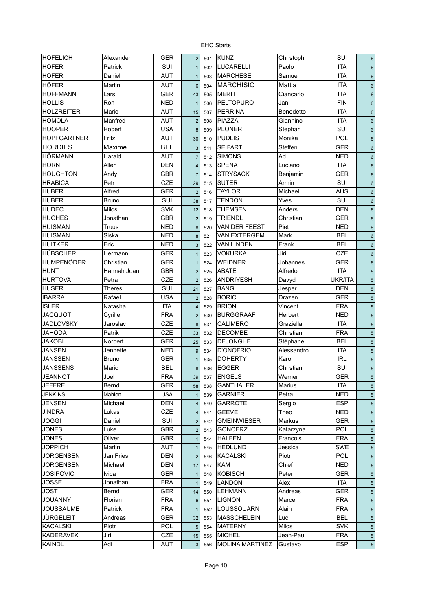| <b>HOFELICH</b>    | Alexander             | <b>GER</b> | $\overline{2}$          | 501 | <b>KUNZ</b>            | Christoph      | SUI        | $\,6$           |
|--------------------|-----------------------|------------|-------------------------|-----|------------------------|----------------|------------|-----------------|
| <b>HOFER</b>       | Patrick               | SUI        | $\mathbf{1}$            | 502 | <b>LUCARELLI</b>       | Paolo          | <b>ITA</b> | $\,6$           |
| <b>HOFER</b>       | Daniel                | <b>AUT</b> | $\overline{1}$          | 503 | <b>MARCHESE</b>        | Samuel         | <b>ITA</b> | $\,6$           |
| <b>HÖFER</b>       | Martin                | <b>AUT</b> | $6\phantom{1}6$         | 504 | <b>MARCHISIO</b>       | Mattia         | <b>ITA</b> | $\,6$           |
| <b>HOFFMANN</b>    | Lars                  | <b>GER</b> | 43                      | 505 | <b>MERITI</b>          | Ciancarlo      | <b>ITA</b> | $6\phantom{1}6$ |
| <b>HOLLIS</b>      | Ron                   | <b>NED</b> | $\overline{1}$          | 506 | <b>PELTOPURO</b>       | Jani           | <b>FIN</b> | $6\phantom{1}6$ |
| <b>HOLZREITER</b>  | Mario                 | <b>AUT</b> | 15                      | 507 | <b>PERRINA</b>         | Benedetto      | <b>ITA</b> | $\,6$           |
| <b>HOMOLA</b>      | Manfred               | <b>AUT</b> | $\overline{2}$          | 508 | <b>PIAZZA</b>          | Giannino       | <b>ITA</b> | $6\phantom{1}$  |
| <b>HOOPER</b>      | Robert                | <b>USA</b> | 8                       | 509 | <b>PLONER</b>          | Stephan        | SUI        | $6\phantom{1}$  |
| <b>HOPFGARTNER</b> | Fritz                 | <b>AUT</b> | 30                      | 510 | <b>PUDLIS</b>          | Monika         | POL        | $6\phantom{1}$  |
| <b>HORDIES</b>     | Maxime                | <b>BEL</b> | 3                       | 511 | <b>SEIFART</b>         | <b>Steffen</b> | <b>GER</b> | 6               |
| HÖRMANN            | Harald                | <b>AUT</b> | $\overline{7}$          | 512 | <b>SIMONS</b>          | Ad             | <b>NED</b> | $6\phantom{1}$  |
| <b>HORN</b>        | Allen                 | <b>DEN</b> | $\overline{4}$          | 513 | <b>SPENA</b>           | Luciano        | <b>ITA</b> | $6\phantom{1}6$ |
| <b>HOUGHTON</b>    | Andy                  | <b>GBR</b> | $\overline{7}$          | 514 | <b>STRYSACK</b>        | Benjamin       | <b>GER</b> | $6\phantom{1}6$ |
| <b>HRABICA</b>     | Petr                  | <b>CZE</b> | 29                      | 515 | <b>SUTER</b>           | Armin          | SUI        | $6\phantom{1}6$ |
| <b>HUBER</b>       | Alfred                | GER        | $\overline{2}$          | 516 | <b>TAYLOR</b>          | Michael        | <b>AUS</b> | $6\phantom{1}6$ |
| <b>HUBER</b>       |                       | SUI        |                         |     | <b>TENDON</b>          | Yves           | SUI        |                 |
|                    | <b>Bruno</b><br>Milos | <b>SVK</b> | 38                      | 517 | <b>THEMSEN</b>         | Anders         |            | $6\phantom{1}6$ |
| <b>HUDEC</b>       |                       |            | 12                      | 518 |                        |                | <b>DEN</b> | $6\phantom{1}6$ |
| <b>HUGHES</b>      | Jonathan              | GBR        | $\overline{2}$          | 519 | <b>TRIENDL</b>         | Christian      | <b>GER</b> | $6\phantom{1}6$ |
| <b>HUISMAN</b>     | <b>Truus</b>          | <b>NED</b> | 8                       | 520 | VAN DER FEEST          | Piet           | <b>NED</b> | $6\phantom{1}6$ |
| <b>HUISMAN</b>     | Siska                 | <b>NED</b> | 8                       | 521 | VAN EXTERGEM           | Mark           | <b>BEL</b> | $6\phantom{1}6$ |
| <b>HUITKER</b>     | Eric                  | <b>NED</b> | 3                       | 522 | <b>VAN LINDEN</b>      | Frank          | <b>BEL</b> | $6\phantom{1}$  |
| <b>HÜBSCHER</b>    | Hermann               | <b>GER</b> |                         | 523 | <b>VOKURKA</b>         | Jiri           | <b>CZE</b> | $6\phantom{1}$  |
| <b>HUMPENÖDER</b>  | Christian             | <b>GER</b> | $\mathbf{1}$            | 524 | <b>WEIDNER</b>         | Johannes       | <b>GER</b> | $6\phantom{1}$  |
| <b>HUNT</b>        | Hannah Joan           | GBR        | $\overline{2}$          | 525 | ABATE                  | Alfredo        | <b>ITA</b> | 5               |
| <b>HURTOVA</b>     | Petra                 | <b>CZE</b> | $\overline{2}$          | 526 | <b>ANDRIYESH</b>       | Davyd          | UKR/ITA    | 5               |
| <b>HUSER</b>       | Theres                | SUI        | 21                      | 527 | <b>BANG</b>            | Jesper         | <b>DEN</b> | $\overline{5}$  |
| <b>IBARRA</b>      | Rafael                | <b>USA</b> | $\overline{2}$          | 528 | <b>BORIC</b>           | Drazen         | <b>GER</b> | $\overline{5}$  |
| <b>ISLER</b>       | Natasha               | <b>ITA</b> | $\overline{4}$          | 529 | <b>BRION</b>           | Vincent        | <b>FRA</b> | $\overline{5}$  |
| <b>JACQUOT</b>     | Cyrille               | <b>FRA</b> | $\overline{2}$          | 530 | <b>BURGGRAAF</b>       | Herbert        | <b>NED</b> | $\overline{5}$  |
| <b>JADLOVSKY</b>   | Jaroslav              | CZE        | 8                       | 531 | <b>CALIMERO</b>        | Graziella      | <b>ITA</b> | $\overline{5}$  |
| <b>JAHODA</b>      | Patrik                | CZE        | 33                      | 532 | <b>DECOMBE</b>         | Christian      | <b>FRA</b> | $\overline{5}$  |
| <b>JAKOBI</b>      | Norbert               | <b>GER</b> | 25                      | 533 | <b>DEJONGHE</b>        | Stéphane       | <b>BEL</b> | $\overline{5}$  |
| <b>JANSEN</b>      | Jennette              | <b>NED</b> | 9                       | 534 | D'ONOFRIO              | Alessandro     | <b>ITA</b> | $\sqrt{5}$      |
| <b>JANSSEN</b>     | <b>Bruno</b>          | GER        | $\overline{1}$          | 535 | <b>DOHERTY</b>         | Karol          | <b>IRL</b> | $\sqrt{5}$      |
| <b>JANSSENS</b>    | Mario                 | <b>BEL</b> | $\boldsymbol{8}$        | 536 | <b>EGGER</b>           | Christian      | SUI        | $\sqrt{5}$      |
| <b>JEANNOT</b>     | Joel                  | <b>FRA</b> | 39                      | 537 | <b>ENGELS</b>          | Werner         | <b>GER</b> | $\overline{5}$  |
| JEFFRE             | Bernd                 | <b>GER</b> | 58                      | 538 | <b>GANTHALER</b>       | Marius         | ITA        | $\sqrt{5}$      |
| <b>JENKINS</b>     | Mahlon                | <b>USA</b> |                         | 539 | <b>GARNIER</b>         | Petra          | <b>NED</b> | $\sqrt{5}$      |
| JENSEN             | Michael               | <b>DEN</b> | $\overline{\mathbf{4}}$ | 540 | <b>GARROTE</b>         | Sergio         | <b>ESP</b> | $\sqrt{5}$      |
| JINDRA             | Lukas                 | CZE        | $\overline{4}$          | 541 | <b>GEEVE</b>           | Theo           | <b>NED</b> | $\sqrt{5}$      |
| JOGGI              | Daniel                | SUI        | $\overline{c}$          | 542 | <b>GMEINWIESER</b>     | Markus         | <b>GER</b> | $\sqrt{5}$      |
| JONES              | Luke                  | <b>GBR</b> | $\overline{2}$          | 543 | <b>GONCERZ</b>         | Katarzyna      | <b>POL</b> | $\sqrt{5}$      |
| JONES              | Oliver                | <b>GBR</b> | $\mathbf{1}$            | 544 | <b>HALFEN</b>          | Francois       | <b>FRA</b> | 5               |
| <b>JOPPICH</b>     | Martin                | AUT        | $\mathbf{1}$            | 545 | <b>HEDLUND</b>         | Jessica        | <b>SWE</b> | 5               |
| <b>JORGENSEN</b>   | Jan Fries             | <b>DEN</b> | $\overline{2}$          | 546 | <b>KACALSKI</b>        | Piotr          | POL        | $\sqrt{5}$      |
| JORGENSEN          | Michael               | DEN        | 17                      | 547 | KAM                    | Chief          | <b>NED</b> | $\sqrt{5}$      |
| <b>JOSIPOVIC</b>   | Ivica                 | <b>GER</b> | $\mathbf{1}$            | 548 | <b>KOBISCH</b>         | Peter          | <b>GER</b> | 5               |
| JOSSE              | Jonathan              | <b>FRA</b> | $\mathbf{1}$            | 549 | <b>LANDONI</b>         | Alex           | ITA        | 5               |
| JOST               | Bernd                 | GER        | 14                      | 550 | <b>LEHMANN</b>         | Andreas        | <b>GER</b> | 5               |
| <b>JOUANNY</b>     | Florian               | <b>FRA</b> | 6                       | 551 | <b>LIGNON</b>          | Marcel         | <b>FRA</b> | 5               |
| <b>JOUSSAUME</b>   | Patrick               | <b>FRA</b> |                         | 552 | LOUSSOUARN             | Alain          | <b>FRA</b> | 5               |
| JÜRGELEIT          | Andreas               | <b>GER</b> | $\mathbf{1}$<br>32      | 553 | <b>MASSCHELEIN</b>     | Luc            | <b>BEL</b> |                 |
| KACALSKI           | Piotr                 | <b>POL</b> |                         | 554 | <b>MATERNY</b>         | Milos          | <b>SVK</b> | 5               |
| <b>KADERAVEK</b>   | Jiri                  | CZE        | 5                       |     | <b>MICHEL</b>          | Jean-Paul      | <b>FRA</b> | 5               |
| <b>KAINDL</b>      | Adi                   | AUT        | 15                      | 555 | <b>MOLINA MARTINEZ</b> | Gustavo        | <b>ESP</b> | 5               |
|                    |                       |            | 3                       | 556 |                        |                |            | $\overline{5}$  |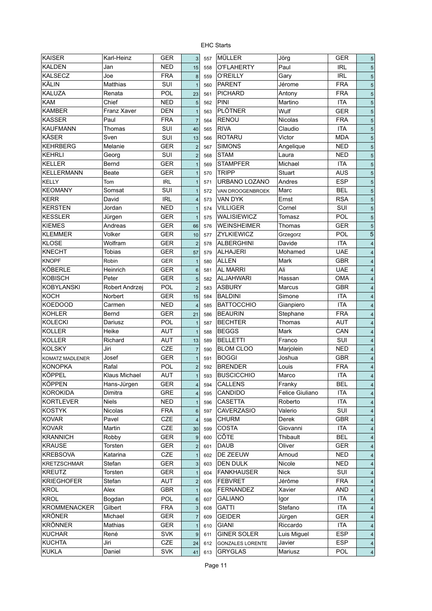| <b>KAISER</b>       | Karl-Heinz     | <b>GER</b> | 3                        | 557 | <b>MÜLLER</b>           | Jörg            | <b>GER</b> | 5                        |
|---------------------|----------------|------------|--------------------------|-----|-------------------------|-----------------|------------|--------------------------|
| <b>KALDEN</b>       | Jan            | <b>NED</b> | 15                       | 558 | O'FLAHERTY              | Paul            | <b>IRL</b> | 5                        |
| <b>KALSECZ</b>      | Joe            | <b>FRA</b> | 8                        | 559 | <b>O'REILLY</b>         | Gary            | <b>IRL</b> | 5                        |
| <b>KÄLIN</b>        | Matthias       | SUI        | $\mathbf{1}$             | 560 | <b>PARENT</b>           | Jérome          | <b>FRA</b> | 5                        |
| <b>KALUZA</b>       | Renata         | <b>POL</b> | 23                       | 561 | <b>PICHARD</b>          | Antony          | <b>FRA</b> | 5                        |
| <b>KAM</b>          | Chief          | <b>NED</b> | $\overline{5}$           | 562 | PINI                    | Martino         | <b>ITA</b> | 5                        |
| <b>KAMBER</b>       | Franz Xaver    | <b>DEN</b> | $\mathbf{1}$             | 563 | <b>PLÖTNER</b>          | Wulf            | <b>GER</b> | 5                        |
| <b>KASSER</b>       | Paul           | <b>FRA</b> | $\overline{7}$           | 564 | <b>RENOU</b>            | Nicolas         | <b>FRA</b> | 5                        |
| <b>KAUFMANN</b>     | Thomas         | SUI        | 40                       | 565 | <b>RIVA</b>             | Claudio         | <b>ITA</b> | 5                        |
| <b>KÄSER</b>        | Sven           | SUI        | 13                       | 566 | <b>ROTARU</b>           | Victor          | <b>MDA</b> | 5                        |
| KEHRBERG            | Melanie        | <b>GER</b> | $\overline{c}$           | 567 | <b>SIMONS</b>           | Angelique       | <b>NED</b> | 5                        |
| <b>KEHRLI</b>       | Georg          | SUI        | $\overline{c}$           | 568 | <b>STAM</b>             | Laura           | <b>NED</b> | 5                        |
| <b>KELLER</b>       | Bernd          | <b>GER</b> | $\mathbf{1}$             | 569 | <b>STAMPFER</b>         | Michael         | <b>ITA</b> | 5                        |
| <b>KELLERMANN</b>   | Beate          | GER        | $\mathbf{1}$             | 570 | <b>TRIPP</b>            | Stuart          | <b>AUS</b> | 5                        |
| <b>KELLY</b>        | Tom            | <b>IRL</b> | $\mathbf{1}$             | 571 | URBANO LOZANO           | Andres          | <b>ESP</b> | 5                        |
| <b>KEOMANY</b>      | Somsat         | SUI        | $\mathbf{1}$             | 572 | VAN DROOGENBROEK        | Marc            | <b>BEL</b> | 5                        |
| <b>KERR</b>         | David          | <b>IRL</b> | $\overline{\mathbf{4}}$  | 573 | <b>VAN DYK</b>          | Ernst           | <b>RSA</b> | 5                        |
| <b>KERSTEN</b>      | Jordan         | <b>NED</b> | $\mathbf{1}$             | 574 | <b>VILLIGER</b>         | Cornel          | SUI        | 5                        |
| <b>KESSLER</b>      | Jürgen         | <b>GER</b> | $\mathbf{1}$             | 575 | WALISIEWICZ             | Tomasz          | POL        | 5                        |
| <b>KIEMES</b>       | Andreas        | GER        | 66                       | 576 | <b>WEINSHEIMER</b>      | Thomas          | <b>GER</b> | 5                        |
| <b>KLEMMER</b>      | Volker         | <b>GER</b> | 10                       |     | ZYLKIEWICZ              | Grzegorz        | POL        | 5                        |
| <b>KLOSE</b>        | Wolfram        | <b>GER</b> |                          | 577 | <b>ALBERGHINI</b>       | Davide          | <b>ITA</b> |                          |
| <b>KNECHT</b>       | <b>Tobias</b>  |            | $\overline{2}$           | 578 | <b>ALHAJERI</b>         |                 | <b>UAE</b> | $\overline{4}$           |
|                     |                | GER        | 57                       | 579 |                         | Mohamed         |            | $\overline{4}$           |
| <b>KNOPF</b>        | Robin          | <b>GER</b> | $\mathbf{1}$             | 580 | ALLEN                   | Mark            | <b>GBR</b> | $\overline{4}$           |
| KÖBERLE             | Heinrich       | <b>GER</b> | $6\phantom{1}$           | 581 | <b>AL MARRI</b>         | Ali             | <b>UAE</b> | $\overline{4}$           |
| <b>KOBISCH</b>      | Peter          | <b>GER</b> | 5                        | 582 | <b>ALJAHWARI</b>        | Hassan          | <b>OMA</b> | $\overline{4}$           |
| <b>KOBYLANSKI</b>   | Robert Andrzej | <b>POL</b> | $\overline{2}$           | 583 | <b>ASBURY</b>           | Marcus          | <b>GBR</b> | $\overline{4}$           |
| <b>KOCH</b>         | Norbert        | <b>GER</b> | 15                       | 584 | <b>BALDINI</b>          | Simone          | <b>ITA</b> | $\overline{4}$           |
| <b>KOEDOOD</b>      | Carmen         | NED        | $\overline{4}$           | 585 | <b>BATTOCCHIO</b>       | Gianpiero       | <b>ITA</b> | $\overline{4}$           |
| <b>KOHLER</b>       | Bernd          | <b>GER</b> | 21                       | 586 | <b>BEAURIN</b>          | Stephane        | <b>FRA</b> | $\overline{\mathbf{4}}$  |
| <b>KOLECKI</b>      | Dariusz        | POL        | $\mathbf{1}$             | 587 | <b>BECHTER</b>          | Thomas          | <b>AUT</b> | $\overline{\mathbf{4}}$  |
| <b>KOLLER</b>       | Heike          | AUT        | $\mathbf{1}$             | 588 | <b>BEGGS</b>            | Mark            | CAN        | $\overline{\mathcal{A}}$ |
| <b>KOLLER</b>       | Richard        | AUT        | 13                       | 589 | <b>BELLETTI</b>         | Franco          | SUI        | $\overline{4}$           |
| <b>KOLSKY</b>       | Jiri           | CZE        | $\overline{7}$           | 590 | <b>BLOM CLOO</b>        | Marjolein       | <b>NED</b> | $\overline{4}$           |
| KOMATZ MADLENER     | Josef          | <b>GER</b> | $\mathbf{1}$             | 591 | <b>BOGGI</b>            | Joshua          | <b>GBR</b> | $\overline{4}$           |
| <b>KONOPKA</b>      | Rafal          | POL        | $\overline{2}$           | 592 | <b>BRENDER</b>          | Louis           | <b>FRA</b> | $\overline{4}$           |
| KÖPPEL              | Klaus Michael  | AUT        | 1                        | 593 | <b>BUSCICCHIO</b>       | Marco           | <b>ITA</b> | $\overline{4}$           |
| <b>KÖPPEN</b>       | Hans-Jürgen    | <b>GER</b> | $\overline{\mathbf{4}}$  | 594 | CALLENS                 | Franky          | <b>BEL</b> | 4                        |
| <b>KOROKIDA</b>     | Dimitra        | GRE        | 4                        | 595 | CANDIDO                 | Felice Giuliano | <b>ITA</b> | 4                        |
| <b>KORTLEVER</b>    | <b>Niels</b>   | NED        | $\mathbf{1}$             | 596 | <b>CASETTA</b>          | Roberto         | <b>ITA</b> | $\overline{4}$           |
| <b>KOSTYK</b>       | Nicolas        | <b>FRA</b> | $6\phantom{1}$           | 597 | <b>CAVERZASIO</b>       | Valerio         | SUI        | $\overline{4}$           |
| <b>KOVAR</b>        | Pavel          | CZE        | $\overline{\mathbf{4}}$  | 598 | <b>CHURM</b>            | Derek           | GBR        | $\overline{4}$           |
| <b>KOVAR</b>        | Martin         | CZE        | 30                       | 599 | <b>COSTA</b>            | Giovanni        | <b>ITA</b> | $\overline{4}$           |
| <b>KRANNICH</b>     | Robby          | <b>GER</b> | $9\,$                    | 600 | CÔTE                    | Thibault        | <b>BEL</b> | $\overline{4}$           |
| <b>KRAUSE</b>       | Torsten        | <b>GER</b> | $\overline{c}$           | 601 | <b>DAUB</b>             | Oliver          | <b>GER</b> | $\overline{4}$           |
| <b>KREBSOVA</b>     | Katarina       | CZE        | $\mathbf{1}$             | 602 | DE ZEEUW                | Arnoud          | <b>NED</b> | $\overline{4}$           |
| <b>KRETZSCHMAR</b>  | Stefan         | GER        | $\sqrt{3}$               | 603 | DEN DULK                | Nicole          | <b>NED</b> | $\overline{4}$           |
| <b>KREUTZ</b>       | Torsten        | <b>GER</b> | $\mathbf{1}$             | 604 | <b>FANKHAUSER</b>       | <b>Nick</b>     | SUI        | $\overline{4}$           |
| <b>KRIEGHOFER</b>   | Stefan         | AUT        | $\overline{c}$           | 605 | <b>FEBVRET</b>          | Jérôme          | <b>FRA</b> | $\overline{4}$           |
| <b>KROL</b>         | Alex           | GBR        | $\mathbf{1}$             | 606 | <b>FERNANDEZ</b>        | Xavier          | <b>AND</b> | 4                        |
| <b>KROL</b>         | Bogdan         | POL        | $\,6\,$                  | 607 | <b>GALIANO</b>          | Igor            | <b>ITA</b> | 4                        |
| <b>KROMMENACKER</b> | Gilbert        | <b>FRA</b> | $\sqrt{3}$               | 608 | <b>GATTI</b>            | Stefano         | <b>ITA</b> | $\overline{\mathcal{A}}$ |
| <b>KRÖNER</b>       | Michael        | GER        | $\overline{\mathcal{I}}$ | 609 | <b>GEIDER</b>           | Jürgen          | <b>GER</b> |                          |
| <b>KRÖNNER</b>      | Mathias        | GER        |                          |     | <b>GIANI</b>            | Riccardo        | <b>ITA</b> | 4                        |
| <b>KUCHAR</b>       |                | <b>SVK</b> | $\mathbf{1}$             | 610 | <b>GINER SOLER</b>      |                 | <b>ESP</b> | 4                        |
| <b>KUCHTA</b>       | René<br>Jiri   |            | $\boldsymbol{9}$         | 611 |                         | Luis Miguel     | <b>ESP</b> | $\overline{4}$           |
|                     |                | CZE        | 24                       | 612 | <b>GONZALES LORENTE</b> | Javier          |            | $\overline{\mathcal{A}}$ |
| <b>KUKLA</b>        | Daniel         | SVK        | 41                       | 613 | <b>GRYGLAS</b>          | Mariusz         | POL        | $\overline{4}$           |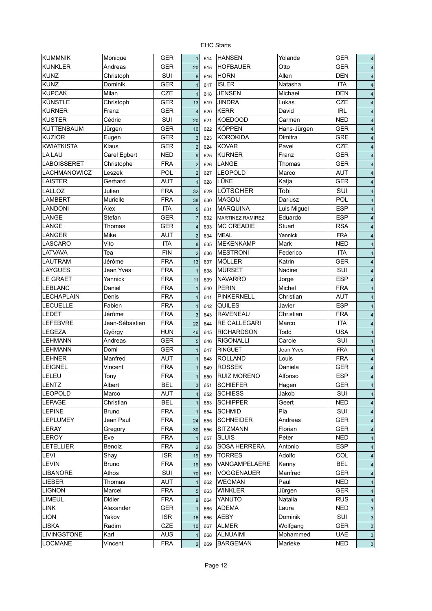| <b>KUMMNIK</b>     | Monique          | <b>GER</b> | $\mathbf{1}$            | 614 | <b>HANSEN</b>      | Yolande         | <b>GER</b> | $\sqrt{4}$              |
|--------------------|------------------|------------|-------------------------|-----|--------------------|-----------------|------------|-------------------------|
| <b>KÜNKLER</b>     | Andreas          | <b>GER</b> | 20                      | 615 | <b>HOFBAUER</b>    | Otto            | <b>GER</b> | $\overline{4}$          |
| <b>KUNZ</b>        | Christoph        | SUI        | $6\phantom{1}6$         | 616 | <b>HORN</b>        | Allen           | <b>DEN</b> | $\overline{4}$          |
| <b>KUNZ</b>        | Dominik          | <b>GER</b> | $\mathbf{1}$            | 617 | <b>ISLER</b>       | Natasha         | <b>ITA</b> | $\overline{4}$          |
| <b>KUPCAK</b>      | Milan            | CZE        | $\mathbf{1}$            | 618 | <b>JENSEN</b>      | Michael         | <b>DEN</b> | $\overline{4}$          |
| KÜNSTLE            | Christoph        | <b>GER</b> | 13                      | 619 | <b>JINDRA</b>      | Lukas           | CZE        | $\overline{4}$          |
| <b>KÜRNER</b>      | Franz            | <b>GER</b> | $\overline{4}$          | 620 | <b>KERR</b>        | David           | <b>IRL</b> | $\overline{4}$          |
| <b>KUSTER</b>      | Cédric           | SUI        | 20                      | 621 | <b>KOEDOOD</b>     | Carmen          | <b>NED</b> | $\overline{4}$          |
| KÜTTENBAUM         | Jürgen           | <b>GER</b> | 10                      | 622 | <b>KÖPPEN</b>      | Hans-Jürgen     | <b>GER</b> | $\overline{\mathbf{4}}$ |
| <b>KUZIOR</b>      | Eugen            | <b>GER</b> | 3                       | 623 | <b>KOROKIDA</b>    | Dimitra         | GRE        | $\overline{4}$          |
| <b>KWIATKISTA</b>  | Klaus            | <b>GER</b> | $\overline{2}$          | 624 | <b>KOVAR</b>       | Pavel           | CZE        | $\overline{4}$          |
| <b>LA LAU</b>      | Carel Egbert     | <b>NED</b> | $\overline{9}$          | 625 | <b>KÜRNER</b>      | Franz           | <b>GER</b> | $\overline{\mathbf{4}}$ |
| <b>LABOISSERET</b> | Christophe       | <b>FRA</b> | $\overline{2}$          | 626 | LANGE              | Thomas          | <b>GER</b> | $\overline{\mathbf{4}}$ |
| LACHMANOWICZ       | Leszek           | <b>POL</b> | $\overline{2}$          | 627 | <b>LEOPOLD</b>     | Marco           | <b>AUT</b> | $\sqrt{4}$              |
| <b>LAISTER</b>     | Gerhard          | <b>AUT</b> | $\mathbf{1}$            | 628 | LÜKE               | Katja           | <b>GER</b> | $\overline{4}$          |
| LALLOZ             | Julien           | <b>FRA</b> | 32                      | 629 | LÖTSCHER           | Tobi            | SUI        | $\overline{\mathbf{4}}$ |
| <b>LAMBERT</b>     | <b>Murielle</b>  | <b>FRA</b> | 38                      | 630 | <b>MAGDIJ</b>      | Dariusz         | POL        | $\overline{\mathbf{4}}$ |
| <b>LANDONI</b>     | Alex             | <b>ITA</b> | $\overline{5}$          | 631 | <b>MARQUINA</b>    | Luis Miguel     | <b>ESP</b> | $\overline{\mathbf{4}}$ |
| LANGE              | Stefan           | <b>GER</b> | $\overline{7}$          | 632 | MARTINEZ RAMIREZ   | Eduardo         | <b>ESP</b> | $\overline{4}$          |
| LANGE              | Thomas           | <b>GER</b> | $\overline{4}$          | 633 | <b>MC CREADIE</b>  | Stuart          | <b>RSA</b> | $\overline{4}$          |
| <b>LANGER</b>      | Mike             | <b>AUT</b> | $\mathbf 2$             | 634 | <b>MEAL</b>        | Yannick         | <b>FRA</b> | $\overline{4}$          |
| <b>LASCARO</b>     | Vito             | <b>ITA</b> | 8                       | 635 | <b>MEKENKAMP</b>   | Mark            | <b>NED</b> | $\overline{\mathbf{4}}$ |
| <b>LATVAVA</b>     | Tea              | <b>FIN</b> | $\overline{2}$          | 636 | <b>MESTRONI</b>    | Federico        | <b>ITA</b> | $\overline{\mathbf{4}}$ |
| <b>LAUTRAM</b>     | Jérôme           | <b>FRA</b> |                         |     | <b>MÖLLER</b>      | Katrin          | <b>GER</b> |                         |
| <b>LAYGUES</b>     | <b>Jean Yves</b> | <b>FRA</b> | 13                      | 637 | <b>MÜRSET</b>      | Nadine          | SUI        | $\overline{\mathbf{4}}$ |
| <b>LE GRAET</b>    | Yannick          | <b>FRA</b> | $\mathbf{1}$            | 638 | <b>NAVARRO</b>     |                 | <b>ESP</b> | $\overline{\mathbf{4}}$ |
| <b>LEBLANC</b>     | Daniel           | <b>FRA</b> | 11                      | 639 | <b>PERIN</b>       | Jorge<br>Michel | <b>FRA</b> | $\overline{\mathbf{4}}$ |
| <b>LECHAPLAIN</b>  |                  | <b>FRA</b> | $\mathbf{1}$            | 640 | <b>PINKERNELL</b>  |                 |            | $\overline{4}$          |
|                    | Denis            |            | $\mathbf{1}$            | 641 |                    | Christian       | <b>AUT</b> | $\overline{\mathbf{4}}$ |
| <b>LECUELLE</b>    | Fabien           | <b>FRA</b> | $\mathbf{1}$            | 642 | QUILES             | Javier          | <b>ESP</b> | $\overline{4}$          |
| <b>LEDET</b>       | Jérôme           | <b>FRA</b> | 3                       | 643 | <b>RAVENEAU</b>    | Christian       | <b>FRA</b> | $\overline{4}$          |
| <b>LEFEBVRE</b>    | Jean-Sébastien   | <b>FRA</b> | 22                      | 644 | RE CALLEGARI       | Marco           | <b>ITA</b> | $\overline{4}$          |
| LEGEZA             | György           | <b>HUN</b> | 46                      | 645 | <b>RICHARDSON</b>  | Todd            | <b>USA</b> | $\overline{4}$          |
| <b>LEHMANN</b>     | Andreas          | <b>GER</b> | 5                       | 646 | <b>RIGONALLI</b>   | Carole          | SUI        | $\overline{4}$          |
| <b>LEHMANN</b>     | Domi             | <b>GER</b> | $\mathbf{1}$            | 647 | <b>RINGUET</b>     | Jean Yves       | <b>FRA</b> | $\overline{4}$          |
| <b>LEHNER</b>      | Manfred          | <b>AUT</b> | $\mathbf{1}$            | 648 | ROLLAND            | Louis           | <b>FRA</b> | $\overline{\mathbf{4}}$ |
| <b>LEIGNEL</b>     | Vincent          | <b>FRA</b> | $\mathbf{1}$            | 649 | <b>ROSSEK</b>      | Daniela         | <b>GER</b> | $\sqrt{4}$              |
| <b>LELEU</b>       | Tony             | <b>FRA</b> | $\overline{1}$          | 650 | <b>RUIZ MORENO</b> | Alfonso         | <b>ESP</b> | $\overline{4}$          |
| <b>LENTZ</b>       | Albert           | <b>BEL</b> | 3                       | 651 | <b>SCHIEFER</b>    | Hagen           | <b>GER</b> | $\overline{\mathbf{4}}$ |
| <b>LEOPOLD</b>     | Marco            | AUT        | $\overline{\mathbf{4}}$ | 652 | <b>SCHIESS</b>     | Jakob           | SUI        | $\overline{\mathbf{4}}$ |
| <b>LEPAGE</b>      | Christian        | <b>BEL</b> | $\mathbf{1}$            | 653 | <b>SCHIPPER</b>    | Geert           | <b>NED</b> | $\overline{4}$          |
| <b>LEPINE</b>      | <b>Bruno</b>     | <b>FRA</b> | $\mathbf{1}$            | 654 | <b>SCHMID</b>      | Pia             | SUI        | $\overline{\mathbf{4}}$ |
| <b>LEPLUMEY</b>    | Jean Paul        | <b>FRA</b> | 24                      | 655 | <b>SCHNEIDER</b>   | Andreas         | <b>GER</b> | $\overline{\mathbf{4}}$ |
| LERAY              | Gregory          | <b>FRA</b> | 30                      | 656 | <b>SITZMANN</b>    | Florian         | <b>GER</b> | $\overline{4}$          |
| LEROY              | Eve              | <b>FRA</b> | $\mathbf{1}$            | 657 | <b>SLUIS</b>       | Peter           | <b>NED</b> | $\overline{\mathbf{4}}$ |
| LETELLIER          | Benoiz           | <b>FRA</b> | $\overline{2}$          | 658 | SOSA HERRERA       | Antonio         | <b>ESP</b> | $\overline{4}$          |
| <b>LEVI</b>        | Shay             | <b>ISR</b> | 19                      | 659 | <b>TORRES</b>      | Adolfo          | COL        | $\overline{4}$          |
| <b>LEVIN</b>       | <b>Bruno</b>     | <b>FRA</b> | 19                      | 660 | VANGAMPELAERE      | Kenny           | <b>BEL</b> | $\overline{\mathbf{4}}$ |
| <b>LIBANORE</b>    | Athos            | SUI        | 70                      | 661 | VOGGENAUER         | Manfred         | <b>GER</b> | $\overline{\mathbf{4}}$ |
| LIEBER             | Thomas           | AUT        | $\mathbf{1}$            | 662 | WEGMAN             | Paul            | <b>NED</b> | $\overline{\mathbf{4}}$ |
| <b>LIGNON</b>      | Marcel           | <b>FRA</b> | $\sqrt{5}$              | 663 | WINKLER            | Jürgen          | <b>GER</b> | $\overline{\mathbf{4}}$ |
| LIMEUL             | Didier           | <b>FRA</b> | $\boldsymbol{9}$        | 664 | YANUTO             | Natalia         | <b>RUS</b> | $\overline{\mathbf{4}}$ |
| <b>LINK</b>        | Alexander        | GER        | $\mathbf{1}$            | 665 | <b>ADEMA</b>       | Laura           | <b>NED</b> | 3                       |
| <b>LION</b>        | Yakov            | <b>ISR</b> | 16                      | 666 | <b>AEBY</b>        | Dominik         | SUI        | 3                       |
| <b>LISKA</b>       | Radim            | CZE        | 10                      | 667 | <b>ALMER</b>       | Wolfgang        | <b>GER</b> | 3                       |
| LIVINGSTONE        | Karl             | AUS        | $\mathbf{1}$            | 668 | <b>ALNUAIMI</b>    | Mohammed        | <b>UAE</b> | 3                       |
| <b>LOCMANE</b>     | Vincent          | <b>FRA</b> | $\mathbf 2$             | 669 | <b>BARGEMAN</b>    | Marieke         | <b>NED</b> | $\sqrt{3}$              |
|                    |                  |            |                         |     |                    |                 |            |                         |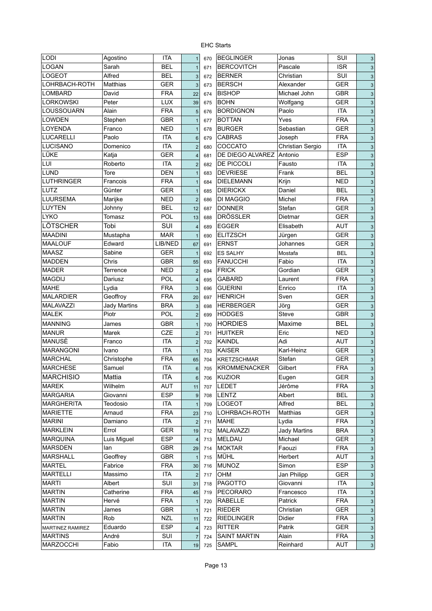| LODI              | Agostino            | <b>ITA</b> | $\mathbf{1}$            | 670 | <b>BEGLINGER</b>    | Jonas               | <b>SUI</b> | 3 |
|-------------------|---------------------|------------|-------------------------|-----|---------------------|---------------------|------------|---|
| LOGAN             | Sarah               | <b>BEL</b> | $\mathbf{1}$            | 671 | <b>BERCOVITCH</b>   | Pascale             | <b>ISR</b> | 3 |
| <b>LOGEOT</b>     | Alfred              | <b>BEL</b> | 3                       | 672 | <b>BERNER</b>       | Christian           | SUI        | 3 |
| LOHRBACH-ROTH     | <b>Matthias</b>     | <b>GER</b> | 3                       | 673 | <b>BERSCH</b>       | Alexander           | <b>GER</b> | 3 |
| <b>LOMBARD</b>    | David               | <b>FRA</b> | 22                      | 674 | <b>BISHOP</b>       | Michael John        | <b>GBR</b> | 3 |
| <b>LORKOWSKI</b>  | Peter               | <b>LUX</b> | 39                      | 675 | <b>BOHN</b>         | Wolfgang            | <b>GER</b> | 3 |
| LOUSSOUARN        | Alain               | <b>FRA</b> | $\overline{5}$          | 676 | <b>BORDIGNON</b>    | Paolo               | <b>ITA</b> | 3 |
| <b>LOWDEN</b>     | Stephen             | <b>GBR</b> | $\overline{1}$          | 677 | <b>BOTTAN</b>       | Yves                | <b>FRA</b> | 3 |
| LOYENDA           | Franco              | <b>NED</b> | $\mathbf{1}$            | 678 | <b>BURGER</b>       | Sebastian           | <b>GER</b> | 3 |
| <b>LUCARELLI</b>  | Paolo               | <b>ITA</b> | $6\phantom{1}6$         | 679 | <b>CABRAS</b>       | Joseph              | <b>FRA</b> | 3 |
| LUCISANO          | Domenico            | <b>ITA</b> | $\overline{c}$          | 680 | <b>COCCATO</b>      | Christian Sergio    | <b>ITA</b> | 3 |
| LÜKE              | Katja               | <b>GER</b> | $\overline{\mathbf{4}}$ | 681 | DE DIEGO ALVAREZ    | Antonio             | <b>ESP</b> | 3 |
| LUI               | Roberto             | <b>ITA</b> | $\overline{2}$          | 682 | DE PICCOLI          | Fausto              | <b>ITA</b> | 3 |
| <b>LUND</b>       | Tore                | <b>DEN</b> | $\overline{1}$          | 683 | <b>DEVRIESE</b>     | Frank               | <b>BEL</b> | 3 |
| <b>LUTHRINGER</b> | Francois            | <b>FRA</b> | $\overline{1}$          | 684 | <b>DIELEMANN</b>    | Krijn               | <b>NED</b> | 3 |
| LUTZ              | Günter              | <b>GER</b> | $\overline{1}$          | 685 | <b>DIERICKX</b>     | Daniel              | BEL        | 3 |
| <b>LUURSEMA</b>   | Marijke             | NED        | $\overline{2}$          | 686 | <b>DI MAGGIO</b>    | Michel              | FRA        | 3 |
| <b>LUYTEN</b>     | Johnny              | BEL        | 12                      | 687 | <b>DONNER</b>       | Stefan              | <b>GER</b> | 3 |
| <b>LYKO</b>       | Tomasz              | POL        | 13                      | 688 | <b>DRÖSSLER</b>     | Dietmar             | <b>GER</b> | 3 |
| LÖTSCHER          | Tobi                | SUI        | $\overline{\mathbf{4}}$ | 689 | EGGER               | Elisabeth           | AUT        | 3 |
| <b>MAADINI</b>    | Mustapha            | <b>MAR</b> | $\mathbf{1}$            | 690 | <b>ELITZSCH</b>     | Jürgen              | <b>GER</b> | 3 |
| <b>MAALOUF</b>    | Edward              | LIB/NED    | 67                      | 691 | <b>ERNST</b>        | Johannes            | <b>GER</b> | 3 |
| <b>MAASZ</b>      | Sabine              | <b>GER</b> | $\mathbf{1}$            | 692 | <b>ES SALHY</b>     | Mostafa             | <b>BEL</b> | 3 |
| <b>MADDEN</b>     | Chris               | GBR        | 55                      | 693 | <b>FANUCCHI</b>     | Fabio               | <b>ITA</b> | 3 |
| <b>MADER</b>      | Terrence            | <b>NED</b> | $\overline{2}$          | 694 | <b>FRICK</b>        | Gordian             | <b>GER</b> | 3 |
| <b>MAGDIJ</b>     | Dariusz             | <b>POL</b> | $\overline{\mathbf{4}}$ | 695 | <b>GABARD</b>       | Laurent             | <b>FRA</b> | 3 |
| <b>MAHE</b>       | Lydia               | <b>FRA</b> | 3                       | 696 | <b>GUERINI</b>      | Enrico              | <b>ITA</b> | 3 |
| <b>MALARDIER</b>  | Geoffroy            | <b>FRA</b> | 20                      | 697 | <b>HENRICH</b>      | Sven                | <b>GER</b> | 3 |
| <b>MALAVAZZI</b>  | <b>Jady Martins</b> | <b>BRA</b> | 3                       | 698 | <b>HERBERGER</b>    | Jörg                | <b>GER</b> | 3 |
| <b>MALEK</b>      | Piotr               | POL        | $\overline{2}$          | 699 | <b>HODGES</b>       | Steve               | <b>GBR</b> | 3 |
| <b>MANNING</b>    | James               | <b>GBR</b> |                         |     | <b>HORDIES</b>      | Maxime              | <b>BEL</b> |   |
| <b>MANUR</b>      | Marek               | CZE        | $\mathbf{1}$            | 700 | <b>HUITKER</b>      | Eric                | <b>NED</b> | 3 |
| MANUSÈ            |                     | <b>ITA</b> | $\overline{2}$          | 701 | KAINDL              | Adi                 | <b>AUT</b> | 3 |
| <b>MARANGONI</b>  | Franco              | <b>ITA</b> | $\overline{2}$          | 702 | <b>KAISER</b>       | Karl-Heinz          | <b>GER</b> | 3 |
| <b>MARCHAL</b>    | Ivano<br>Christophe | <b>FRA</b> | $\mathbf{1}$            | 703 | <b>KRETZSCHMAR</b>  | Stefan              |            | 3 |
|                   |                     |            | 65                      | 704 |                     |                     | <b>GER</b> | 3 |
| <b>MARCHESE</b>   | Samuel              | <b>ITA</b> | $\,6\,$                 | 705 | <b>KROMMENACKER</b> | Gilbert             | <b>FRA</b> | 3 |
| MARCHISIO         | Mattia              | <b>ITA</b> | $\,6$                   | 706 | KUZIOR              | Eugen               | <b>GER</b> | 3 |
| <b>MAREK</b>      | Wilhelm             | AUT        | 11                      | 707 | <b>LEDET</b>        | Jérôme              | <b>FRA</b> | 3 |
| <b>MARGARIA</b>   | Giovanni            | ESP        | $9\,$                   | 708 | <b>LENTZ</b>        | Albert              | <b>BEL</b> | 3 |
| <b>MARGHERITA</b> | Teodosio            | ITA        |                         | 709 | <b>LOGEOT</b>       | Alfred              | <b>BEL</b> | 3 |
| <b>MARIETTE</b>   | Arnaud              | <b>FRA</b> | 23                      | 710 | LOHRBACH-ROTH       | Matthias            | GER        | 3 |
| <b>MARINI</b>     | Damiano             | ITA        | $\overline{2}$          | 711 | <b>MAHE</b>         | Lydia               | <b>FRA</b> | 3 |
| <b>MARKLEIN</b>   | Errol               | <b>GER</b> | 19                      | 712 | MALAVAZZI           | <b>Jady Martins</b> | <b>BRA</b> | 3 |
| <b>MARQUINA</b>   | Luis Miguel         | <b>ESP</b> | 4                       | 713 | MELDAU              | Michael             | GER        | 3 |
| <b>MARSDEN</b>    | lan                 | <b>GBR</b> | 29                      | 714 | <b>MOKTAR</b>       | Faouzi              | <b>FRA</b> | 3 |
| <b>MARSHALL</b>   | Geoffrey            | <b>GBR</b> |                         | 715 | <b>MÜHL</b>         | Herbert             | <b>AUT</b> | 3 |
| <b>MARTEL</b>     | Fabrice             | <b>FRA</b> | 30                      | 716 | <b>MUNOZ</b>        | Simon               | <b>ESP</b> | 3 |
| <b>MARTELLI</b>   | Massimo             | ITA        | $\overline{c}$          | 717 | OHM                 | Jan Philipp         | <b>GER</b> | 3 |
| <b>MARTI</b>      | Albert              | SUI        | 31                      | 718 | PAGOTTO             | Giovanni            | <b>ITA</b> | 3 |
| <b>MARTIN</b>     | Catherine           | <b>FRA</b> | 45                      | 719 | <b>PECORARO</b>     | Francesco           | <b>ITA</b> | 3 |
| <b>MARTIN</b>     | Hervé               | <b>FRA</b> | 1                       | 720 | RABELLE             | Patrick             | <b>FRA</b> | 3 |
| <b>MARTIN</b>     | James               | GBR        | 1                       | 721 | <b>RIEDER</b>       | Christian           | <b>GER</b> | 3 |
| <b>MARTIN</b>     | Rob                 | <b>NZL</b> | 11                      | 722 | <b>RIEDLINGER</b>   | Didier              | <b>FRA</b> | 3 |
| MARTINEZ RAMIREZ  | Eduardo             | ESP        | 4                       | 723 | <b>RITTER</b>       | Patrik              | <b>GER</b> | 3 |
| <b>MARTINS</b>    | André               | SUI        | $\overline{7}$          | 724 | <b>SAINT MARTIN</b> | Alain               | <b>FRA</b> | 3 |
| <b>MARZOCCHI</b>  | Fabio               | ITA        | 19                      | 725 | <b>SAMPL</b>        | Reinhard            | <b>AUT</b> | 3 |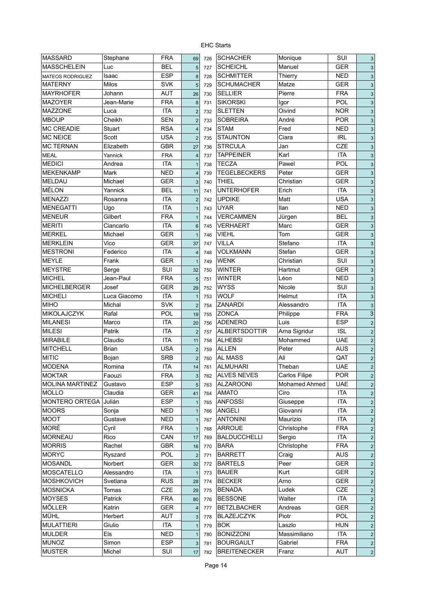| <b>MASSARD</b>          | Stephane     | <b>FRA</b> | 69              | 726 | <b>SCHACHER</b>      | Monique       | SUI        | G |
|-------------------------|--------------|------------|-----------------|-----|----------------------|---------------|------------|---|
| <b>MASSCHELEIN</b>      | Luc          | <b>BEL</b> | 5               | 727 | <b>SCHEICHL</b>      | Manuel        | <b>GER</b> | 3 |
| <b>MATEOS RODRIGUEZ</b> | Isaac        | <b>ESP</b> | 8               | 728 | <b>SCHMITTER</b>     | Thierry       | <b>NED</b> | 3 |
| <b>MATERNY</b>          | Milos        | <b>SVK</b> | $\overline{5}$  | 729 | <b>SCHUMACHER</b>    | Matze         | <b>GER</b> | G |
| <b>MAYRHOFER</b>        | Johann       | <b>AUT</b> | 26              | 730 | <b>SELLIER</b>       | Pierre        | <b>FRA</b> | G |
| <b>MAZOYER</b>          | Jean-Marie   | <b>FRA</b> | 8               | 731 | <b>SIKORSKI</b>      | Igor          | POL        | G |
| <b>MAZZONE</b>          | Luca         | <b>ITA</b> | $\overline{2}$  | 732 | <b>SLETTEN</b>       | Oivind        | <b>NOR</b> | G |
| <b>MBOUP</b>            | Cheikh       | <b>SEN</b> | $\overline{2}$  | 733 | <b>SOBREIRA</b>      | André         | <b>POR</b> | G |
| <b>MC CREADIE</b>       | Stuart       | <b>RSA</b> | $\overline{4}$  | 734 | <b>STAM</b>          | Fred          | <b>NED</b> | G |
| <b>MC NEICE</b>         | Scott        | <b>USA</b> | $\overline{2}$  | 735 | <b>STAUNTON</b>      | Ciara         | <b>IRL</b> | G |
| <b>MC TERNAN</b>        | Elizabeth    | <b>GBR</b> | 27              | 736 | <b>STRCULA</b>       | Jan           | CZE        | G |
| <b>MEAL</b>             | Yannick      | <b>FRA</b> | $\overline{4}$  | 737 | <b>TAPPEINER</b>     | Karl          | <b>ITA</b> | G |
| <b>MEDICI</b>           | Andrea       | <b>ITA</b> | $\mathbf{1}$    | 738 | <b>TECZA</b>         | Pawel         | <b>POL</b> | G |
| <b>MEKENKAMP</b>        | Mark         | <b>NED</b> | $\overline{4}$  | 739 | <b>TEGELBECKERS</b>  | Peter         | <b>GER</b> | G |
| MELDAU                  | Michael      | <b>GER</b> | 3               | 740 | <b>THIEL</b>         | Christian     | <b>GER</b> | G |
| <b>MÉLON</b>            | Yannick      | <b>BEL</b> | 11              | 741 | <b>UNTERHOFER</b>    | Erich         | <b>ITA</b> | G |
| <b>MENAZZI</b>          | Rosanna      | <b>ITA</b> | $\overline{2}$  | 742 | <b>UPDIKE</b>        | Matt          | <b>USA</b> | 3 |
| <b>MENEGATTI</b>        | Ugo          | <b>ITA</b> | $\mathbf{1}$    | 743 | <b>UYAR</b>          | llan          | <b>NED</b> | G |
| <b>MENEUR</b>           | Gilbert      | <b>FRA</b> | $\overline{1}$  | 744 | VERCAMMEN            | Jürgen        | <b>BEL</b> | G |
| <b>MERITI</b>           | Ciancarlo    | <b>ITA</b> | $6\phantom{1}6$ | 745 | <b>VERHAERT</b>      | Marc          | <b>GER</b> | G |
| <b>MERKEL</b>           | Michael      | <b>GER</b> |                 | 746 | <b>VIEHL</b>         | Tom           | <b>GER</b> |   |
| <b>MERKLEIN</b>         | Vico         | <b>GER</b> | $\mathbf{1}$    |     | <b>VILLA</b>         | Stefano       | <b>ITA</b> | G |
| <b>MESTRONI</b>         | Federico     | <b>ITA</b> | 37              | 747 | <b>VOLKMANN</b>      | Stefan        | <b>GER</b> | G |
|                         |              |            | $\overline{4}$  | 748 |                      |               |            | G |
| <b>MEYLE</b>            | Frank        | <b>GER</b> | $\mathbf{1}$    | 749 | <b>WENK</b>          | Christian     | SUI        | 3 |
| <b>MEYSTRE</b>          | Serge        | SUI        | 32              | 750 | <b>WINTER</b>        | Hartmut       | <b>GER</b> | G |
| <b>MICHEL</b>           | Jean-Paul    | <b>FRA</b> | 5               | 751 | <b>WINTER</b>        | Léon          | <b>NED</b> | G |
| <b>MICHELBERGER</b>     | Josef        | <b>GER</b> | 29              | 752 | <b>WYSS</b>          | Nicole        | SUI        | 3 |
| <b>MICHELI</b>          | Luca Giacomo | <b>ITA</b> | $\mathbf{1}$    | 753 | <b>WOLF</b>          | Helmut        | <b>ITA</b> | 3 |
| <b>MIHO</b>             | Michal       | <b>SVK</b> | $\overline{2}$  | 754 | <b>ZANARDI</b>       | Alessandro    | <b>ITA</b> | G |
| MIKOLAJCZYK             | Rafal        | POL        | 19              | 755 | <b>ZONCA</b>         | Philippe      | <b>FRA</b> | 3 |
| <b>MILANESI</b>         | Marco        | ITA        | 20              | 756 | <b>ADENERO</b>       | Luis          | <b>ESP</b> | 2 |
| <b>MILESI</b>           | Patrik       | <b>ITA</b> | $\overline{2}$  | 757 | <b>ALBERTSDOTTIR</b> | Arna Sigridur | <b>ISL</b> | 2 |
| <b>MIRABILE</b>         | Claudio      | <b>ITA</b> | 11              | 758 | <b>ALHEBSI</b>       | Mohammed      | <b>UAE</b> | 2 |
| <b>MITCHELL</b>         | <b>Brian</b> | <b>USA</b> | $\overline{2}$  | 759 | <b>ALLEN</b>         | Peter         | <b>AUS</b> | 2 |
| <b>MITIC</b>            | Bojan        | <b>SRB</b> | $\overline{2}$  | 760 | <b>AL MASS</b>       | Ali           | QAT        | 2 |
| <b>MODENA</b>           | Romina       | <b>ITA</b> | 14              | 761 | <b>ALMUHARI</b>      | Theban        | <b>UAE</b> | 2 |
| <b>MOKTAR</b>           | Faouzi       | <b>FRA</b> | 3               | 762 | <b>ALVES NEVES</b>   | Carlos Filipe | <b>POR</b> | 2 |
| <b>MOLINA MARTINEZ</b>  | Gustavo      | <b>ESP</b> | 5               | 763 | <b>ALZAROONI</b>     | Mohamed Ahmed | <b>UAE</b> | 2 |
| MOLLO                   | Claudia      | <b>GER</b> | 41              | 764 | <b>AMATO</b>         | Ciro          | <b>ITA</b> | 2 |
| MONTERO ORTEGA          | Julián       | <b>ESP</b> | $\mathbf{1}$    | 765 | <b>ANFOSSI</b>       | Giuseppe      | <b>ITA</b> | 2 |
| <b>MOORS</b>            | Sonja        | <b>NED</b> | $\mathbf{1}$    | 766 | <b>ANGELI</b>        | Giovanni      | <b>ITA</b> | 2 |
| <b>MOOT</b>             | Gustave      | <b>NED</b> | $\mathbf{1}$    | 767 | <b>ANTONINI</b>      | Maurizio      | <b>ITA</b> | 2 |
| MORÉ                    | Cyril        | <b>FRA</b> | $\mathbf{1}$    | 768 | <b>ARROUE</b>        | Christophe    | <b>FRA</b> | 2 |
| <b>MORNEAU</b>          | Rico         | CAN        | 17              | 769 | <b>BALDUCCHELLI</b>  | Sergio        | <b>ITA</b> | 2 |
| <b>MORRIS</b>           | Rachel       | <b>GBR</b> | 16              | 770 | <b>BARA</b>          | Christophe    | <b>FRA</b> | 2 |
| <b>MORYC</b>            | Ryszard      | POL        | $\overline{2}$  | 771 | <b>BARRETT</b>       | Craig         | <b>AUS</b> | 2 |
| <b>MOSANDL</b>          | Norbert      | <b>GER</b> | 32              | 772 | <b>BARTELS</b>       | Peer          | <b>GER</b> | 2 |
| MOSCATELLO              | Alessandro   | ITA        | $\mathbf{1}$    | 773 | <b>BAUER</b>         | Kurt          | <b>GER</b> | 2 |
| <b>MOSHKOVICH</b>       | Svetlana     | <b>RUS</b> | 28              | 774 | <b>BECKER</b>        | Arno          | <b>GER</b> | 2 |
| <b>MOSNICKA</b>         | Tomas        | CZE        | 29              | 775 | <b>BENADA</b>        | Ludek         | <b>CZE</b> | 2 |
| <b>MOYSES</b>           | Patrick      | <b>FRA</b> | 80              | 776 | <b>BESSONE</b>       | Walter        | <b>ITA</b> | 2 |
| MÖLLER                  | Katrin       | <b>GER</b> |                 |     | <b>BETZLBACHER</b>   | Andreas       | <b>GER</b> |   |
| MÜHL                    | Herbert      | <b>AUT</b> | $\overline{4}$  | 777 | <b>BLAZEJCZYK</b>    | Piotr         | POL        | 2 |
|                         |              |            | 3               | 778 |                      | Laszlo        |            | 2 |
| <b>MULATTIERI</b>       | Giulio       | ITA        | $\mathbf{1}$    | 779 | <b>BOK</b>           |               | <b>HUN</b> | 2 |
| <b>MULDER</b>           | Els          | <b>NED</b> | $\mathbf{1}$    | 780 | <b>BONIZZONI</b>     | Massimiliano  | <b>ITA</b> | 2 |
| <b>MUNOZ</b>            | Simon        | <b>ESP</b> | 3               | 781 | <b>BOURGAULT</b>     | Gabriel       | <b>FRA</b> | 2 |
| <b>MUSTER</b>           | Michel       | SUI        | 17              | 782 | <b>BREITENECKER</b>  | Franz         | <b>AUT</b> | 2 |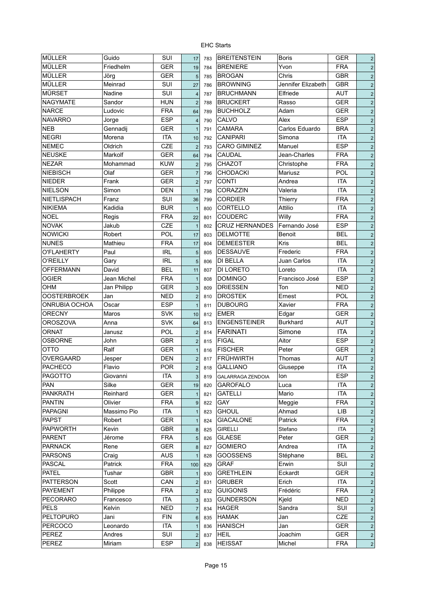| <b>MÜLLER</b>        | Guido       | SUI        | 17                      | 783 | <b>BREITENSTEIN</b>      | <b>Boris</b>       | <b>GER</b> | 2 |
|----------------------|-------------|------------|-------------------------|-----|--------------------------|--------------------|------------|---|
| MÜLLER               | Friedhelm   | <b>GER</b> | 19                      | 784 | <b>BRENIERE</b>          | Yvon               | <b>FRA</b> | 2 |
| <b>MÜLLER</b>        | Jörg        | <b>GER</b> | 5                       | 785 | <b>BROGAN</b>            | Chris              | <b>GBR</b> | 2 |
| <b>MÜLLER</b>        | Meinrad     | SUI        | 27                      | 786 | <b>BROWNING</b>          | Jennifer Elizabeth | <b>GBR</b> | 2 |
| <b>MÜRSET</b>        | Nadine      | SUI        | $\overline{4}$          | 787 | <b>BRUCHMANN</b>         | Elfriede           | <b>AUT</b> | 2 |
| <b>NAGYMATE</b>      | Sandor      | <b>HUN</b> | $\overline{2}$          | 788 | <b>BRUCKERT</b>          | Rasso              | <b>GER</b> | 2 |
| <b>NARCE</b>         | Ludovic     | <b>FRA</b> | 64                      | 789 | <b>BUCHHOLZ</b>          | Adam               | <b>GER</b> | 2 |
| <b>NAVARRO</b>       | Jorge       | <b>ESP</b> | $\overline{\mathbf{4}}$ | 790 | CALVO                    | Alex               | <b>ESP</b> | 2 |
| <b>NEB</b>           | Gennadii    | <b>GER</b> | $\overline{1}$          | 791 | <b>CAMARA</b>            | Carlos Eduardo     | <b>BRA</b> | 2 |
| <b>NEGRI</b>         | Morena      | <b>ITA</b> | 10                      | 792 | <b>CANIPARI</b>          | Simona             | <b>ITA</b> | 2 |
| <b>NEMEC</b>         | Oldrich     | CZE        | $\overline{2}$          | 793 | <b>CARO GIMINEZ</b>      | Manuel             | <b>ESP</b> | 2 |
| <b>NEUSKE</b>        | Markolf     | <b>GER</b> | 64                      | 794 | CAUDAL                   | Jean-Charles       | <b>FRA</b> | 2 |
| <b>NEZAR</b>         | Mohammad    | <b>KUW</b> | $\overline{2}$          | 795 | CHAZOT                   | Christophe         | <b>FRA</b> | 2 |
| <b>NIEBISCH</b>      | Olaf        | <b>GER</b> | $\overline{7}$          | 796 | <b>CHODACKI</b>          | Mariusz            | POL        | 2 |
| <b>NIEDER</b>        | Frank       | GER        | $\overline{2}$          | 797 | <b>CONTI</b>             | Andrea             | <b>ITA</b> | 2 |
| <b>NIELSON</b>       | Simon       | <b>DEN</b> |                         |     | CORAZZIN                 | Valeria            | <b>ITA</b> |   |
| NIETLISPACH          | Franz       | SUI        | $\mathbf{1}$            | 798 | <b>CORDIER</b>           | Thierry            | <b>FRA</b> | 2 |
|                      |             |            | 36                      | 799 |                          |                    |            | 2 |
| <b>NIKIEMA</b>       | Kadidia     | <b>BUR</b> | $\overline{1}$          | 800 | CORTELLO                 | Attilio            | <b>ITA</b> | 2 |
| <b>NOEL</b>          | Regis       | <b>FRA</b> | 22                      | 801 | <b>COUDERC</b>           | Willy              | <b>FRA</b> | 2 |
| <b>NOVAK</b>         | Jakub       | <b>CZE</b> | $\overline{1}$          | 802 | <b>CRUZ HERNANDES</b>    | Fernando José      | <b>ESP</b> | 2 |
| <b>NOWICKI</b>       | Robert      | POL        | 17                      | 803 | <b>DELMOTTE</b>          | Benoit             | <b>BEL</b> | 2 |
| <b>NUNES</b>         | Mathieu     | <b>FRA</b> | 17                      | 804 | <b>DEMEESTER</b>         | Kris               | <b>BEL</b> | 2 |
| O'FLAHERTY           | Paul        | <b>IRL</b> | 5                       | 805 | <b>DESSAUVE</b>          | Frederic           | <b>FRA</b> | 2 |
| <b>O'REILLY</b>      | Gary        | <b>IRL</b> | 5                       | 806 | DI BELLA                 | Juan Carlos        | <b>ITA</b> | 2 |
| <b>OFFERMANN</b>     | David       | <b>BEL</b> | 11                      | 807 | DI LORETO                | Loreto             | <b>ITA</b> | 2 |
| <b>OGIER</b>         | Jean Michel | <b>FRA</b> | $\mathbf{1}$            | 808 | <b>DOMINGO</b>           | Francisco José     | <b>ESP</b> | 2 |
| OHM                  | Jan Philipp | <b>GER</b> | 3                       | 809 | <b>DRIESSEN</b>          | Ton                | <b>NED</b> | 2 |
| <b>OOSTERBROEK</b>   | Jan         | <b>NED</b> | $\overline{c}$          | 810 | <b>DROSTEK</b>           | Ernest             | POL        | 2 |
| <b>ONRUBIA OCHOA</b> | Oscar       | <b>ESP</b> | $\overline{1}$          | 811 | <b>DUBOURG</b>           | Xavier             | <b>FRA</b> | 2 |
| <b>ORECNY</b>        | Maros       | <b>SVK</b> | 10                      | 812 | <b>EMER</b>              | Edgar              | <b>GER</b> | 2 |
| OROSZOVA             | Anna        | <b>SVK</b> | 64                      | 813 | <b>ENGENSTEINER</b>      | Burkhard           | AUT        | 2 |
| <b>ORNAT</b>         | Janusz      | POL        | $\overline{2}$          | 814 | <b>FARINATI</b>          | Simone             | <b>ITA</b> | 2 |
| <b>OSBORNE</b>       | John        | <b>GBR</b> | $\overline{2}$          | 815 | <b>FIGAL</b>             | Aitor              | <b>ESP</b> | 2 |
| отто                 | Ralf        | <b>GER</b> | $\mathbf{1}$            | 816 | <b>FISCHER</b>           | Peter              | <b>GER</b> | 2 |
| OVERGAARD            | Jesper      | DEN        | $\overline{2}$          | 817 | <b>FRÜHWIRTH</b>         | Thomas             | <b>AUT</b> | 2 |
| <b>PACHECO</b>       | Flavio      | <b>POR</b> | $\overline{2}$          | 818 | <b>GALLIANO</b>          | Giuseppe           | <b>ITA</b> | 2 |
| <b>PAGOTTO</b>       |             | <b>ITA</b> | $\overline{3}$          |     |                          |                    | <b>ESP</b> |   |
|                      | Giovanni    |            |                         | 819 | <b>GALARRAGA ZENDOIA</b> | lon                |            | 2 |
| PAN                  | Silke       | GER        | 19                      | 820 | <b>GAROFALO</b>          | Luca               | <b>ITA</b> | 2 |
| <b>PANKRATH</b>      | Reinhard    | <b>GER</b> | $\mathbf{1}$            | 821 | <b>GATELLI</b>           | Mario              | <b>ITA</b> | 2 |
| <b>PANTIN</b>        | Olivier     | <b>FRA</b> | $\boldsymbol{9}$        | 822 | GAY                      | Meggie             | <b>FRA</b> | 2 |
| <b>PAPAGNI</b>       | Massimo Pio | <b>ITA</b> | $\mathbf{1}$            | 823 | <b>GHOUL</b>             | Ahmad              | LIB        | 2 |
| PAPST                | Robert      | <b>GER</b> | $\mathbf{1}$            | 824 | <b>GIACALONE</b>         | Patrick            | <b>FRA</b> | 2 |
| <b>PAPWORTH</b>      | Kevin       | <b>GBR</b> | 8                       | 825 | <b>GIRELLI</b>           | Stefano            | <b>ITA</b> | 2 |
| <b>PARENT</b>        | Jérome      | <b>FRA</b> | 5                       | 826 | <b>GLAESE</b>            | Peter              | <b>GER</b> | 2 |
| <b>PARNACK</b>       | Rene        | GER        | 8                       | 827 | <b>GOMIERO</b>           | Andrea             | <b>ITA</b> | 2 |
| <b>PARSONS</b>       | Craig       | <b>AUS</b> | $\mathbf{1}$            | 828 | <b>GOOSSENS</b>          | Stéphane           | <b>BEL</b> | 2 |
| <b>PASCAL</b>        | Patrick     | <b>FRA</b> | 100                     | 829 | <b>GRAF</b>              | Erwin              | SUI        | 2 |
| <b>PATEL</b>         | Tushar      | <b>GBR</b> | $\mathbf{1}$            | 830 | <b>GRETHLEIN</b>         | Eckardt            | <b>GER</b> | 2 |
| <b>PATTERSON</b>     | Scott       | CAN        | $\overline{2}$          | 831 | <b>GRUBER</b>            | Erich              | ITA        | 2 |
| <b>PAYEMENT</b>      | Philippe    | <b>FRA</b> | $\overline{2}$          | 832 | <b>GUIGONIS</b>          | Frédéric           | <b>FRA</b> | 2 |
| <b>PECORARO</b>      | Francesco   | ITA        | $\sqrt{3}$              | 833 | <b>GUNDERSON</b>         | Kjeld              | <b>NED</b> | 2 |
| PELS                 | Kelvin      | <b>NED</b> | $\overline{7}$          | 834 | <b>HAGER</b>             | Sandra             | SUI        | 2 |
| <b>PELTOPURO</b>     | Jani        | <b>FIN</b> | $6\phantom{1}6$         | 835 | <b>HAMAK</b>             | Jan                | CZE        | 2 |
| PERCOCO              | Leonardo    | ITA        | $\mathbf{1}$            | 836 | <b>HANISCH</b>           | Jan                | <b>GER</b> | 2 |
| PEREZ                | Andres      | SUI        | $\sqrt{2}$              | 837 | <b>HEIL</b>              | Joachim            | <b>GER</b> | 2 |
| PEREZ                | Miriam      | <b>ESP</b> |                         |     | <b>HEISSAT</b>           | Michel             | <b>FRA</b> |   |
|                      |             |            | $\overline{2}$          | 838 |                          |                    |            | 2 |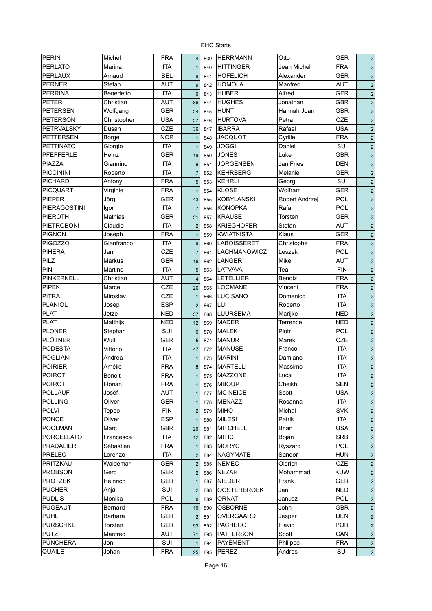| <b>PERIN</b>      | Michel         | <b>FRA</b> | 4                       | 839 | <b>HERRMANN</b>     | Otto           | <b>GER</b> | $\overline{2}$ |
|-------------------|----------------|------------|-------------------------|-----|---------------------|----------------|------------|----------------|
| PERLATO           | Marina         | <b>ITA</b> |                         | 840 | <b>HITTINGER</b>    | Jean Michel    | <b>FRA</b> | $\overline{2}$ |
|                   |                | <b>BEL</b> | 1                       |     | <b>HOFELICH</b>     |                | <b>GER</b> |                |
| PERLAUX           | Arnaud         |            | $9\,$                   | 841 |                     | Alexander      |            | $\overline{2}$ |
| PERNER            | Stefan         | <b>AUT</b> | 9                       | 842 | <b>HOMOLA</b>       | Manfred        | <b>AUT</b> | $\overline{2}$ |
| PERRINA           | Benedetto      | <b>ITA</b> | $6\phantom{1}$          | 843 | <b>HUBER</b>        | Alfred         | <b>GER</b> | $\overline{2}$ |
| <b>PETER</b>      | Christian      | <b>AUT</b> | 86                      | 844 | <b>HUGHES</b>       | Jonathan       | <b>GBR</b> | $\overline{2}$ |
| <b>PETERSEN</b>   | Wolfgang       | <b>GER</b> | 24                      | 845 | <b>HUNT</b>         | Hannah Joan    | <b>GBR</b> | $\overline{2}$ |
| <b>PETERSON</b>   | Christopher    | <b>USA</b> | 27                      | 846 | <b>HURTOVA</b>      | Petra          | CZE        | $\overline{2}$ |
| <b>PETRVALSKY</b> | Dusan          | CZE        | 36                      | 847 | <b>IBARRA</b>       | Rafael         | <b>USA</b> | $\overline{2}$ |
| <b>PETTERSEN</b>  | <b>Borge</b>   | <b>NOR</b> | $\mathbf{1}$            | 848 | <b>JACQUOT</b>      | Cyrille        | <b>FRA</b> | $\overline{2}$ |
| <b>PETTINATO</b>  | Giorgio        | <b>ITA</b> | $\overline{1}$          | 849 | <b>JOGGI</b>        | Daniel         | SUI        | $\overline{2}$ |
| <b>PFEFFERLE</b>  | Heinz          | <b>GER</b> | 19                      | 850 | <b>JONES</b>        | Luke           | <b>GBR</b> | $\overline{2}$ |
| PIAZZA            | Giannino       | <b>ITA</b> | $6\phantom{1}6$         | 851 | <b>JORGENSEN</b>    | Jan Fries      | <b>DEN</b> | $\overline{2}$ |
| <b>PICCININI</b>  | Roberto        | <b>ITA</b> | $\overline{7}$          | 852 | <b>KEHRBERG</b>     | Melanie        | <b>GER</b> | $\overline{2}$ |
| PICHARD           | Antony         | <b>FRA</b> | $\overline{5}$          | 853 | <b>KEHRLI</b>       | Georg          | SUI        | $\overline{2}$ |
| <b>PICQUART</b>   | Virginie       | <b>FRA</b> | $\mathbf{1}$            | 854 | <b>KLOSE</b>        | Wolfram        | <b>GER</b> | $\overline{2}$ |
| <b>PIEPER</b>     | Jörg           | <b>GER</b> | 43                      | 855 | <b>KOBYLANSKI</b>   | Robert Andrzej | POL        | $\overline{2}$ |
| PIERAGOSTINI      | Igor           | <b>ITA</b> | $\overline{7}$          | 856 | <b>KONOPKA</b>      | Rafal          | POL        | $\overline{2}$ |
| <b>PIEROTH</b>    | <b>Mathias</b> | <b>GER</b> | 21                      | 857 | <b>KRAUSE</b>       | Torsten        | <b>GER</b> | $\overline{2}$ |
| <b>PIETROBONI</b> | Claudio        | <b>ITA</b> | $\overline{\mathbf{c}}$ | 858 | <b>KRIEGHOFER</b>   | Stefan         | <b>AUT</b> | $\overline{2}$ |
| <b>PIGNON</b>     | Joseph         | <b>FRA</b> | $\mathbf{1}$            | 859 | <b>KWIATKISTA</b>   | Klaus          | <b>GER</b> | $\overline{2}$ |
| <b>PIGOZZO</b>    | Gianfranco     | <b>ITA</b> | $9\,$                   | 860 | <b>LABOISSERET</b>  | Christophe     | <b>FRA</b> | $\overline{2}$ |
| <b>PIHERA</b>     | Jan            | <b>CZE</b> | $\overline{7}$          | 861 | <b>LACHMANOWICZ</b> | Leszek         | <b>POL</b> | $\overline{2}$ |
| PILZ              | Markus         | <b>GER</b> | 16                      | 862 | <b>LANGER</b>       | Mike           | <b>AUT</b> | $\overline{2}$ |
| PINI              | Martino        | <b>ITA</b> | 5                       | 863 | LATVAVA             | Tea            | <b>FIN</b> | $\overline{2}$ |
| <b>PINKERNELL</b> | Christian      | <b>AUT</b> | $\overline{4}$          | 864 | LETELLIER           | Benoiz         | <b>FRA</b> | $\overline{2}$ |
| <b>PIPEK</b>      | Marcel         | CZE        |                         |     | <b>LOCMANE</b>      | Vincent        | <b>FRA</b> | $\overline{2}$ |
| <b>PITRA</b>      | Miroslav       | CZE        | 26                      | 865 | LUCISANO            | Domenico       | <b>ITA</b> |                |
| <b>PLANIOL</b>    |                | <b>ESP</b> | 1                       | 866 | LUI                 | Roberto        | <b>ITA</b> | $\overline{2}$ |
|                   | Josep          | <b>NED</b> | $\overline{2}$          | 867 | LUURSEMA            |                | <b>NED</b> | $\overline{2}$ |
| <b>PLAT</b>       | Jetze          |            | 37                      | 868 |                     | Marijke        |            | $\overline{2}$ |
| <b>PLAT</b>       | Matthijs       | <b>NED</b> | 12                      | 869 | <b>MADER</b>        | Terrence       | <b>NED</b> | $\overline{2}$ |
| <b>PLONER</b>     | Stephan        | SUI        | $6\phantom{1}$          | 870 | <b>MALEK</b>        | Piotr          | POL        | $\overline{2}$ |
| PLÖTNER           | Wulf           | <b>GER</b> | 5                       | 871 | <b>MANUR</b>        | Marek          | <b>CZE</b> | $\overline{2}$ |
| <b>PODESTA</b>    | Vittorio       | <b>ITA</b> | 47                      | 872 | MANUSÈ              | Franco         | <b>ITA</b> | $\overline{2}$ |
| <b>POGLIANI</b>   | Andrea         | <b>ITA</b> | $\mathbf{1}$            | 873 | <b>MARINI</b>       | Damiano        | <b>ITA</b> | $\overline{2}$ |
| <b>POIRIER</b>    | Amélie         | <b>FRA</b> | 8                       | 874 | <b>MARTELLI</b>     | Massimo        | <b>ITA</b> | $\overline{2}$ |
| <b>POIROT</b>     | Benoit         | <b>FRA</b> | $\mathbf{1}$            | 875 | <b>MAZZONE</b>      | Luca           | <b>ITA</b> | $\overline{2}$ |
| <b>POIROT</b>     | Florian        | <b>FRA</b> | $\mathbf{1}$            | 876 | <b>MBOUP</b>        | Cheikh         | <b>SEN</b> | $\overline{2}$ |
| <b>POLLAUF</b>    | Josef          | AUT        | 1                       | 877 | <b>MC NEICE</b>     | Scott          | <b>USA</b> | $\overline{2}$ |
| <b>POLLING</b>    | Oliver         | <b>GER</b> | $\mathbf{1}$            | 878 | <b>MENAZZI</b>      | Rosanna        | <b>ITA</b> | $\overline{2}$ |
| <b>POLVI</b>      | Teppo          | <b>FIN</b> | $\overline{\mathbf{c}}$ | 879 | <b>MIHO</b>         | Michal         | <b>SVK</b> | $\overline{2}$ |
| <b>PONCE</b>      | Oliver         | <b>ESP</b> | $\mathbf{1}$            | 880 | <b>MILESI</b>       | Patrik         | <b>ITA</b> | $\overline{2}$ |
| <b>POOLMAN</b>    | Marc           | <b>GBR</b> | 20                      | 881 | <b>MITCHELL</b>     | Brian          | <b>USA</b> | $\overline{2}$ |
| PORCELLATO        | Francesca      | <b>ITA</b> | 12                      | 882 | <b>MITIC</b>        | Bojan          | <b>SRB</b> | $\overline{2}$ |
| <b>PRADALIER</b>  | Sébastien      | <b>FRA</b> | $\mathbf{1}$            | 883 | <b>MORYC</b>        | Ryszard        | POL        | $\overline{2}$ |
| PRELEC            | Lorenzo        | <b>ITA</b> | $\overline{c}$          | 884 | <b>NAGYMATE</b>     | Sandor         | <b>HUN</b> | $\overline{2}$ |
| PRITZKAU          | Waldemar       | GER        | $\overline{c}$          | 885 | <b>NEMEC</b>        | Oldrich        | CZE        | $\overline{c}$ |
| <b>PROBSON</b>    | Gerd           | <b>GER</b> | $\overline{c}$          | 886 | <b>NEZAR</b>        | Mohammad       | <b>KUW</b> | $\overline{c}$ |
| <b>PROTZEK</b>    | Heinrich       | <b>GER</b> | $\mathbf{1}$            | 887 | <b>NIEDER</b>       | Frank          | <b>GER</b> | $\overline{c}$ |
| <b>PUCHER</b>     | Anja           | SUI        | $\overline{\mathbf{c}}$ | 888 | <b>OOSTERBROEK</b>  | Jan            | <b>NED</b> | $\overline{2}$ |
| <b>PUDLIS</b>     | Monika         | <b>POL</b> | $\,6$                   | 889 | <b>ORNAT</b>        | Janusz         | <b>POL</b> | $\overline{2}$ |
| <b>PUGEAUT</b>    | Bernard        | <b>FRA</b> | 10                      | 890 | <b>OSBORNE</b>      | John           | <b>GBR</b> | $\overline{2}$ |
| <b>PUHL</b>       | <b>Barbara</b> | <b>GER</b> | $\overline{c}$          | 891 | OVERGAARD           | Jesper         | <b>DEN</b> | $\overline{2}$ |
| <b>PURSCHKE</b>   | Torsten        | <b>GER</b> | 93                      | 892 | <b>PACHECO</b>      | Flavio         | <b>POR</b> | $\overline{2}$ |
| <b>PUTZ</b>       | Manfred        | AUT        | 71                      | 893 | <b>PATTERSON</b>    | Scott          | CAN        | $\overline{2}$ |
| PÜNCHERA          | Jon            | SUI        | $\overline{1}$          | 894 | <b>PAYEMENT</b>     | Philippe       | <b>FRA</b> | $\overline{2}$ |
| QUAILE            | Johan          | <b>FRA</b> | 25                      | 895 | <b>PEREZ</b>        | Andres         | SUI        | $\overline{2}$ |
|                   |                |            |                         |     |                     |                |            |                |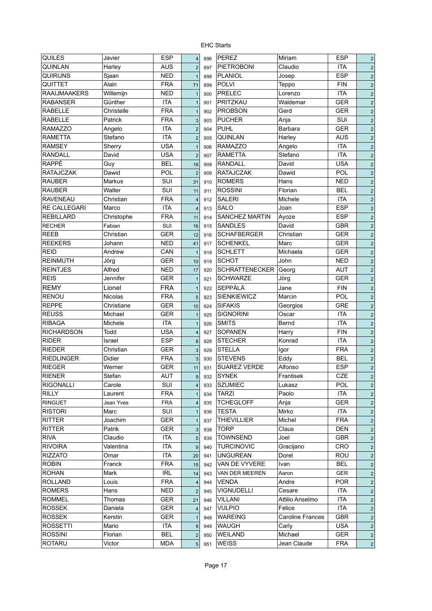| <b>QUILES</b>       | Javier     | <b>ESP</b> | $\overline{4}$          | 896 | <b>PEREZ</b>          | Miriam                  | <b>ESP</b> | $\overline{2}$          |
|---------------------|------------|------------|-------------------------|-----|-----------------------|-------------------------|------------|-------------------------|
| QUINLAN             | Harley     | <b>AUS</b> | $\overline{2}$          | 897 | <b>PIETROBONI</b>     | Claudio                 | <b>ITA</b> | $\overline{2}$          |
| <b>QUIRIJNS</b>     | Sjaan      | <b>NED</b> | $\overline{1}$          | 898 | <b>PLANIOL</b>        | Josep                   | ESP        | $\overline{2}$          |
| QUITTET             | Alain      | <b>FRA</b> | 71                      | 899 | <b>POLVI</b>          | Teppo                   | <b>FIN</b> | $\overline{2}$          |
| <b>RAAIJMAAKERS</b> | Willemijn  | <b>NED</b> | $\mathbf{1}$            | 900 | <b>PRELEC</b>         | Lorenzo                 | <b>ITA</b> | $\overline{2}$          |
| <b>RABANSER</b>     | Günther    | <b>ITA</b> | $\mathbf{1}$            | 901 | PRITZKAU              | Waldemar                | GER        | $\sqrt{2}$              |
| <b>RABELLE</b>      | Christelle | <b>FRA</b> | $\mathbf{1}$            | 902 | <b>PROBSON</b>        | Gerd                    | GER        | $\sqrt{2}$              |
| <b>RABELLE</b>      | Patrick    | <b>FRA</b> | 3                       | 903 | <b>PUCHER</b>         | Anja                    | SUI        | $\sqrt{2}$              |
| <b>RAMAZZO</b>      | Angelo     | <b>ITA</b> | $\overline{2}$          | 904 | <b>PUHL</b>           | Barbara                 | <b>GER</b> | $\overline{2}$          |
| <b>RAMETTA</b>      | Stefano    | <b>ITA</b> | $\overline{2}$          | 905 | QUINLAN               | Harley                  | <b>AUS</b> | $\sqrt{2}$              |
| <b>RAMSEY</b>       | Sherry     | <b>USA</b> | $\mathbf{1}$            | 906 | <b>RAMAZZO</b>        | Angelo                  | <b>ITA</b> | $\sqrt{2}$              |
| <b>RANDALL</b>      | David      | <b>USA</b> | $\mathbf 2$             | 907 | <b>RAMETTA</b>        | Stefano                 | <b>ITA</b> | $\overline{2}$          |
| <b>RAPPÉ</b>        | Guy        | <b>BEL</b> | 16                      | 908 | <b>RANDALL</b>        | David                   | <b>USA</b> | $\overline{2}$          |
| <b>RATAJCZAK</b>    | Dawid      | <b>POL</b> | $\overline{2}$          | 909 | <b>RATAJCZAK</b>      | Dawid                   | POL        | $\overline{2}$          |
| <b>RAUBER</b>       | Markus     | SUI        | 31                      | 910 | <b>ROMERS</b>         | Hans                    | <b>NED</b> | $\overline{2}$          |
| <b>RAUBER</b>       | Walter     | SUI        | 11                      | 911 | <b>ROSSINI</b>        | Florian                 | <b>BEL</b> | $\sqrt{2}$              |
| <b>RAVENEAU</b>     | Christian  | <b>FRA</b> | $\overline{4}$          | 912 | <b>SALERI</b>         | Michele                 | <b>ITA</b> | $\overline{2}$          |
| <b>RE CALLEGARI</b> | Marco      | <b>ITA</b> | $\overline{4}$          | 913 | <b>SALO</b>           | Joan                    | ESP        | $\overline{2}$          |
| <b>REBILLARD</b>    | Christophe | <b>FRA</b> | 11                      | 914 | <b>SANCHEZ MARTIN</b> | Ayoze                   | <b>ESP</b> | $\mathbf 2$             |
| <b>RECHER</b>       | Fabian     | SUI        | 16                      | 915 | <b>SANDLES</b>        | David                   | <b>GBR</b> | $\mathbf 2$             |
| <b>REEB</b>         | Christian  | <b>GER</b> | 12                      | 916 | <b>SCHAFBERGER</b>    | Christian               | <b>GER</b> | $\mathbf 2$             |
| <b>REEKERS</b>      | Johann     | <b>NED</b> | 41                      | 917 | <b>SCHENKEL</b>       | Marc                    | <b>GER</b> | $\overline{2}$          |
| <b>REID</b>         | Andrew     | CAN        | $\overline{1}$          | 918 | <b>SCHLETT</b>        | Michaela                | <b>GER</b> | $\overline{2}$          |
| <b>REINMUTH</b>     | Jörg       | <b>GER</b> | 10                      | 919 | <b>SCHOT</b>          | John                    | <b>NED</b> | $\overline{2}$          |
| <b>REINTJES</b>     | Alfred     | <b>NED</b> | 17                      | 920 | <b>SCHRATTENECKER</b> | Georg                   | <b>AUT</b> | $\overline{2}$          |
| <b>REIS</b>         | Jennifer   | GER        | $\mathbf{1}$            | 921 | <b>SCHWARZE</b>       | Jörg                    | <b>GER</b> | $\overline{2}$          |
| <b>REMY</b>         | Lionel     | <b>FRA</b> | $\mathbf{1}$            | 922 | <b>SEPPÄLÄ</b>        | Jane                    | <b>FIN</b> | $\overline{2}$          |
| <b>RENOU</b>        | Nicolas    | <b>FRA</b> | 5                       | 923 | <b>SIENKIEWICZ</b>    | Marcin                  | POL        | $\sqrt{2}$              |
| <b>REPPE</b>        | Christiane | <b>GER</b> | 10                      | 924 | <b>SIFAKIS</b>        | Georgios                | <b>GRE</b> | $\sqrt{2}$              |
| <b>REUSS</b>        | Michael    | GER        | $\mathbf{1}$            | 925 | <b>SIGNORINI</b>      | Oscar                   | <b>ITA</b> | $\sqrt{2}$              |
| <b>RIBAGA</b>       | Michele    | <b>ITA</b> | $\mathbf{1}$            | 926 | <b>SMITS</b>          | Bernd                   | <b>ITA</b> | $\overline{\mathbf{2}}$ |
| <b>RICHARDSON</b>   | Todd       | <b>USA</b> | $\overline{\mathbf{4}}$ | 927 | <b>SOPANEN</b>        | Harry                   | <b>FIN</b> | $\overline{\mathbf{2}}$ |
| <b>RIDER</b>        | Israel     | <b>ESP</b> | 8                       | 928 | <b>STECHER</b>        | Konrad                  | <b>ITA</b> | $\mathbf 2$             |
| <b>RIEDER</b>       | Christian  | <b>GER</b> | 3                       | 929 | <b>STELLA</b>         | Igor                    | <b>FRA</b> | $\overline{\mathbf{2}}$ |
| <b>RIEDLINGER</b>   | Didier     | <b>FRA</b> | 3                       | 930 | <b>STEVENS</b>        | Eddy                    | <b>BEL</b> | $\mathbf 2$             |
| <b>RIEGER</b>       | Werner     | <b>GER</b> | 11                      | 931 | <b>SUAREZ VERDE</b>   | Alfonso                 | ESP        | $\mathbf 2$             |
| <b>RIENER</b>       | Stefan     | <b>AUT</b> | 9                       | 932 | <b>SYNEK</b>          | Frantisek               | <b>CZE</b> | $\overline{2}$          |
| <b>RIGONALLI</b>    | Carole     | <b>SUI</b> | 4                       | 933 | <b>SZUMIEC</b>        | Lukasz                  | POL        | $\sqrt{2}$              |
| <b>RILLY</b>        | Laurent    | <b>FRA</b> | $\mathbf{1}$            | 934 | <b>TARZI</b>          | Paolo                   | <b>ITA</b> | $\overline{c}$          |
| <b>RINGUET</b>      | Jean Yves  | <b>FRA</b> | $\overline{\mathbf{4}}$ | 935 | <b>TCHEGLOFF</b>      | Anja                    | <b>GER</b> | $\sqrt{2}$              |
| <b>RISTORI</b>      | Marc       | SUI        | $\mathbf{1}$            | 936 | <b>TESTA</b>          | Mirko                   | <b>ITA</b> | $\sqrt{2}$              |
| <b>RITTER</b>       | Joachim    | <b>GER</b> | $\mathbf{1}$            | 937 | <b>THIEVILLIER</b>    | Michel                  | <b>FRA</b> | $\sqrt{2}$              |
| RITTER              | Patrik     | <b>GER</b> | $\sqrt{3}$              | 938 | <b>TORP</b>           | Claus                   | <b>DEN</b> | $\sqrt{2}$              |
| <b>RIVA</b>         | Claudio    | ITA        | 5                       | 939 | <b>TOWNSEND</b>       | Joel                    | GBR        | $\sqrt{2}$              |
| <b>RIVOIRA</b>      | Valentina  | <b>ITA</b> | $9\,$                   | 940 | <b>TURCINOVIC</b>     | Gracijano               | CRO        | $\sqrt{2}$              |
| <b>RIZZATO</b>      | Omar       | <b>ITA</b> | 20                      | 941 | <b>UNGUREAN</b>       | Dorel                   | ROU        | $\overline{c}$          |
| <b>ROBIN</b>        | Franck     | <b>FRA</b> | 15                      | 942 | VAN DE VYVERE         | Ivan                    | <b>BEL</b> | $\overline{c}$          |
| <b>ROHAN</b>        | Mark       | <b>IRL</b> | 14                      | 943 | VAN DER MEEREN        | Aaron                   | <b>GER</b> | $\sqrt{2}$              |
| <b>ROLLAND</b>      | Louis      | <b>FRA</b> | $\overline{4}$          | 944 | VENDA                 | Andre                   | <b>POR</b> | $\overline{2}$          |
| <b>ROMERS</b>       | Hans       | <b>NED</b> | $\overline{2}$          | 945 | <b>VIGNUDELLI</b>     | Cesare                  | <b>ITA</b> | $\overline{2}$          |
| <b>ROMMEL</b>       | Thomas     | <b>GER</b> | 21                      | 946 | <b>VILLANI</b>        | Attilio Anselmo         | <b>ITA</b> | $\sqrt{2}$              |
| <b>ROSSEK</b>       | Daniela    | <b>GER</b> | $\overline{\mathbf{4}}$ | 947 | <b>VULPIO</b>         | Felice                  | <b>ITA</b> | $\overline{2}$          |
| <b>ROSSEK</b>       | Kerstin    | <b>GER</b> | $\mathbf{1}$            | 948 | <b>WAREING</b>        | <b>Caroline Frances</b> | <b>GBR</b> | $\sqrt{2}$              |
| <b>ROSSETTI</b>     | Mario      | ITA        | $9\,$                   | 949 | <b>WAUGH</b>          | Carly                   | <b>USA</b> | $\sqrt{2}$              |
| <b>ROSSINI</b>      | Florian    | BEL        | $\overline{c}$          | 950 | <b>WEILAND</b>        | Michael                 | <b>GER</b> | $\sqrt{2}$              |
| <b>ROTARU</b>       | Victor     | <b>MDA</b> | 5 <sup>2</sup>          | 951 | <b>WEISS</b>          | Jean Claude             | <b>FRA</b> | $\mathbf 2$             |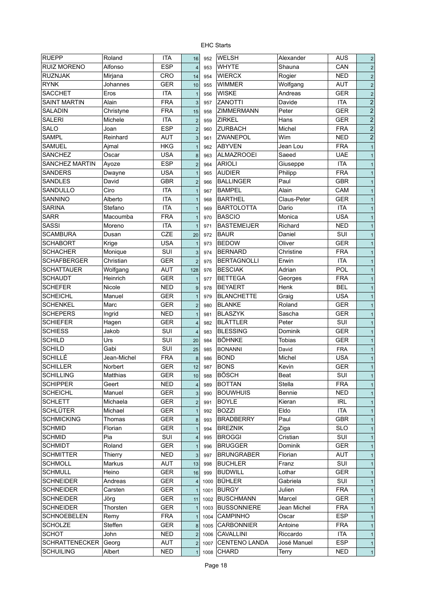| <b>RUEPP</b>          | Roland               | <b>ITA</b> | 16                      | 952  | <b>WELSH</b>       | Alexander     | <b>AUS</b> | $\overline{2}$ |
|-----------------------|----------------------|------------|-------------------------|------|--------------------|---------------|------------|----------------|
| <b>RUIZ MORENO</b>    | Alfonso              | <b>ESP</b> | $\overline{4}$          | 953  | <b>WHYTE</b>       | Shauna        | CAN        | $\overline{2}$ |
| <b>RUZNJAK</b>        | Mirjana              | <b>CRO</b> | 14                      | 954  | <b>WIERCX</b>      | Rogier        | <b>NED</b> | $\overline{2}$ |
| <b>RYNK</b>           | Johannes             | <b>GER</b> | 10                      | 955  | <b>WIMMER</b>      | Wolfgang      | <b>AUT</b> | $\overline{2}$ |
| <b>SACCHET</b>        | Eros                 | <b>ITA</b> | $\overline{1}$          | 956  | <b>WISKE</b>       | Andreas       | <b>GER</b> | $\overline{2}$ |
| <b>SAINT MARTIN</b>   | Alain                | <b>FRA</b> | $\mathbf{3}$            | 957  | <b>ZANOTTI</b>     | Davide        | <b>ITA</b> | $\overline{2}$ |
| SALADIN               | Christyne            | <b>FRA</b> | 15                      | 958  | ZIMMERMANN         | Peter         | <b>GER</b> | $\overline{c}$ |
| <b>SALERI</b>         | Michele              | <b>ITA</b> | $\overline{2}$          | 959  | <b>ZIRKEL</b>      | Hans          | <b>GER</b> | $\overline{2}$ |
| <b>SALO</b>           | Joan                 | <b>ESP</b> | $\overline{2}$          | 960  | <b>ZURBACH</b>     | Michel        | <b>FRA</b> | $\overline{2}$ |
| <b>SAMPL</b>          | Reinhard             | <b>AUT</b> | 3                       | 961  | <b>ZWANEPOL</b>    | Wim           | <b>NED</b> | $\overline{2}$ |
| SAMUEL                | Ajmal                | <b>HKG</b> | $\mathbf{1}$            | 962  | <b>ABYVEN</b>      | Jean Lou      | <b>FRA</b> | $\mathbf{1}$   |
| <b>SANCHEZ</b>        | Oscar                | <b>USA</b> | $\boldsymbol{8}$        | 963  | <b>ALMAZROOEI</b>  | Saeed         | <b>UAE</b> | $\mathbf{1}$   |
| <b>SANCHEZ MARTIN</b> | Ayoze                | <b>ESP</b> | $\overline{2}$          | 964  | <b>ARIOLI</b>      | Giuseppe      | <b>ITA</b> | $\mathbf{1}$   |
| <b>SANDERS</b>        | Dwayne               | <b>USA</b> | $\mathbf{1}$            | 965  | <b>AUDIER</b>      | Philipp       | <b>FRA</b> | $\mathbf{1}$   |
| <b>SANDLES</b>        | David                | <b>GBR</b> | $\overline{2}$          | 966  | <b>BALLINGER</b>   | Paul          | <b>GBR</b> | $\mathbf{1}$   |
| SANDULLO              | Ciro                 | <b>ITA</b> | $\mathbf{1}$            | 967  | <b>BAMPEL</b>      | Alain         | CAM        | $\mathbf{1}$   |
| SANNINO               | Alberto              | <b>ITA</b> | $\mathbf{1}$            | 968  | <b>BARTHEL</b>     | Claus-Peter   | <b>GER</b> | $\mathbf{1}$   |
| <b>SARINA</b>         | Stefano              | <b>ITA</b> | $\overline{1}$          | 969  | <b>BARTOLOTTA</b>  | Dario         | <b>ITA</b> | $\mathbf{1}$   |
| <b>SARR</b>           | Macoumba             | <b>FRA</b> | $\mathbf{1}$            | 970  | <b>BASCIO</b>      | Monica        | <b>USA</b> | $\mathbf{1}$   |
| <b>SASSI</b>          | Moreno               | ITA        | $\mathbf{1}$            | 971  | <b>BASTEMEIJER</b> | Richard       | <b>NED</b> | $\mathbf{1}$   |
| <b>SCAMBURA</b>       | Dusan                | CZE        | 20                      | 972  | <b>BAUR</b>        | Daniel        | SUI        | $\mathbf{1}$   |
| <b>SCHABORT</b>       | Krige                | <b>USA</b> | $\mathbf{1}$            | 973  | <b>BEDOW</b>       | Oliver        | <b>GER</b> | $\mathbf{1}$   |
| <b>SCHACHER</b>       | Monique              | <b>SUI</b> |                         |      | <b>BERNARD</b>     | Christine     | <b>FRA</b> | $\mathbf{1}$   |
| <b>SCHAFBERGER</b>    | Christian            | <b>GER</b> | 3                       | 974  | <b>BERTAGNOLLI</b> | Erwin         | <b>ITA</b> |                |
| <b>SCHATTAUER</b>     |                      | <b>AUT</b> | $\overline{2}$          | 975  | <b>BESCIAK</b>     | Adrian        | <b>POL</b> | $\mathbf{1}$   |
| <b>SCHAUDT</b>        | Wolfgang<br>Heinrich | <b>GER</b> | 128                     | 976  | <b>BETTEGA</b>     |               | <b>FRA</b> | $\mathbf{1}$   |
|                       |                      |            | $\mathbf{1}$            | 977  |                    | Georges       |            | $\mathbf{1}$   |
| <b>SCHEFER</b>        | Nicole               | <b>NED</b> | $9\,$                   | 978  | <b>BEYAERT</b>     | Henk          | <b>BEL</b> | $\mathbf{1}$   |
| <b>SCHEICHL</b>       | Manuel               | <b>GER</b> | $\mathbf{1}$            | 979  | <b>BLANCHETTE</b>  | Graig         | <b>USA</b> | $\mathbf{1}$   |
| <b>SCHENKEL</b>       | Marc                 | GER        | $\overline{2}$          | 980  | <b>BLANKE</b>      | Roland        | <b>GER</b> | $\mathbf{1}$   |
| <b>SCHEPERS</b>       | Ingrid               | <b>NED</b> | $\mathbf{1}$            | 981  | <b>BLASZYK</b>     | Sascha        | <b>GER</b> | $\mathbf{1}$   |
| <b>SCHIEFER</b>       | Hagen                | <b>GER</b> | $\overline{4}$          | 982  | <b>BLÄTTLER</b>    | Peter         | SUI        | $\mathbf{1}$   |
| <b>SCHIESS</b>        | Jakob                | SUI        | $\overline{4}$          | 983  | <b>BLESSING</b>    | Dominik       | <b>GER</b> | $\mathbf{1}$   |
| <b>SCHILD</b>         | Urs                  | SUI        | 20                      | 984  | <b>BÖHNKE</b>      | <b>Tobias</b> | <b>GER</b> | $\mathbf{1}$   |
| <b>SCHILD</b>         | Gabi                 | SUI        | 25                      | 985  | <b>BONANNI</b>     | David         | <b>FRA</b> | $\mathbf{1}$   |
| <b>SCHILLÉ</b>        | Jean-Michel          | <b>FRA</b> | 8                       | 986  | <b>BOND</b>        | Michel        | <b>USA</b> | $\mathbf{1}$   |
| <b>SCHILLER</b>       | Norbert              | <b>GER</b> | 12                      | 987  | <b>BONS</b>        | Kevin         | <b>GER</b> | $\mathbf{1}$   |
| <b>SCHILLING</b>      | Matthias             | <b>GER</b> | 10                      | 988  | <b>BÖSCH</b>       | <b>Beat</b>   | SUI        | $\mathbf{1}$   |
| <b>SCHIPPER</b>       | Geert                | <b>NED</b> | $\overline{\mathbf{4}}$ | 989  | <b>BOTTAN</b>      | Stella        | <b>FRA</b> | $\mathbf{1}$   |
| <b>SCHEICHL</b>       | Manuel               | GER        | 3                       | 990  | <b>BOUWHUIS</b>    | Bennie        | <b>NED</b> | $\mathbf{1}$   |
| <b>SCHLETT</b>        | Michaela             | <b>GER</b> | $\mathbf 2$             | 991  | <b>BOYLE</b>       | Kieran        | <b>IRL</b> | $\mathbf{1}$   |
| SCHLÜTER              | Michael              | GER        | $\mathbf{1}$            | 992  | <b>BOZZI</b>       | Eldo          | <b>ITA</b> | $\mathbf{1}$   |
| SCHMICKING            | Thomas               | <b>GER</b> | $\bf8$                  | 993  | <b>BRADBERRY</b>   | Paul          | <b>GBR</b> | $\mathbf{1}$   |
| <b>SCHMID</b>         | Florian              | <b>GER</b> | $\mathbf{1}$            | 994  | <b>BREZNIK</b>     | Ziga          | <b>SLO</b> | $\mathbf{1}$   |
| <b>SCHMID</b>         | Pia                  | SUI        | $\overline{\mathbf{4}}$ | 995  | <b>BROGGI</b>      | Cristian      | SUI        | $\mathbf{1}$   |
| <b>SCHMIDT</b>        | Roland               | <b>GER</b> | $\mathbf{1}$            | 996  | <b>BRUGGER</b>     | Dominik       | <b>GER</b> | $\mathbf{1}$   |
| <b>SCHMITTER</b>      | Thierry              | <b>NED</b> | 3                       | 997  | <b>BRUNGRABER</b>  | Florian       | <b>AUT</b> | $\mathbf{1}$   |
| <b>SCHMOLL</b>        | Markus               | <b>AUT</b> | 13                      | 998  | <b>BUCHLER</b>     | Franz         | SUI        | $\mathbf{1}$   |
| <b>SCHMULL</b>        | Heino                | <b>GER</b> | 16                      | 999  | <b>BUDWILL</b>     | Lothar        | <b>GER</b> | $\mathbf{1}$   |
| <b>SCHNEIDER</b>      | Andreas              | <b>GER</b> | $\overline{4}$          | 1000 | <b>BÜHLER</b>      | Gabriela      | SUI        | $\mathbf{1}$   |
| <b>SCHNEIDER</b>      | Carsten              | GER        | $\overline{1}$          | 1001 | <b>BURGY</b>       | Julien        | <b>FRA</b> | $\mathbf{1}$   |
| <b>SCHNEIDER</b>      | Jörg                 | <b>GER</b> | 11                      | 1002 | <b>BUSCHMANN</b>   | Marcel        | <b>GER</b> | $\mathbf{1}$   |
| <b>SCHNEIDER</b>      | Thorsten             | <b>GER</b> | $\overline{1}$          | 1003 | <b>BUSSONNIERE</b> | Jean Michel   | <b>FRA</b> | $\mathbf{1}$   |
| <b>SCHNOEBELEN</b>    | Remy                 | <b>FRA</b> | $\mathbf{1}$            | 1004 | <b>CAMPINHO</b>    | Oscar         | <b>ESP</b> | $\mathbf{1}$   |
| <b>SCHOLZE</b>        | Steffen              | <b>GER</b> | $\boldsymbol{8}$        | 1005 | CARBONNIER         | Antoine       | <b>FRA</b> | $\mathbf{1}$   |
| <b>SCHOT</b>          | John                 | <b>NED</b> | $\overline{2}$          | 1006 | CAVALLINI          | Riccardo      | <b>ITA</b> | $\mathbf{1}$   |
| <b>SCHRATTENECKER</b> | Georg                | <b>AUT</b> | $\overline{2}$          | 1007 | CENTENO LANDA      | José Manuel   | <b>ESP</b> | $\mathbf{1}$   |
| <b>SCHUILING</b>      | Albert               | <b>NED</b> | $\mathbf{1}$            | 1008 | <b>CHARD</b>       | Terry         | <b>NED</b> | $\mathbf{1}$   |
|                       |                      |            |                         |      |                    |               |            |                |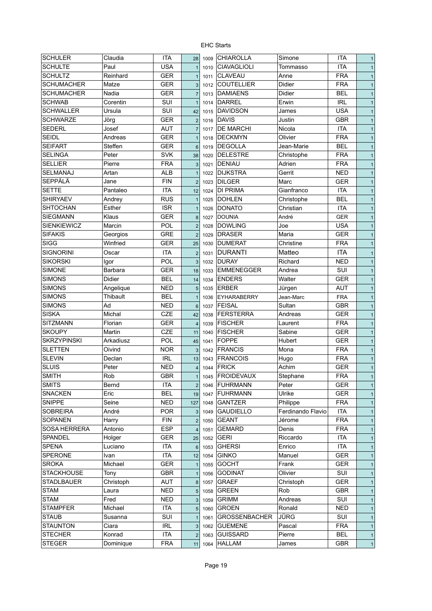| <b>SCHULER</b>                      | Claudia             | <b>ITA</b>        | 28               | 1009 | <b>CHIAROLLA</b>               | Simone            | <b>ITA</b>        | $\mathbf{1}$ |
|-------------------------------------|---------------------|-------------------|------------------|------|--------------------------------|-------------------|-------------------|--------------|
| <b>SCHULTE</b>                      | Paul                | <b>USA</b>        | $\overline{1}$   | 1010 | <b>CIAVAGLIOLI</b>             | Tommasso          | <b>ITA</b>        | $\mathbf{1}$ |
| <b>SCHULTZ</b>                      | Reinhard            | <b>GER</b>        | $\overline{1}$   | 1011 | <b>CLAVEAU</b>                 | Anne              | <b>FRA</b>        | $\mathbf{1}$ |
| <b>SCHUMACHER</b>                   | Matze               | <b>GER</b>        | 3                | 1012 | <b>COUTELLIER</b>              | <b>Didier</b>     | <b>FRA</b>        | $\mathbf{1}$ |
| <b>SCHUMACHER</b>                   | Nadia               | <b>GER</b>        | $\overline{7}$   | 1013 | <b>DAMIAENS</b>                | <b>Didier</b>     | <b>BEL</b>        | $\mathbf{1}$ |
| <b>SCHWAB</b>                       | Corentin            | SUI               | $\overline{1}$   | 1014 | <b>DARREL</b>                  | Erwin             | <b>IRL</b>        | $\mathbf{1}$ |
| <b>SCHWALLER</b>                    | Ursula              | SUI               | 42               | 1015 | <b>DAVIDSON</b>                | James             | <b>USA</b>        | $\mathbf{1}$ |
| <b>SCHWARZE</b>                     | Jörg                | <b>GER</b>        | $\overline{2}$   | 1016 | <b>DAVIS</b>                   | Justin            | <b>GBR</b>        | $\mathbf{1}$ |
| <b>SEDERL</b>                       | Josef               | <b>AUT</b>        | $\overline{7}$   | 1017 | <b>DE MARCHI</b>               | Nicola            | <b>ITA</b>        | $\mathbf{1}$ |
| <b>SEIDL</b>                        | Andreas             | <b>GER</b>        | $\mathbf{1}$     | 1018 | <b>DECKMYN</b>                 | Olivier           | <b>FRA</b>        | $\mathbf{1}$ |
| <b>SEIFART</b>                      | Steffen             | <b>GER</b>        | $6\phantom{1}$   | 1019 | <b>DEGOLLA</b>                 | Jean-Marie        | <b>BEL</b>        | $\mathbf{1}$ |
| <b>SELINGA</b>                      | Peter               | <b>SVK</b>        | 38               | 1020 | <b>DELESTRE</b>                | Christophe        | <b>FRA</b>        | $\mathbf{1}$ |
| <b>SELLIER</b>                      | Pierre              | <b>FRA</b>        | 3                | 1021 | <b>DENIAU</b>                  | Adrien            | <b>FRA</b>        | $\mathbf{1}$ |
| SELMANAJ                            | Artan               | <b>ALB</b>        | $\mathbf{1}$     | 1022 | <b>DIJKSTRA</b>                | Gerrit            | <b>NED</b>        | $\mathbf{1}$ |
| <b>SEPPÄLÄ</b>                      | Jane                | <b>FIN</b>        | $\overline{2}$   | 1023 | <b>DILGER</b>                  | Marc              | GER               | $\mathbf{1}$ |
| <b>SETTE</b>                        | Pantaleo            | <b>ITA</b>        | 12               | 1024 | <b>DI PRIMA</b>                | Gianfranco        | <b>ITA</b>        | $\mathbf{1}$ |
| <b>SHIRYAEV</b>                     | Andrey              | <b>RUS</b>        | $\mathbf{1}$     | 1025 | <b>DOHLEN</b>                  | Christophe        | <b>BEL</b>        | $\mathbf{1}$ |
| <b>SHTOCHAN</b>                     | Esther              | <b>ISR</b>        | $\mathbf{1}$     | 1026 | <b>DONATO</b>                  | Christian         | <b>ITA</b>        | $\mathbf{1}$ |
| <b>SIEGMANN</b>                     | Klaus               | <b>GER</b>        | 8                | 1027 | <b>DOUNIA</b>                  | André             | <b>GER</b>        | $\mathbf{1}$ |
| <b>SIENKIEWICZ</b>                  | Marcin              | POL               | $\overline{2}$   | 1028 | <b>DOWLING</b>                 | Joe               | <b>USA</b>        | $\mathbf{1}$ |
| <b>SIFAKIS</b>                      | Georgios            | <b>GRE</b>        | $\overline{2}$   | 1029 | <b>DRASER</b>                  | Maria             | GER               | $\mathbf{1}$ |
| <b>SIGG</b>                         | Winfried            | <b>GER</b>        | 25               | 1030 | <b>DUMERAT</b>                 | Christine         | <b>FRA</b>        | 1            |
| <b>SIGNORINI</b>                    | Oscar               | <b>ITA</b>        | $\overline{2}$   | 1031 | <b>DURANTI</b>                 | Matteo            | <b>ITA</b>        | 1            |
| <b>SIKORSKI</b>                     | Igor                | POL               | 3                | 1032 | <b>DURAY</b>                   | Richard           | <b>NED</b>        | $\mathbf{1}$ |
| <b>SIMONE</b>                       | <b>Barbara</b>      | <b>GER</b>        | 18               | 1033 | <b>EMMENEGGER</b>              | Andrea            | SUI               | $\mathbf{1}$ |
| <b>SIMONS</b>                       | Didier              | <b>BEL</b>        | 14               | 1034 | <b>ENDERS</b>                  | Walter            | <b>GER</b>        | $\mathbf{1}$ |
| <b>SIMONS</b>                       | Angelique           | <b>NED</b>        | 5                | 1035 | <b>ERBER</b>                   | Jürgen            | <b>AUT</b>        | $\mathbf{1}$ |
| <b>SIMONS</b>                       | <b>Thibault</b>     | <b>BEL</b>        |                  | 1036 | <b>EYHARABERRY</b>             | Jean-Marc         | <b>FRA</b>        | $\mathbf{1}$ |
| <b>SIMONS</b>                       | Ad                  | NED               |                  |      | <b>FEISAL</b>                  | Sultan            | <b>GBR</b>        |              |
| <b>SISKA</b>                        | Michal              | <b>CZE</b>        | $6\phantom{1}6$  | 1037 | <b>FERSTERRA</b>               | Andreas           | <b>GER</b>        | $\mathbf{1}$ |
| <b>SITZMANN</b>                     | Florian             | <b>GER</b>        | 42               | 1038 | <b>FISCHER</b>                 |                   | <b>FRA</b>        | $\mathbf{1}$ |
|                                     |                     |                   | $\overline{4}$   | 1039 |                                | Laurent           |                   | $\mathbf{1}$ |
| <b>SKOUPY</b><br><b>SKRZYPINSKI</b> | Martin<br>Arkadiusz | CZE<br><b>POL</b> | 11               | 1040 | <b>FISCHER</b><br><b>FOPPE</b> | Sabine<br>Hubert  | <b>GER</b><br>GER | $\mathbf{1}$ |
|                                     |                     |                   | 45               | 1041 |                                |                   |                   | $\mathbf{1}$ |
| SLETTEN                             | Oivind              | <b>NOR</b>        | 3                | 1042 | <b>FRANCIS</b>                 | Mona              | <b>FRA</b>        | $\mathbf{1}$ |
| <b>SLEVIN</b>                       | Declan              | <b>IRL</b>        | 13               | 1043 | <b>FRANCOIS</b>                | Hugo              | <b>FRA</b>        | $\mathbf{1}$ |
| <b>SLUIS</b>                        | Peter               | <b>NED</b>        | $\overline{4}$   | 1044 | <b>FRICK</b>                   | Achim             | <b>GER</b>        | $\mathbf{1}$ |
| <b>SMITH</b>                        | Rob                 | <b>GBR</b>        | 1                |      | 1045 FROIDEVAUX                | Stephane          | <b>FRA</b>        | 1            |
| <b>SMITS</b>                        | Bernd               | ITA               | $\overline{2}$   | 1046 | <b>FUHRMANN</b>                | Peter             | <b>GER</b>        | $\mathbf{1}$ |
| <b>SNACKEN</b>                      | Eric                | <b>BEL</b>        | 19               | 1047 | <b>FUHRMANN</b>                | Ulrike            | <b>GER</b>        | $\mathbf{1}$ |
| <b>SNIPPE</b>                       | Seine               | <b>NED</b>        | 127              | 1048 | GANTZER                        | Philippe          | <b>FRA</b>        | $\mathbf{1}$ |
| <b>SOBREIRA</b>                     | André               | <b>POR</b>        | $\mathbf{3}$     | 1049 | <b>GAUDIELLO</b>               | Ferdinando Flavio | ITA               | $\mathbf{1}$ |
| <b>SOPANEN</b>                      | Harry               | <b>FIN</b>        | $\overline{2}$   | 1050 | <b>GEANT</b>                   | Jérome            | <b>FRA</b>        | $\mathbf{1}$ |
| <b>SOSA HERRERA</b>                 | Antonio             | <b>ESP</b>        | $\overline{4}$   | 1051 | <b>GEMARD</b>                  | Denis             | <b>FRA</b>        | $\mathbf{1}$ |
| SPANDEL                             | Holger              | <b>GER</b>        | 25               | 1052 | <b>GERI</b>                    | Riccardo          | <b>ITA</b>        | $\mathbf{1}$ |
| <b>SPENA</b>                        | Luciano             | ITA               | $6\phantom{1}$   | 1053 | <b>GHERSI</b>                  | Enrico            | <b>ITA</b>        | $\mathbf{1}$ |
| SPERONE                             | Ivan                | <b>ITA</b>        | 12               | 1054 | <b>GINKO</b>                   | Manuel            | <b>GER</b>        | $\mathbf{1}$ |
| <b>SROKA</b>                        | Michael             | <b>GER</b>        | $\mathbf{1}$     | 1055 | <b>GOCHT</b>                   | Frank             | <b>GER</b>        | $\mathbf{1}$ |
| <b>STACKHOUSE</b>                   | Tony                | <b>GBR</b>        | $\mathbf{1}$     | 1056 | <b>GODINAT</b>                 | Olivier           | SUI               | $\mathbf{1}$ |
| <b>STADLBAUER</b>                   | Christoph           | AUT               | $\boldsymbol{8}$ | 1057 | <b>GRAEF</b>                   | Christoph         | <b>GER</b>        | $\mathbf{1}$ |
| <b>STAM</b>                         | Laura               | <b>NED</b>        | 5                | 1058 | <b>GREEN</b>                   | Rob               | <b>GBR</b>        | $\mathbf{1}$ |
| <b>STAM</b>                         | Fred                | NED               | 3                | 1059 | <b>GRIMM</b>                   | Andreas           | SUI               | $\mathbf{1}$ |
| <b>STAMPFER</b>                     | Michael             | ITA               | 5                | 1060 | <b>GROEN</b>                   | Ronald            | <b>NED</b>        | $\mathbf{1}$ |
| <b>STAUB</b>                        | Susanna             | <b>SUI</b>        | $\mathbf{1}$     | 1061 | <b>GROSSENBACHER</b>           | JÜRG              | SUI               | $\mathbf{1}$ |
| <b>STAUNTON</b>                     | Ciara               | <b>IRL</b>        | 3                | 1062 | <b>GUEMENE</b>                 | Pascal            | <b>FRA</b>        | $\mathbf{1}$ |
| <b>STECHER</b>                      | Konrad              | <b>ITA</b>        | $\overline{2}$   | 1063 | <b>GUISSARD</b>                | Pierre            | BEL               | $\mathbf{1}$ |
| <b>STEGER</b>                       | Dominique           | <b>FRA</b>        | 11               | 1064 | <b>HALLAM</b>                  | James             | GBR               | $\mathbf{1}$ |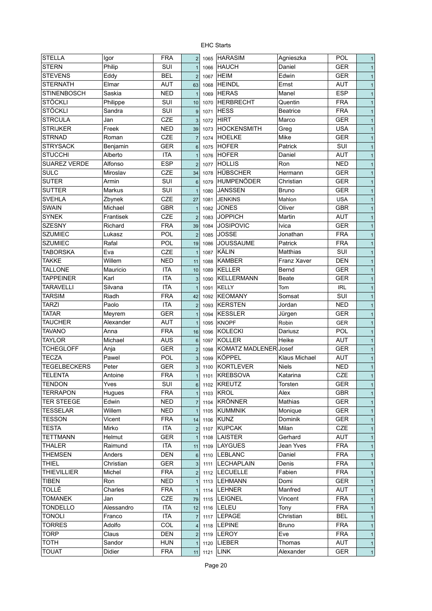| <b>STELLA</b>       | Igor       | <b>FRA</b> | 2               | 1065 | <b>HARASIM</b>        | Agnieszka          | <b>POL</b> | $\mathbf{1}$ |
|---------------------|------------|------------|-----------------|------|-----------------------|--------------------|------------|--------------|
| <b>STERN</b>        | Philip     | SUI        | $\mathbf{1}$    | 1066 | <b>HAUCH</b>          | Daniel             | <b>GER</b> | $\mathbf{1}$ |
| <b>STEVENS</b>      | Eddy       | <b>BEL</b> | $\overline{2}$  | 1067 | <b>HEIM</b>           | Edwin              | <b>GER</b> | $\mathbf{1}$ |
| <b>STERNATH</b>     | Elmar      | <b>AUT</b> | 63              | 1068 | <b>HEINDL</b>         | Ernst              | <b>AUT</b> | $\mathbf{1}$ |
| <b>STINENBOSCH</b>  | Saskia     | <b>NED</b> | $\overline{1}$  | 1069 | <b>HERAS</b>          | Manel              | <b>ESP</b> | $\mathbf{1}$ |
| <b>STÖCKLI</b>      | Philippe   | SUI        | 10              | 1070 | <b>HERBRECHT</b>      | Quentin            | <b>FRA</b> | $\mathbf{1}$ |
| <b>STÖCKLI</b>      | Sandra     | SUI        | 9               | 1071 | <b>HESS</b>           | <b>Beatrice</b>    | <b>FRA</b> | $\mathbf{1}$ |
| <b>STRCULA</b>      | Jan        | CZE        | 3               | 1072 | <b>HIRT</b>           | Marco              | <b>GER</b> | $\mathbf{1}$ |
| <b>STRIJKER</b>     | Freek      | <b>NED</b> | 39              | 1073 | <b>HOCKENSMITH</b>    | Greg               | <b>USA</b> | $\mathbf{1}$ |
| <b>STRNAD</b>       | Roman      | <b>CZE</b> | $\overline{7}$  | 1074 | <b>HOELKE</b>         | Mike               | <b>GER</b> | $\mathbf{1}$ |
| <b>STRYSACK</b>     | Benjamin   | <b>GER</b> | $6\phantom{1}$  | 1075 | <b>HOFER</b>          | Patrick            | SUI        | $\mathbf{1}$ |
| <b>STUCCHI</b>      | Alberto    | <b>ITA</b> | $\mathbf{1}$    | 1076 | <b>HOFER</b>          | Daniel             | <b>AUT</b> | $\mathbf{1}$ |
| <b>SUAREZ VERDE</b> | Alfonso    | <b>ESP</b> | $\overline{2}$  | 1077 | <b>HOLLIS</b>         | Ron                | <b>NED</b> | $\mathbf{1}$ |
| <b>SULC</b>         | Miroslav   | CZE        | 34              | 1078 | HÜBSCHER              | Hermann            | <b>GER</b> | $\mathbf{1}$ |
| <b>SUTER</b>        | Armin      | SUI        | $6\phantom{1}$  | 1079 | HUMPENÖDER            | Christian          | <b>GER</b> | $\mathbf{1}$ |
| <b>SUTTER</b>       | Markus     | SUI        |                 |      | <b>JANSSEN</b>        | <b>Bruno</b>       | <b>GER</b> |              |
| <b>SVEHLA</b>       |            | <b>CZE</b> | $\mathbf{1}$    | 1080 |                       |                    |            | $\mathbf{1}$ |
|                     | Zbynek     |            | 27              | 1081 | <b>JENKINS</b>        | Mahlon             | <b>USA</b> | $\mathbf{1}$ |
| <b>SWAIN</b>        | Michael    | <b>GBR</b> | $\mathbf{1}$    | 1082 | <b>JONES</b>          | Oliver             | <b>GBR</b> | $\mathbf{1}$ |
| <b>SYNEK</b>        | Frantisek  | CZE        | $\overline{2}$  | 1083 | <b>JOPPICH</b>        | Martin             | <b>AUT</b> | $\mathbf{1}$ |
| <b>SZESNY</b>       | Richard    | <b>FRA</b> | 39              | 1084 | <b>JOSIPOVIC</b>      | <b>Ivica</b>       | <b>GER</b> | $\mathbf{1}$ |
| <b>SZUMIEC</b>      | Lukasz     | POL        | $\overline{2}$  | 1085 | <b>JOSSE</b>          | Jonathan           | <b>FRA</b> | $\mathbf{1}$ |
| <b>SZUMIEC</b>      | Rafal      | <b>POL</b> | 19              | 1086 | <b>JOUSSAUME</b>      | Patrick            | <b>FRA</b> | $\mathbf{1}$ |
| <b>TABORSKA</b>     | Eva        | <b>CZE</b> | $\mathbf{1}$    | 1087 | KÄLIN                 | Matthias           | SUI        | $\mathbf{1}$ |
| <b>TAKKE</b>        | Willem     | <b>NED</b> | 11              | 1088 | <b>KAMBER</b>         | <b>Franz Xaver</b> | <b>DEN</b> | $\mathbf{1}$ |
| <b>TALLONE</b>      | Mauricio   | <b>ITA</b> | 10              | 1089 | <b>KELLER</b>         | Bernd              | <b>GER</b> | $\mathbf{1}$ |
| <b>TAPPEINER</b>    | Karl       | <b>ITA</b> | 3               | 1090 | <b>KELLERMANN</b>     | Beate              | <b>GER</b> | $\mathbf{1}$ |
| <b>TARAVELLI</b>    | Silvana    | <b>ITA</b> | $\overline{1}$  | 1091 | <b>KELLY</b>          | Tom                | <b>IRL</b> | $\mathbf{1}$ |
| <b>TARSIM</b>       | Riadh      | <b>FRA</b> | 42              | 1092 | <b>KEOMANY</b>        | Somsat             | SUI        | $\mathbf{1}$ |
| <b>TARZI</b>        | Paolo      | <b>ITA</b> | $\overline{2}$  | 1093 | <b>KERSTEN</b>        | Jordan             | <b>NED</b> | $\mathbf{1}$ |
| <b>TATAR</b>        | Meyrem     | <b>GER</b> | $\overline{1}$  | 1094 | <b>KESSLER</b>        | Jürgen             | <b>GER</b> | $\mathbf{1}$ |
| <b>TAUCHER</b>      | Alexander  | <b>AUT</b> | $\mathbf{1}$    | 1095 | <b>KNOPF</b>          | Robin              | <b>GER</b> | $\mathbf{1}$ |
| <b>TAVANO</b>       | Anna       | <b>FRA</b> | 16              | 1096 | <b>KOLECKI</b>        | Dariusz            | <b>POL</b> | $\mathbf{1}$ |
| <b>TAYLOR</b>       | Michael    | <b>AUS</b> | $6\phantom{1}6$ | 1097 | <b>KOLLER</b>         | Heike              | AUT        | $\mathbf{1}$ |
| <b>TCHEGLOFF</b>    | Anja       | <b>GER</b> | $\overline{2}$  | 1098 | KOMATZ MADLENER Josef |                    | <b>GER</b> | $\mathbf{1}$ |
| <b>TECZA</b>        | Pawel      | POL        | 3               | 1099 | <b>KÖPPEL</b>         | Klaus Michael      | <b>AUT</b> | $\mathbf{1}$ |
| <b>TEGELBECKERS</b> | Peter      | <b>GER</b> | 3               | 1100 | <b>KORTLEVER</b>      | <b>Niels</b>       | <b>NED</b> | $\mathbf{1}$ |
| <b>TELENTA</b>      | Antoine    | <b>FRA</b> | $\mathbf{1}$    |      | 1101   KREBSOVA       | Katarina           | CZE        | $\mathbf{1}$ |
| <b>TENDON</b>       | Yves       | SUI        | 6               |      | 1102 KREUTZ           | Torsten            | <b>GER</b> | $\mathbf{1}$ |
| <b>TERRAPON</b>     | Hugues     | <b>FRA</b> | $\overline{1}$  | 1103 | <b>KROL</b>           | Alex               | <b>GBR</b> | $\mathbf{1}$ |
| <b>TER STEEGE</b>   | Edwin      | <b>NED</b> | $\overline{7}$  | 1104 | <b>KRÖNNER</b>        | Mathias            | <b>GER</b> | $\mathbf{1}$ |
| TESSELAR            | Willem     | <b>NED</b> | $\mathbf{1}$    | 1105 | <b>KUMMNIK</b>        | Monique            | <b>GER</b> | $\mathbf{1}$ |
| TESSON              | Vicent     | <b>FRA</b> | 14              |      | 1106 KUNZ             | <b>Dominik</b>     | <b>GER</b> | $\mathbf{1}$ |
| TESTA               | Mirko      | ITA        | $\overline{2}$  | 1107 | <b>KUPCAK</b>         | Milan              | CZE        | $\mathbf{1}$ |
| TETTMANN            | Helmut     | <b>GER</b> | $\overline{1}$  | 1108 | <b>LAISTER</b>        | Gerhard            | <b>AUT</b> | $\mathbf{1}$ |
| THALER              | Raimund    | ITA        | 11              | 1109 | LAYGUES               | Jean Yves          | <b>FRA</b> | $\mathbf{1}$ |
| <b>THEMSEN</b>      | Anders     | <b>DEN</b> | 6               |      | 1110  LEBLANC         | Daniel             | <b>FRA</b> | $\mathbf{1}$ |
| <b>THIEL</b>        | Christian  | <b>GER</b> | $\mathbf{3}$    | 1111 | <b>LECHAPLAIN</b>     | Denis              | <b>FRA</b> | $\mathbf{1}$ |
| <b>THIEVILLIER</b>  | Michel     | <b>FRA</b> | $\overline{2}$  |      | 1112 LECUELLE         | Fabien             | <b>FRA</b> | $\mathbf{1}$ |
| TIBEN               | Ron        | <b>NED</b> | $\mathbf{1}$    |      | 1113 LEHMANN          | Domi               | <b>GER</b> | $\mathbf{1}$ |
| TOLLÉ               | Charles    | <b>FRA</b> | $\mathbf{1}$    | 1114 | <b>LEHNER</b>         | Manfred            | <b>AUT</b> |              |
| <b>TOMANEK</b>      | Jan        | CZE        |                 |      | 1115   LEIGNEL        | Vincent            | <b>FRA</b> | $\mathbf{1}$ |
| <b>TONDELLO</b>     | Alessandro | <b>ITA</b> | 79              |      |                       |                    | <b>FRA</b> | $\mathbf{1}$ |
| <b>TONOLI</b>       |            | <b>ITA</b> | 12              |      | 1116   LELEU          | Tony<br>Christian  | <b>BEL</b> | $\mathbf{1}$ |
|                     | Franco     |            | $\overline{7}$  | 1117 | <b>LEPAGE</b>         |                    |            | $\mathbf{1}$ |
| TORRES              | Adolfo     | COL        | $\overline{4}$  | 1118 | <b>LEPINE</b>         | <b>Bruno</b>       | <b>FRA</b> | $\mathbf{1}$ |
| <b>TORP</b>         | Claus      | <b>DEN</b> | 2               |      | 1119 LEROY            | Eve                | <b>FRA</b> | $\mathbf{1}$ |
| <b>TOTH</b>         | Sandor     | <b>HUN</b> | $\mathbf{1}$    |      | 1120   LIEBER         | Thomas             | <b>AUT</b> | $\mathbf{1}$ |
| <b>TOUAT</b>        | Didier     | <b>FRA</b> | 11              |      | 1121 LINK             | Alexander          | <b>GER</b> | $\mathbf{1}$ |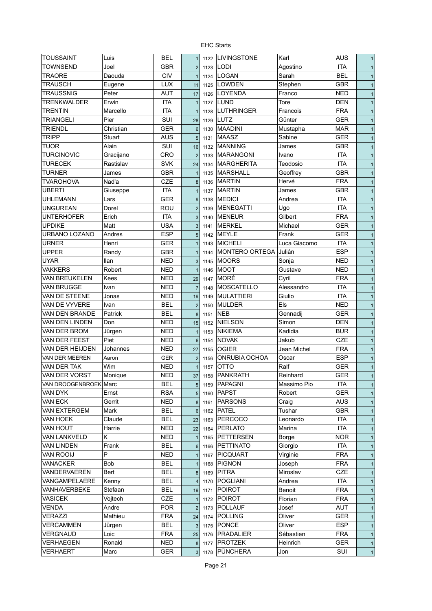| <b>ITA</b><br><b>TOWNSEND</b><br>Joel<br><b>GBR</b><br><b>LODI</b><br>Agostino<br>$\overline{2}$<br>1123<br>$\mathbf{1}$<br><b>CIV</b><br><b>LOGAN</b><br><b>BEL</b><br><b>TRAORE</b><br>Daouda<br>Sarah<br>1124<br>$\overline{1}$<br>$\mathbf{1}$<br><b>LOWDEN</b><br><b>TRAUSCH</b><br><b>LUX</b><br><b>GBR</b><br>Eugene<br>Stephen<br>11<br>1125<br>$\mathbf{1}$<br><b>AUT</b><br><b>NED</b><br><b>TRAUSSNIG</b><br><b>LOYENDA</b><br>Peter<br>Franco<br>17<br>1126<br>$\mathbf{1}$<br><b>ITA</b><br>LUND<br>Tore<br><b>TRENKWALDER</b><br>Erwin<br><b>DEN</b><br>1127<br>$\overline{1}$<br>$\mathbf{1}$<br><b>ITA</b><br><b>LUTHRINGER</b><br><b>FRA</b><br>TRENTIN<br>Marcello<br>Francois<br>1128<br>$\mathbf{1}$<br>$\mathbf{1}$<br>SUI<br>LUTZ<br><b>GER</b><br>TRIANGELI<br>Pier<br>Günter<br>1129<br>28<br>$\mathbf{1}$<br><b>MAADINI</b><br>TRIENDL<br>Christian<br><b>GER</b><br><b>MAR</b><br>Mustapha<br>$6\phantom{1}6$<br>1130<br>$\mathbf{1}$<br><b>TRIPP</b><br><b>MAASZ</b><br><b>GER</b><br>Stuart<br><b>AUS</b><br>Sabine<br>5<br>1131<br>$\mathbf{1}$<br>Alain<br>SUI<br><b>TUOR</b><br><b>MANNING</b><br><b>GBR</b><br>James<br>16<br>1132<br>$\mathbf{1}$<br><b>TURCINOVIC</b><br><b>CRO</b><br><b>MARANGONI</b><br><b>ITA</b><br>Gracijano<br>Ivano<br>$\overline{2}$<br>1133<br>$\mathbf{1}$<br><b>SVK</b><br><b>ITA</b><br><b>TURECEK</b><br><b>MARGHERITA</b><br>Teodosio<br>Rastislav<br>24<br>1134<br>$\mathbf{1}$<br><b>GBR</b><br><b>TURNER</b><br><b>GBR</b><br><b>MARSHALL</b><br>Geoffrey<br>James<br>$\mathbf{1}$<br>1135<br>$\mathbf{1}$<br><b>FRA</b><br><b>TVAROHOVA</b><br>Nad'a<br><b>CZE</b><br><b>MARTIN</b><br>Hervé<br>8<br>1136<br>$\mathbf{1}$<br><b>GBR</b><br><b>MARTIN</b><br><b>UBERTI</b><br><b>ITA</b><br>James<br>Giuseppe<br>1137<br>$\mathbf{1}$<br>$\mathbf{1}$<br><b>ITA</b><br><b>UHLEMANN</b><br><b>GER</b><br><b>MEDICI</b><br>Andrea<br>Lars<br>9<br>1138<br>$\mathbf{1}$<br><b>ITA</b><br>ROU<br><b>MENEGATTI</b><br><b>UNGUREAN</b><br>Dorel<br>Ugo<br>$\overline{2}$<br>1139<br>$\mathbf{1}$<br>Gilbert<br><b>FRA</b><br>Erich<br><b>ITA</b><br><b>MENEUR</b><br><b>UNTERHOFER</b><br>3<br>$\mathbf{1}$<br>1140<br><b>USA</b><br><b>UPDIKE</b><br>Matt<br><b>MERKEL</b><br><b>GER</b><br>Michael<br>3<br>1141<br>$\mathbf{1}$<br><b>ESP</b><br><b>MEYLE</b><br>Frank<br><b>GER</b><br>URBANO LOZANO<br>Andres<br>5<br>1142<br>$\mathbf{1}$<br><b>ITA</b><br><b>MICHELI</b><br>Luca Giacomo<br><b>URNER</b><br>Henri<br><b>GER</b><br>1143<br>$\mathbf{1}$<br>$\mathbf{1}$<br>Julián<br><b>ESP</b><br><b>UPPER</b><br><b>GBR</b><br>MONTERO ORTEGA<br>Randy<br>1144<br>$\mathbf{1}$<br>$\mathbf{1}$<br><b>UYAR</b><br><b>MOORS</b><br><b>NED</b><br><b>Ilan</b><br>NED<br>Sonja<br>3<br>1145<br>$\mathbf{1}$<br><b>VAKKERS</b><br><b>NED</b><br>Robert<br>NED<br><b>MOOT</b><br>Gustave<br>$\mathbf{1}$<br>1146<br>$\mathbf{1}$<br><b>MORÉ</b><br><b>FRA</b><br>VAN BREUKELEN<br>Kees<br>NED<br>Cyril<br>29<br>1147<br>$\mathbf{1}$<br><b>ITA</b><br>VAN BRUGGE<br>NED<br>MOSCATELLO<br>Alessandro<br>Ivan<br>$\overline{7}$<br>1148<br>$\mathbf{1}$<br><b>ITA</b><br>VAN DE STEENE<br><b>MULATTIERI</b><br>Giulio<br>Jonas<br><b>NED</b><br>19<br>1149<br>$\mathbf{1}$<br>VAN DE VYVERE<br><b>BEL</b><br><b>MULDER</b><br>Els<br><b>NED</b><br>Ivan<br>1150<br>$\mathbf{1}$<br>$\overline{2}$<br>VAN DEN BRANDE<br>Patrick<br><b>BEL</b><br><b>NEB</b><br><b>GER</b><br>Gennadij<br>1151<br>8<br>$\mathbf{1}$<br>VAN DEN LINDEN<br><b>NIELSON</b><br>Simon<br><b>DEN</b><br>Don<br>NED<br>15<br>1152<br>$\mathbf{1}$<br>VAN DER BROM<br><b>NIKIEMA</b><br>Kadidia<br><b>BUR</b><br><b>NED</b><br>Jürgen<br>1153<br>$\mathbf{1}$<br><b>CZE</b><br>Piet<br><b>NOVAK</b><br>VAN DER FEEST<br>NED<br>Jakub<br>1154<br>$\mathbf{1}$<br>6<br>VAN DER HEIJDEN<br><b>NED</b><br><b>OGIER</b><br>Jean Michel<br><b>FRA</b><br>Johannes<br>27<br>1155<br>$\mathbf{1}$<br>ONRUBIA OCHOA<br><b>ESP</b><br>Oscar<br>VAN DER MEEREN<br>Aaron<br>GER<br>$\mathbf{1}$<br>$\overline{2}$<br>1156<br>Wim<br><b>GER</b><br>VAN DER TAK<br><b>NED</b><br><b>OTTO</b><br>Ralf<br>1157<br>$\mathbf{1}$<br><b>GER</b><br><b>PANKRATH</b><br>VAN DER VORST<br>Monique<br><b>NED</b><br>Reinhard<br>$\mathbf{1}$<br>37<br>1158<br><b>BEL</b><br><b>PAPAGNI</b><br>Massimo Pio<br>ITA<br>VAN DROOGENBROEK Marc<br>$\overline{5}$<br>1159<br>$\mathbf{1}$<br><b>RSA</b><br><b>PAPST</b><br><b>GER</b><br>VAN DYK<br>Ernst<br>Robert<br>5<br>1160<br>$\mathbf{1}$<br>VAN ECK<br><b>NED</b><br><b>PARSONS</b><br>Craig<br><b>AUS</b><br>Gerrit<br>$\mathbf{1}$<br>$\boldsymbol{8}$<br>1161<br>VAN EXTERGEM<br>Mark<br>BEL<br><b>PATEL</b><br>Tushar<br>GBR<br>1162<br>$6\phantom{1}6$<br>$\mathbf{1}$<br>VAN HOEK<br>Claude<br>BEL<br><b>PERCOCO</b><br>Leonardo<br>ITA<br>23<br>1163<br>$\mathbf{1}$<br><b>ITA</b><br>VAN HOUT<br>Harrie<br><b>NED</b><br><b>PERLATO</b><br>Marina<br>22<br>1164<br>$\mathbf{1}$<br><b>NOR</b><br><b>VAN LANKVELD</b><br>Κ<br><b>NED</b><br><b>PETTERSEN</b><br>Borge<br>1165<br>$\mathbf{1}$<br>$\overline{1}$<br><b>VAN LINDEN</b><br>Frank<br>BEL<br><b>PETTINATO</b><br><b>ITA</b><br>Giorgio<br>1166<br>$6\phantom{1}6$<br>$\mathbf{1}$<br>VAN ROOIJ<br><b>FRA</b><br>P<br><b>NED</b><br><b>PICQUART</b><br>Virginie<br>1167<br>$\overline{1}$<br>$\mathbf{1}$<br><b>VANACKER</b><br><b>Bob</b><br>BEL<br><b>PIGNON</b><br><b>FRA</b><br>Joseph<br>1168<br>$\overline{1}$<br>$\mathbf{1}$<br>VANDERVAEREN<br>BEL<br><b>PITRA</b><br>Miroslav<br>CZE<br>Bert<br>$\bf 8$<br>1169<br>$\mathbf{1}$<br>VANGAMPELAERE<br>BEL<br><b>POGLIANI</b><br>Kenny<br>Andrea<br><b>ITA</b><br>$\overline{4}$<br>1170<br>$\mathbf{1}$<br><b>POIROT</b><br><b>FRA</b><br>VANHAVERBEKE<br>Stefaan<br>BEL<br>Benoit<br>1171<br>19<br>$\mathbf{1}$<br><b>VASICEK</b><br>Vojtech<br>CZE<br><b>POIROT</b><br><b>FRA</b><br>Florian<br>1172<br>$\overline{1}$<br>$\mathbf{1}$<br><b>POLLAUF</b><br>AUT<br>VENDA<br>Andre<br><b>POR</b><br>Josef<br>$\overline{2}$<br>1173<br>$\mathbf{1}$<br>Oliver<br><b>GER</b><br><b>VERAZZI</b><br>Mathieu<br><b>FRA</b><br><b>POLLING</b><br>1174<br>24<br>$\mathbf{1}$<br><b>ESP</b><br><b>VERCAMMEN</b><br>BEL<br><b>PONCE</b><br>Oliver<br>Jürgen<br>$\mathbf{3}$<br>1175<br>$\mathbf{1}$<br>VERGNAUD<br>Loic<br><b>FRA</b><br><b>PRADALIER</b><br>Sébastien<br><b>FRA</b><br>25<br>1176<br>$\mathbf{1}$<br><b>GER</b><br>VERHAEGEN<br>Ronald<br><b>NED</b><br><b>PROTZEK</b><br>Heinrich<br>1177<br>8<br>$\mathbf{1}$<br>PÜNCHERA<br>SUI<br><b>VERHAERT</b><br><b>GER</b><br>Marc<br>Jon<br>3 <sup>1</sup><br>1178<br>$\mathbf{1}$ | <b>TOUSSAINT</b> | Luis | <b>BEL</b> | $\mathbf{1}$ | 1122 | <b>LIVINGSTONE</b> | Karl | <b>AUS</b> | $\mathbf{1}$ |
|--------------------------------------------------------------------------------------------------------------------------------------------------------------------------------------------------------------------------------------------------------------------------------------------------------------------------------------------------------------------------------------------------------------------------------------------------------------------------------------------------------------------------------------------------------------------------------------------------------------------------------------------------------------------------------------------------------------------------------------------------------------------------------------------------------------------------------------------------------------------------------------------------------------------------------------------------------------------------------------------------------------------------------------------------------------------------------------------------------------------------------------------------------------------------------------------------------------------------------------------------------------------------------------------------------------------------------------------------------------------------------------------------------------------------------------------------------------------------------------------------------------------------------------------------------------------------------------------------------------------------------------------------------------------------------------------------------------------------------------------------------------------------------------------------------------------------------------------------------------------------------------------------------------------------------------------------------------------------------------------------------------------------------------------------------------------------------------------------------------------------------------------------------------------------------------------------------------------------------------------------------------------------------------------------------------------------------------------------------------------------------------------------------------------------------------------------------------------------------------------------------------------------------------------------------------------------------------------------------------------------------------------------------------------------------------------------------------------------------------------------------------------------------------------------------------------------------------------------------------------------------------------------------------------------------------------------------------------------------------------------------------------------------------------------------------------------------------------------------------------------------------------------------------------------------------------------------------------------------------------------------------------------------------------------------------------------------------------------------------------------------------------------------------------------------------------------------------------------------------------------------------------------------------------------------------------------------------------------------------------------------------------------------------------------------------------------------------------------------------------------------------------------------------------------------------------------------------------------------------------------------------------------------------------------------------------------------------------------------------------------------------------------------------------------------------------------------------------------------------------------------------------------------------------------------------------------------------------------------------------------------------------------------------------------------------------------------------------------------------------------------------------------------------------------------------------------------------------------------------------------------------------------------------------------------------------------------------------------------------------------------------------------------------------------------------------------------------------------------------------------------------------------------------------------------------------------------------------------------------------------------------------------------------------------------------------------------------------------------------------------------------------------------------------------------------------------------------------------------------------------------------------------------------------------------------------------------------------------------------------------------------------------------------------------------------------------------------------------------------------------------------------------------------------------------------------------------------------------------------------------------------------------------------------------------------------------------------------------------------------------------------------------------------------------------------------------------------------------------------------------------------------------------------------------------------------------------------------------------------------------------------------------------------------------------------------------------------------------------------------------------------------------------------------------------------------------------------------------------------------------------------------------------------------------------------------------------------------------------------------------------------------------------------------------------------------------------------------------------------------------------------------------------------------------------------------------------------------------------------------------------------------------------------------------------------------------------------------------------------------------------|------------------|------|------------|--------------|------|--------------------|------|------------|--------------|
|                                                                                                                                                                                                                                                                                                                                                                                                                                                                                                                                                                                                                                                                                                                                                                                                                                                                                                                                                                                                                                                                                                                                                                                                                                                                                                                                                                                                                                                                                                                                                                                                                                                                                                                                                                                                                                                                                                                                                                                                                                                                                                                                                                                                                                                                                                                                                                                                                                                                                                                                                                                                                                                                                                                                                                                                                                                                                                                                                                                                                                                                                                                                                                                                                                                                                                                                                                                                                                                                                                                                                                                                                                                                                                                                                                                                                                                                                                                                                                                                                                                                                                                                                                                                                                                                                                                                                                                                                                                                                                                                                                                                                                                                                                                                                                                                                                                                                                                                                                                                                                                                                                                                                                                                                                                                                                                                                                                                                                                                                                                                                                                                                                                                                                                                                                                                                                                                                                                                                                                                                                                                                                                                                                                                                                                                                                                                                                                                                                                                                                                                                                                                                                |                  |      |            |              |      |                    |      |            |              |
|                                                                                                                                                                                                                                                                                                                                                                                                                                                                                                                                                                                                                                                                                                                                                                                                                                                                                                                                                                                                                                                                                                                                                                                                                                                                                                                                                                                                                                                                                                                                                                                                                                                                                                                                                                                                                                                                                                                                                                                                                                                                                                                                                                                                                                                                                                                                                                                                                                                                                                                                                                                                                                                                                                                                                                                                                                                                                                                                                                                                                                                                                                                                                                                                                                                                                                                                                                                                                                                                                                                                                                                                                                                                                                                                                                                                                                                                                                                                                                                                                                                                                                                                                                                                                                                                                                                                                                                                                                                                                                                                                                                                                                                                                                                                                                                                                                                                                                                                                                                                                                                                                                                                                                                                                                                                                                                                                                                                                                                                                                                                                                                                                                                                                                                                                                                                                                                                                                                                                                                                                                                                                                                                                                                                                                                                                                                                                                                                                                                                                                                                                                                                                                |                  |      |            |              |      |                    |      |            |              |
|                                                                                                                                                                                                                                                                                                                                                                                                                                                                                                                                                                                                                                                                                                                                                                                                                                                                                                                                                                                                                                                                                                                                                                                                                                                                                                                                                                                                                                                                                                                                                                                                                                                                                                                                                                                                                                                                                                                                                                                                                                                                                                                                                                                                                                                                                                                                                                                                                                                                                                                                                                                                                                                                                                                                                                                                                                                                                                                                                                                                                                                                                                                                                                                                                                                                                                                                                                                                                                                                                                                                                                                                                                                                                                                                                                                                                                                                                                                                                                                                                                                                                                                                                                                                                                                                                                                                                                                                                                                                                                                                                                                                                                                                                                                                                                                                                                                                                                                                                                                                                                                                                                                                                                                                                                                                                                                                                                                                                                                                                                                                                                                                                                                                                                                                                                                                                                                                                                                                                                                                                                                                                                                                                                                                                                                                                                                                                                                                                                                                                                                                                                                                                                |                  |      |            |              |      |                    |      |            |              |
|                                                                                                                                                                                                                                                                                                                                                                                                                                                                                                                                                                                                                                                                                                                                                                                                                                                                                                                                                                                                                                                                                                                                                                                                                                                                                                                                                                                                                                                                                                                                                                                                                                                                                                                                                                                                                                                                                                                                                                                                                                                                                                                                                                                                                                                                                                                                                                                                                                                                                                                                                                                                                                                                                                                                                                                                                                                                                                                                                                                                                                                                                                                                                                                                                                                                                                                                                                                                                                                                                                                                                                                                                                                                                                                                                                                                                                                                                                                                                                                                                                                                                                                                                                                                                                                                                                                                                                                                                                                                                                                                                                                                                                                                                                                                                                                                                                                                                                                                                                                                                                                                                                                                                                                                                                                                                                                                                                                                                                                                                                                                                                                                                                                                                                                                                                                                                                                                                                                                                                                                                                                                                                                                                                                                                                                                                                                                                                                                                                                                                                                                                                                                                                |                  |      |            |              |      |                    |      |            |              |
|                                                                                                                                                                                                                                                                                                                                                                                                                                                                                                                                                                                                                                                                                                                                                                                                                                                                                                                                                                                                                                                                                                                                                                                                                                                                                                                                                                                                                                                                                                                                                                                                                                                                                                                                                                                                                                                                                                                                                                                                                                                                                                                                                                                                                                                                                                                                                                                                                                                                                                                                                                                                                                                                                                                                                                                                                                                                                                                                                                                                                                                                                                                                                                                                                                                                                                                                                                                                                                                                                                                                                                                                                                                                                                                                                                                                                                                                                                                                                                                                                                                                                                                                                                                                                                                                                                                                                                                                                                                                                                                                                                                                                                                                                                                                                                                                                                                                                                                                                                                                                                                                                                                                                                                                                                                                                                                                                                                                                                                                                                                                                                                                                                                                                                                                                                                                                                                                                                                                                                                                                                                                                                                                                                                                                                                                                                                                                                                                                                                                                                                                                                                                                                |                  |      |            |              |      |                    |      |            |              |
|                                                                                                                                                                                                                                                                                                                                                                                                                                                                                                                                                                                                                                                                                                                                                                                                                                                                                                                                                                                                                                                                                                                                                                                                                                                                                                                                                                                                                                                                                                                                                                                                                                                                                                                                                                                                                                                                                                                                                                                                                                                                                                                                                                                                                                                                                                                                                                                                                                                                                                                                                                                                                                                                                                                                                                                                                                                                                                                                                                                                                                                                                                                                                                                                                                                                                                                                                                                                                                                                                                                                                                                                                                                                                                                                                                                                                                                                                                                                                                                                                                                                                                                                                                                                                                                                                                                                                                                                                                                                                                                                                                                                                                                                                                                                                                                                                                                                                                                                                                                                                                                                                                                                                                                                                                                                                                                                                                                                                                                                                                                                                                                                                                                                                                                                                                                                                                                                                                                                                                                                                                                                                                                                                                                                                                                                                                                                                                                                                                                                                                                                                                                                                                |                  |      |            |              |      |                    |      |            |              |
|                                                                                                                                                                                                                                                                                                                                                                                                                                                                                                                                                                                                                                                                                                                                                                                                                                                                                                                                                                                                                                                                                                                                                                                                                                                                                                                                                                                                                                                                                                                                                                                                                                                                                                                                                                                                                                                                                                                                                                                                                                                                                                                                                                                                                                                                                                                                                                                                                                                                                                                                                                                                                                                                                                                                                                                                                                                                                                                                                                                                                                                                                                                                                                                                                                                                                                                                                                                                                                                                                                                                                                                                                                                                                                                                                                                                                                                                                                                                                                                                                                                                                                                                                                                                                                                                                                                                                                                                                                                                                                                                                                                                                                                                                                                                                                                                                                                                                                                                                                                                                                                                                                                                                                                                                                                                                                                                                                                                                                                                                                                                                                                                                                                                                                                                                                                                                                                                                                                                                                                                                                                                                                                                                                                                                                                                                                                                                                                                                                                                                                                                                                                                                                |                  |      |            |              |      |                    |      |            |              |
|                                                                                                                                                                                                                                                                                                                                                                                                                                                                                                                                                                                                                                                                                                                                                                                                                                                                                                                                                                                                                                                                                                                                                                                                                                                                                                                                                                                                                                                                                                                                                                                                                                                                                                                                                                                                                                                                                                                                                                                                                                                                                                                                                                                                                                                                                                                                                                                                                                                                                                                                                                                                                                                                                                                                                                                                                                                                                                                                                                                                                                                                                                                                                                                                                                                                                                                                                                                                                                                                                                                                                                                                                                                                                                                                                                                                                                                                                                                                                                                                                                                                                                                                                                                                                                                                                                                                                                                                                                                                                                                                                                                                                                                                                                                                                                                                                                                                                                                                                                                                                                                                                                                                                                                                                                                                                                                                                                                                                                                                                                                                                                                                                                                                                                                                                                                                                                                                                                                                                                                                                                                                                                                                                                                                                                                                                                                                                                                                                                                                                                                                                                                                                                |                  |      |            |              |      |                    |      |            |              |
|                                                                                                                                                                                                                                                                                                                                                                                                                                                                                                                                                                                                                                                                                                                                                                                                                                                                                                                                                                                                                                                                                                                                                                                                                                                                                                                                                                                                                                                                                                                                                                                                                                                                                                                                                                                                                                                                                                                                                                                                                                                                                                                                                                                                                                                                                                                                                                                                                                                                                                                                                                                                                                                                                                                                                                                                                                                                                                                                                                                                                                                                                                                                                                                                                                                                                                                                                                                                                                                                                                                                                                                                                                                                                                                                                                                                                                                                                                                                                                                                                                                                                                                                                                                                                                                                                                                                                                                                                                                                                                                                                                                                                                                                                                                                                                                                                                                                                                                                                                                                                                                                                                                                                                                                                                                                                                                                                                                                                                                                                                                                                                                                                                                                                                                                                                                                                                                                                                                                                                                                                                                                                                                                                                                                                                                                                                                                                                                                                                                                                                                                                                                                                                |                  |      |            |              |      |                    |      |            |              |
|                                                                                                                                                                                                                                                                                                                                                                                                                                                                                                                                                                                                                                                                                                                                                                                                                                                                                                                                                                                                                                                                                                                                                                                                                                                                                                                                                                                                                                                                                                                                                                                                                                                                                                                                                                                                                                                                                                                                                                                                                                                                                                                                                                                                                                                                                                                                                                                                                                                                                                                                                                                                                                                                                                                                                                                                                                                                                                                                                                                                                                                                                                                                                                                                                                                                                                                                                                                                                                                                                                                                                                                                                                                                                                                                                                                                                                                                                                                                                                                                                                                                                                                                                                                                                                                                                                                                                                                                                                                                                                                                                                                                                                                                                                                                                                                                                                                                                                                                                                                                                                                                                                                                                                                                                                                                                                                                                                                                                                                                                                                                                                                                                                                                                                                                                                                                                                                                                                                                                                                                                                                                                                                                                                                                                                                                                                                                                                                                                                                                                                                                                                                                                                |                  |      |            |              |      |                    |      |            |              |
|                                                                                                                                                                                                                                                                                                                                                                                                                                                                                                                                                                                                                                                                                                                                                                                                                                                                                                                                                                                                                                                                                                                                                                                                                                                                                                                                                                                                                                                                                                                                                                                                                                                                                                                                                                                                                                                                                                                                                                                                                                                                                                                                                                                                                                                                                                                                                                                                                                                                                                                                                                                                                                                                                                                                                                                                                                                                                                                                                                                                                                                                                                                                                                                                                                                                                                                                                                                                                                                                                                                                                                                                                                                                                                                                                                                                                                                                                                                                                                                                                                                                                                                                                                                                                                                                                                                                                                                                                                                                                                                                                                                                                                                                                                                                                                                                                                                                                                                                                                                                                                                                                                                                                                                                                                                                                                                                                                                                                                                                                                                                                                                                                                                                                                                                                                                                                                                                                                                                                                                                                                                                                                                                                                                                                                                                                                                                                                                                                                                                                                                                                                                                                                |                  |      |            |              |      |                    |      |            |              |
|                                                                                                                                                                                                                                                                                                                                                                                                                                                                                                                                                                                                                                                                                                                                                                                                                                                                                                                                                                                                                                                                                                                                                                                                                                                                                                                                                                                                                                                                                                                                                                                                                                                                                                                                                                                                                                                                                                                                                                                                                                                                                                                                                                                                                                                                                                                                                                                                                                                                                                                                                                                                                                                                                                                                                                                                                                                                                                                                                                                                                                                                                                                                                                                                                                                                                                                                                                                                                                                                                                                                                                                                                                                                                                                                                                                                                                                                                                                                                                                                                                                                                                                                                                                                                                                                                                                                                                                                                                                                                                                                                                                                                                                                                                                                                                                                                                                                                                                                                                                                                                                                                                                                                                                                                                                                                                                                                                                                                                                                                                                                                                                                                                                                                                                                                                                                                                                                                                                                                                                                                                                                                                                                                                                                                                                                                                                                                                                                                                                                                                                                                                                                                                |                  |      |            |              |      |                    |      |            |              |
|                                                                                                                                                                                                                                                                                                                                                                                                                                                                                                                                                                                                                                                                                                                                                                                                                                                                                                                                                                                                                                                                                                                                                                                                                                                                                                                                                                                                                                                                                                                                                                                                                                                                                                                                                                                                                                                                                                                                                                                                                                                                                                                                                                                                                                                                                                                                                                                                                                                                                                                                                                                                                                                                                                                                                                                                                                                                                                                                                                                                                                                                                                                                                                                                                                                                                                                                                                                                                                                                                                                                                                                                                                                                                                                                                                                                                                                                                                                                                                                                                                                                                                                                                                                                                                                                                                                                                                                                                                                                                                                                                                                                                                                                                                                                                                                                                                                                                                                                                                                                                                                                                                                                                                                                                                                                                                                                                                                                                                                                                                                                                                                                                                                                                                                                                                                                                                                                                                                                                                                                                                                                                                                                                                                                                                                                                                                                                                                                                                                                                                                                                                                                                                |                  |      |            |              |      |                    |      |            |              |
|                                                                                                                                                                                                                                                                                                                                                                                                                                                                                                                                                                                                                                                                                                                                                                                                                                                                                                                                                                                                                                                                                                                                                                                                                                                                                                                                                                                                                                                                                                                                                                                                                                                                                                                                                                                                                                                                                                                                                                                                                                                                                                                                                                                                                                                                                                                                                                                                                                                                                                                                                                                                                                                                                                                                                                                                                                                                                                                                                                                                                                                                                                                                                                                                                                                                                                                                                                                                                                                                                                                                                                                                                                                                                                                                                                                                                                                                                                                                                                                                                                                                                                                                                                                                                                                                                                                                                                                                                                                                                                                                                                                                                                                                                                                                                                                                                                                                                                                                                                                                                                                                                                                                                                                                                                                                                                                                                                                                                                                                                                                                                                                                                                                                                                                                                                                                                                                                                                                                                                                                                                                                                                                                                                                                                                                                                                                                                                                                                                                                                                                                                                                                                                |                  |      |            |              |      |                    |      |            |              |
|                                                                                                                                                                                                                                                                                                                                                                                                                                                                                                                                                                                                                                                                                                                                                                                                                                                                                                                                                                                                                                                                                                                                                                                                                                                                                                                                                                                                                                                                                                                                                                                                                                                                                                                                                                                                                                                                                                                                                                                                                                                                                                                                                                                                                                                                                                                                                                                                                                                                                                                                                                                                                                                                                                                                                                                                                                                                                                                                                                                                                                                                                                                                                                                                                                                                                                                                                                                                                                                                                                                                                                                                                                                                                                                                                                                                                                                                                                                                                                                                                                                                                                                                                                                                                                                                                                                                                                                                                                                                                                                                                                                                                                                                                                                                                                                                                                                                                                                                                                                                                                                                                                                                                                                                                                                                                                                                                                                                                                                                                                                                                                                                                                                                                                                                                                                                                                                                                                                                                                                                                                                                                                                                                                                                                                                                                                                                                                                                                                                                                                                                                                                                                                |                  |      |            |              |      |                    |      |            |              |
|                                                                                                                                                                                                                                                                                                                                                                                                                                                                                                                                                                                                                                                                                                                                                                                                                                                                                                                                                                                                                                                                                                                                                                                                                                                                                                                                                                                                                                                                                                                                                                                                                                                                                                                                                                                                                                                                                                                                                                                                                                                                                                                                                                                                                                                                                                                                                                                                                                                                                                                                                                                                                                                                                                                                                                                                                                                                                                                                                                                                                                                                                                                                                                                                                                                                                                                                                                                                                                                                                                                                                                                                                                                                                                                                                                                                                                                                                                                                                                                                                                                                                                                                                                                                                                                                                                                                                                                                                                                                                                                                                                                                                                                                                                                                                                                                                                                                                                                                                                                                                                                                                                                                                                                                                                                                                                                                                                                                                                                                                                                                                                                                                                                                                                                                                                                                                                                                                                                                                                                                                                                                                                                                                                                                                                                                                                                                                                                                                                                                                                                                                                                                                                |                  |      |            |              |      |                    |      |            |              |
|                                                                                                                                                                                                                                                                                                                                                                                                                                                                                                                                                                                                                                                                                                                                                                                                                                                                                                                                                                                                                                                                                                                                                                                                                                                                                                                                                                                                                                                                                                                                                                                                                                                                                                                                                                                                                                                                                                                                                                                                                                                                                                                                                                                                                                                                                                                                                                                                                                                                                                                                                                                                                                                                                                                                                                                                                                                                                                                                                                                                                                                                                                                                                                                                                                                                                                                                                                                                                                                                                                                                                                                                                                                                                                                                                                                                                                                                                                                                                                                                                                                                                                                                                                                                                                                                                                                                                                                                                                                                                                                                                                                                                                                                                                                                                                                                                                                                                                                                                                                                                                                                                                                                                                                                                                                                                                                                                                                                                                                                                                                                                                                                                                                                                                                                                                                                                                                                                                                                                                                                                                                                                                                                                                                                                                                                                                                                                                                                                                                                                                                                                                                                                                |                  |      |            |              |      |                    |      |            |              |
|                                                                                                                                                                                                                                                                                                                                                                                                                                                                                                                                                                                                                                                                                                                                                                                                                                                                                                                                                                                                                                                                                                                                                                                                                                                                                                                                                                                                                                                                                                                                                                                                                                                                                                                                                                                                                                                                                                                                                                                                                                                                                                                                                                                                                                                                                                                                                                                                                                                                                                                                                                                                                                                                                                                                                                                                                                                                                                                                                                                                                                                                                                                                                                                                                                                                                                                                                                                                                                                                                                                                                                                                                                                                                                                                                                                                                                                                                                                                                                                                                                                                                                                                                                                                                                                                                                                                                                                                                                                                                                                                                                                                                                                                                                                                                                                                                                                                                                                                                                                                                                                                                                                                                                                                                                                                                                                                                                                                                                                                                                                                                                                                                                                                                                                                                                                                                                                                                                                                                                                                                                                                                                                                                                                                                                                                                                                                                                                                                                                                                                                                                                                                                                |                  |      |            |              |      |                    |      |            |              |
|                                                                                                                                                                                                                                                                                                                                                                                                                                                                                                                                                                                                                                                                                                                                                                                                                                                                                                                                                                                                                                                                                                                                                                                                                                                                                                                                                                                                                                                                                                                                                                                                                                                                                                                                                                                                                                                                                                                                                                                                                                                                                                                                                                                                                                                                                                                                                                                                                                                                                                                                                                                                                                                                                                                                                                                                                                                                                                                                                                                                                                                                                                                                                                                                                                                                                                                                                                                                                                                                                                                                                                                                                                                                                                                                                                                                                                                                                                                                                                                                                                                                                                                                                                                                                                                                                                                                                                                                                                                                                                                                                                                                                                                                                                                                                                                                                                                                                                                                                                                                                                                                                                                                                                                                                                                                                                                                                                                                                                                                                                                                                                                                                                                                                                                                                                                                                                                                                                                                                                                                                                                                                                                                                                                                                                                                                                                                                                                                                                                                                                                                                                                                                                |                  |      |            |              |      |                    |      |            |              |
|                                                                                                                                                                                                                                                                                                                                                                                                                                                                                                                                                                                                                                                                                                                                                                                                                                                                                                                                                                                                                                                                                                                                                                                                                                                                                                                                                                                                                                                                                                                                                                                                                                                                                                                                                                                                                                                                                                                                                                                                                                                                                                                                                                                                                                                                                                                                                                                                                                                                                                                                                                                                                                                                                                                                                                                                                                                                                                                                                                                                                                                                                                                                                                                                                                                                                                                                                                                                                                                                                                                                                                                                                                                                                                                                                                                                                                                                                                                                                                                                                                                                                                                                                                                                                                                                                                                                                                                                                                                                                                                                                                                                                                                                                                                                                                                                                                                                                                                                                                                                                                                                                                                                                                                                                                                                                                                                                                                                                                                                                                                                                                                                                                                                                                                                                                                                                                                                                                                                                                                                                                                                                                                                                                                                                                                                                                                                                                                                                                                                                                                                                                                                                                |                  |      |            |              |      |                    |      |            |              |
|                                                                                                                                                                                                                                                                                                                                                                                                                                                                                                                                                                                                                                                                                                                                                                                                                                                                                                                                                                                                                                                                                                                                                                                                                                                                                                                                                                                                                                                                                                                                                                                                                                                                                                                                                                                                                                                                                                                                                                                                                                                                                                                                                                                                                                                                                                                                                                                                                                                                                                                                                                                                                                                                                                                                                                                                                                                                                                                                                                                                                                                                                                                                                                                                                                                                                                                                                                                                                                                                                                                                                                                                                                                                                                                                                                                                                                                                                                                                                                                                                                                                                                                                                                                                                                                                                                                                                                                                                                                                                                                                                                                                                                                                                                                                                                                                                                                                                                                                                                                                                                                                                                                                                                                                                                                                                                                                                                                                                                                                                                                                                                                                                                                                                                                                                                                                                                                                                                                                                                                                                                                                                                                                                                                                                                                                                                                                                                                                                                                                                                                                                                                                                                |                  |      |            |              |      |                    |      |            |              |
|                                                                                                                                                                                                                                                                                                                                                                                                                                                                                                                                                                                                                                                                                                                                                                                                                                                                                                                                                                                                                                                                                                                                                                                                                                                                                                                                                                                                                                                                                                                                                                                                                                                                                                                                                                                                                                                                                                                                                                                                                                                                                                                                                                                                                                                                                                                                                                                                                                                                                                                                                                                                                                                                                                                                                                                                                                                                                                                                                                                                                                                                                                                                                                                                                                                                                                                                                                                                                                                                                                                                                                                                                                                                                                                                                                                                                                                                                                                                                                                                                                                                                                                                                                                                                                                                                                                                                                                                                                                                                                                                                                                                                                                                                                                                                                                                                                                                                                                                                                                                                                                                                                                                                                                                                                                                                                                                                                                                                                                                                                                                                                                                                                                                                                                                                                                                                                                                                                                                                                                                                                                                                                                                                                                                                                                                                                                                                                                                                                                                                                                                                                                                                                |                  |      |            |              |      |                    |      |            |              |
|                                                                                                                                                                                                                                                                                                                                                                                                                                                                                                                                                                                                                                                                                                                                                                                                                                                                                                                                                                                                                                                                                                                                                                                                                                                                                                                                                                                                                                                                                                                                                                                                                                                                                                                                                                                                                                                                                                                                                                                                                                                                                                                                                                                                                                                                                                                                                                                                                                                                                                                                                                                                                                                                                                                                                                                                                                                                                                                                                                                                                                                                                                                                                                                                                                                                                                                                                                                                                                                                                                                                                                                                                                                                                                                                                                                                                                                                                                                                                                                                                                                                                                                                                                                                                                                                                                                                                                                                                                                                                                                                                                                                                                                                                                                                                                                                                                                                                                                                                                                                                                                                                                                                                                                                                                                                                                                                                                                                                                                                                                                                                                                                                                                                                                                                                                                                                                                                                                                                                                                                                                                                                                                                                                                                                                                                                                                                                                                                                                                                                                                                                                                                                                |                  |      |            |              |      |                    |      |            |              |
|                                                                                                                                                                                                                                                                                                                                                                                                                                                                                                                                                                                                                                                                                                                                                                                                                                                                                                                                                                                                                                                                                                                                                                                                                                                                                                                                                                                                                                                                                                                                                                                                                                                                                                                                                                                                                                                                                                                                                                                                                                                                                                                                                                                                                                                                                                                                                                                                                                                                                                                                                                                                                                                                                                                                                                                                                                                                                                                                                                                                                                                                                                                                                                                                                                                                                                                                                                                                                                                                                                                                                                                                                                                                                                                                                                                                                                                                                                                                                                                                                                                                                                                                                                                                                                                                                                                                                                                                                                                                                                                                                                                                                                                                                                                                                                                                                                                                                                                                                                                                                                                                                                                                                                                                                                                                                                                                                                                                                                                                                                                                                                                                                                                                                                                                                                                                                                                                                                                                                                                                                                                                                                                                                                                                                                                                                                                                                                                                                                                                                                                                                                                                                                |                  |      |            |              |      |                    |      |            |              |
|                                                                                                                                                                                                                                                                                                                                                                                                                                                                                                                                                                                                                                                                                                                                                                                                                                                                                                                                                                                                                                                                                                                                                                                                                                                                                                                                                                                                                                                                                                                                                                                                                                                                                                                                                                                                                                                                                                                                                                                                                                                                                                                                                                                                                                                                                                                                                                                                                                                                                                                                                                                                                                                                                                                                                                                                                                                                                                                                                                                                                                                                                                                                                                                                                                                                                                                                                                                                                                                                                                                                                                                                                                                                                                                                                                                                                                                                                                                                                                                                                                                                                                                                                                                                                                                                                                                                                                                                                                                                                                                                                                                                                                                                                                                                                                                                                                                                                                                                                                                                                                                                                                                                                                                                                                                                                                                                                                                                                                                                                                                                                                                                                                                                                                                                                                                                                                                                                                                                                                                                                                                                                                                                                                                                                                                                                                                                                                                                                                                                                                                                                                                                                                |                  |      |            |              |      |                    |      |            |              |
|                                                                                                                                                                                                                                                                                                                                                                                                                                                                                                                                                                                                                                                                                                                                                                                                                                                                                                                                                                                                                                                                                                                                                                                                                                                                                                                                                                                                                                                                                                                                                                                                                                                                                                                                                                                                                                                                                                                                                                                                                                                                                                                                                                                                                                                                                                                                                                                                                                                                                                                                                                                                                                                                                                                                                                                                                                                                                                                                                                                                                                                                                                                                                                                                                                                                                                                                                                                                                                                                                                                                                                                                                                                                                                                                                                                                                                                                                                                                                                                                                                                                                                                                                                                                                                                                                                                                                                                                                                                                                                                                                                                                                                                                                                                                                                                                                                                                                                                                                                                                                                                                                                                                                                                                                                                                                                                                                                                                                                                                                                                                                                                                                                                                                                                                                                                                                                                                                                                                                                                                                                                                                                                                                                                                                                                                                                                                                                                                                                                                                                                                                                                                                                |                  |      |            |              |      |                    |      |            |              |
|                                                                                                                                                                                                                                                                                                                                                                                                                                                                                                                                                                                                                                                                                                                                                                                                                                                                                                                                                                                                                                                                                                                                                                                                                                                                                                                                                                                                                                                                                                                                                                                                                                                                                                                                                                                                                                                                                                                                                                                                                                                                                                                                                                                                                                                                                                                                                                                                                                                                                                                                                                                                                                                                                                                                                                                                                                                                                                                                                                                                                                                                                                                                                                                                                                                                                                                                                                                                                                                                                                                                                                                                                                                                                                                                                                                                                                                                                                                                                                                                                                                                                                                                                                                                                                                                                                                                                                                                                                                                                                                                                                                                                                                                                                                                                                                                                                                                                                                                                                                                                                                                                                                                                                                                                                                                                                                                                                                                                                                                                                                                                                                                                                                                                                                                                                                                                                                                                                                                                                                                                                                                                                                                                                                                                                                                                                                                                                                                                                                                                                                                                                                                                                |                  |      |            |              |      |                    |      |            |              |
|                                                                                                                                                                                                                                                                                                                                                                                                                                                                                                                                                                                                                                                                                                                                                                                                                                                                                                                                                                                                                                                                                                                                                                                                                                                                                                                                                                                                                                                                                                                                                                                                                                                                                                                                                                                                                                                                                                                                                                                                                                                                                                                                                                                                                                                                                                                                                                                                                                                                                                                                                                                                                                                                                                                                                                                                                                                                                                                                                                                                                                                                                                                                                                                                                                                                                                                                                                                                                                                                                                                                                                                                                                                                                                                                                                                                                                                                                                                                                                                                                                                                                                                                                                                                                                                                                                                                                                                                                                                                                                                                                                                                                                                                                                                                                                                                                                                                                                                                                                                                                                                                                                                                                                                                                                                                                                                                                                                                                                                                                                                                                                                                                                                                                                                                                                                                                                                                                                                                                                                                                                                                                                                                                                                                                                                                                                                                                                                                                                                                                                                                                                                                                                |                  |      |            |              |      |                    |      |            |              |
|                                                                                                                                                                                                                                                                                                                                                                                                                                                                                                                                                                                                                                                                                                                                                                                                                                                                                                                                                                                                                                                                                                                                                                                                                                                                                                                                                                                                                                                                                                                                                                                                                                                                                                                                                                                                                                                                                                                                                                                                                                                                                                                                                                                                                                                                                                                                                                                                                                                                                                                                                                                                                                                                                                                                                                                                                                                                                                                                                                                                                                                                                                                                                                                                                                                                                                                                                                                                                                                                                                                                                                                                                                                                                                                                                                                                                                                                                                                                                                                                                                                                                                                                                                                                                                                                                                                                                                                                                                                                                                                                                                                                                                                                                                                                                                                                                                                                                                                                                                                                                                                                                                                                                                                                                                                                                                                                                                                                                                                                                                                                                                                                                                                                                                                                                                                                                                                                                                                                                                                                                                                                                                                                                                                                                                                                                                                                                                                                                                                                                                                                                                                                                                |                  |      |            |              |      |                    |      |            |              |
|                                                                                                                                                                                                                                                                                                                                                                                                                                                                                                                                                                                                                                                                                                                                                                                                                                                                                                                                                                                                                                                                                                                                                                                                                                                                                                                                                                                                                                                                                                                                                                                                                                                                                                                                                                                                                                                                                                                                                                                                                                                                                                                                                                                                                                                                                                                                                                                                                                                                                                                                                                                                                                                                                                                                                                                                                                                                                                                                                                                                                                                                                                                                                                                                                                                                                                                                                                                                                                                                                                                                                                                                                                                                                                                                                                                                                                                                                                                                                                                                                                                                                                                                                                                                                                                                                                                                                                                                                                                                                                                                                                                                                                                                                                                                                                                                                                                                                                                                                                                                                                                                                                                                                                                                                                                                                                                                                                                                                                                                                                                                                                                                                                                                                                                                                                                                                                                                                                                                                                                                                                                                                                                                                                                                                                                                                                                                                                                                                                                                                                                                                                                                                                |                  |      |            |              |      |                    |      |            |              |
|                                                                                                                                                                                                                                                                                                                                                                                                                                                                                                                                                                                                                                                                                                                                                                                                                                                                                                                                                                                                                                                                                                                                                                                                                                                                                                                                                                                                                                                                                                                                                                                                                                                                                                                                                                                                                                                                                                                                                                                                                                                                                                                                                                                                                                                                                                                                                                                                                                                                                                                                                                                                                                                                                                                                                                                                                                                                                                                                                                                                                                                                                                                                                                                                                                                                                                                                                                                                                                                                                                                                                                                                                                                                                                                                                                                                                                                                                                                                                                                                                                                                                                                                                                                                                                                                                                                                                                                                                                                                                                                                                                                                                                                                                                                                                                                                                                                                                                                                                                                                                                                                                                                                                                                                                                                                                                                                                                                                                                                                                                                                                                                                                                                                                                                                                                                                                                                                                                                                                                                                                                                                                                                                                                                                                                                                                                                                                                                                                                                                                                                                                                                                                                |                  |      |            |              |      |                    |      |            |              |
|                                                                                                                                                                                                                                                                                                                                                                                                                                                                                                                                                                                                                                                                                                                                                                                                                                                                                                                                                                                                                                                                                                                                                                                                                                                                                                                                                                                                                                                                                                                                                                                                                                                                                                                                                                                                                                                                                                                                                                                                                                                                                                                                                                                                                                                                                                                                                                                                                                                                                                                                                                                                                                                                                                                                                                                                                                                                                                                                                                                                                                                                                                                                                                                                                                                                                                                                                                                                                                                                                                                                                                                                                                                                                                                                                                                                                                                                                                                                                                                                                                                                                                                                                                                                                                                                                                                                                                                                                                                                                                                                                                                                                                                                                                                                                                                                                                                                                                                                                                                                                                                                                                                                                                                                                                                                                                                                                                                                                                                                                                                                                                                                                                                                                                                                                                                                                                                                                                                                                                                                                                                                                                                                                                                                                                                                                                                                                                                                                                                                                                                                                                                                                                |                  |      |            |              |      |                    |      |            |              |
|                                                                                                                                                                                                                                                                                                                                                                                                                                                                                                                                                                                                                                                                                                                                                                                                                                                                                                                                                                                                                                                                                                                                                                                                                                                                                                                                                                                                                                                                                                                                                                                                                                                                                                                                                                                                                                                                                                                                                                                                                                                                                                                                                                                                                                                                                                                                                                                                                                                                                                                                                                                                                                                                                                                                                                                                                                                                                                                                                                                                                                                                                                                                                                                                                                                                                                                                                                                                                                                                                                                                                                                                                                                                                                                                                                                                                                                                                                                                                                                                                                                                                                                                                                                                                                                                                                                                                                                                                                                                                                                                                                                                                                                                                                                                                                                                                                                                                                                                                                                                                                                                                                                                                                                                                                                                                                                                                                                                                                                                                                                                                                                                                                                                                                                                                                                                                                                                                                                                                                                                                                                                                                                                                                                                                                                                                                                                                                                                                                                                                                                                                                                                                                |                  |      |            |              |      |                    |      |            |              |
|                                                                                                                                                                                                                                                                                                                                                                                                                                                                                                                                                                                                                                                                                                                                                                                                                                                                                                                                                                                                                                                                                                                                                                                                                                                                                                                                                                                                                                                                                                                                                                                                                                                                                                                                                                                                                                                                                                                                                                                                                                                                                                                                                                                                                                                                                                                                                                                                                                                                                                                                                                                                                                                                                                                                                                                                                                                                                                                                                                                                                                                                                                                                                                                                                                                                                                                                                                                                                                                                                                                                                                                                                                                                                                                                                                                                                                                                                                                                                                                                                                                                                                                                                                                                                                                                                                                                                                                                                                                                                                                                                                                                                                                                                                                                                                                                                                                                                                                                                                                                                                                                                                                                                                                                                                                                                                                                                                                                                                                                                                                                                                                                                                                                                                                                                                                                                                                                                                                                                                                                                                                                                                                                                                                                                                                                                                                                                                                                                                                                                                                                                                                                                                |                  |      |            |              |      |                    |      |            |              |
|                                                                                                                                                                                                                                                                                                                                                                                                                                                                                                                                                                                                                                                                                                                                                                                                                                                                                                                                                                                                                                                                                                                                                                                                                                                                                                                                                                                                                                                                                                                                                                                                                                                                                                                                                                                                                                                                                                                                                                                                                                                                                                                                                                                                                                                                                                                                                                                                                                                                                                                                                                                                                                                                                                                                                                                                                                                                                                                                                                                                                                                                                                                                                                                                                                                                                                                                                                                                                                                                                                                                                                                                                                                                                                                                                                                                                                                                                                                                                                                                                                                                                                                                                                                                                                                                                                                                                                                                                                                                                                                                                                                                                                                                                                                                                                                                                                                                                                                                                                                                                                                                                                                                                                                                                                                                                                                                                                                                                                                                                                                                                                                                                                                                                                                                                                                                                                                                                                                                                                                                                                                                                                                                                                                                                                                                                                                                                                                                                                                                                                                                                                                                                                |                  |      |            |              |      |                    |      |            |              |
|                                                                                                                                                                                                                                                                                                                                                                                                                                                                                                                                                                                                                                                                                                                                                                                                                                                                                                                                                                                                                                                                                                                                                                                                                                                                                                                                                                                                                                                                                                                                                                                                                                                                                                                                                                                                                                                                                                                                                                                                                                                                                                                                                                                                                                                                                                                                                                                                                                                                                                                                                                                                                                                                                                                                                                                                                                                                                                                                                                                                                                                                                                                                                                                                                                                                                                                                                                                                                                                                                                                                                                                                                                                                                                                                                                                                                                                                                                                                                                                                                                                                                                                                                                                                                                                                                                                                                                                                                                                                                                                                                                                                                                                                                                                                                                                                                                                                                                                                                                                                                                                                                                                                                                                                                                                                                                                                                                                                                                                                                                                                                                                                                                                                                                                                                                                                                                                                                                                                                                                                                                                                                                                                                                                                                                                                                                                                                                                                                                                                                                                                                                                                                                |                  |      |            |              |      |                    |      |            |              |
|                                                                                                                                                                                                                                                                                                                                                                                                                                                                                                                                                                                                                                                                                                                                                                                                                                                                                                                                                                                                                                                                                                                                                                                                                                                                                                                                                                                                                                                                                                                                                                                                                                                                                                                                                                                                                                                                                                                                                                                                                                                                                                                                                                                                                                                                                                                                                                                                                                                                                                                                                                                                                                                                                                                                                                                                                                                                                                                                                                                                                                                                                                                                                                                                                                                                                                                                                                                                                                                                                                                                                                                                                                                                                                                                                                                                                                                                                                                                                                                                                                                                                                                                                                                                                                                                                                                                                                                                                                                                                                                                                                                                                                                                                                                                                                                                                                                                                                                                                                                                                                                                                                                                                                                                                                                                                                                                                                                                                                                                                                                                                                                                                                                                                                                                                                                                                                                                                                                                                                                                                                                                                                                                                                                                                                                                                                                                                                                                                                                                                                                                                                                                                                |                  |      |            |              |      |                    |      |            |              |
|                                                                                                                                                                                                                                                                                                                                                                                                                                                                                                                                                                                                                                                                                                                                                                                                                                                                                                                                                                                                                                                                                                                                                                                                                                                                                                                                                                                                                                                                                                                                                                                                                                                                                                                                                                                                                                                                                                                                                                                                                                                                                                                                                                                                                                                                                                                                                                                                                                                                                                                                                                                                                                                                                                                                                                                                                                                                                                                                                                                                                                                                                                                                                                                                                                                                                                                                                                                                                                                                                                                                                                                                                                                                                                                                                                                                                                                                                                                                                                                                                                                                                                                                                                                                                                                                                                                                                                                                                                                                                                                                                                                                                                                                                                                                                                                                                                                                                                                                                                                                                                                                                                                                                                                                                                                                                                                                                                                                                                                                                                                                                                                                                                                                                                                                                                                                                                                                                                                                                                                                                                                                                                                                                                                                                                                                                                                                                                                                                                                                                                                                                                                                                                |                  |      |            |              |      |                    |      |            |              |
|                                                                                                                                                                                                                                                                                                                                                                                                                                                                                                                                                                                                                                                                                                                                                                                                                                                                                                                                                                                                                                                                                                                                                                                                                                                                                                                                                                                                                                                                                                                                                                                                                                                                                                                                                                                                                                                                                                                                                                                                                                                                                                                                                                                                                                                                                                                                                                                                                                                                                                                                                                                                                                                                                                                                                                                                                                                                                                                                                                                                                                                                                                                                                                                                                                                                                                                                                                                                                                                                                                                                                                                                                                                                                                                                                                                                                                                                                                                                                                                                                                                                                                                                                                                                                                                                                                                                                                                                                                                                                                                                                                                                                                                                                                                                                                                                                                                                                                                                                                                                                                                                                                                                                                                                                                                                                                                                                                                                                                                                                                                                                                                                                                                                                                                                                                                                                                                                                                                                                                                                                                                                                                                                                                                                                                                                                                                                                                                                                                                                                                                                                                                                                                |                  |      |            |              |      |                    |      |            |              |
|                                                                                                                                                                                                                                                                                                                                                                                                                                                                                                                                                                                                                                                                                                                                                                                                                                                                                                                                                                                                                                                                                                                                                                                                                                                                                                                                                                                                                                                                                                                                                                                                                                                                                                                                                                                                                                                                                                                                                                                                                                                                                                                                                                                                                                                                                                                                                                                                                                                                                                                                                                                                                                                                                                                                                                                                                                                                                                                                                                                                                                                                                                                                                                                                                                                                                                                                                                                                                                                                                                                                                                                                                                                                                                                                                                                                                                                                                                                                                                                                                                                                                                                                                                                                                                                                                                                                                                                                                                                                                                                                                                                                                                                                                                                                                                                                                                                                                                                                                                                                                                                                                                                                                                                                                                                                                                                                                                                                                                                                                                                                                                                                                                                                                                                                                                                                                                                                                                                                                                                                                                                                                                                                                                                                                                                                                                                                                                                                                                                                                                                                                                                                                                |                  |      |            |              |      |                    |      |            |              |
|                                                                                                                                                                                                                                                                                                                                                                                                                                                                                                                                                                                                                                                                                                                                                                                                                                                                                                                                                                                                                                                                                                                                                                                                                                                                                                                                                                                                                                                                                                                                                                                                                                                                                                                                                                                                                                                                                                                                                                                                                                                                                                                                                                                                                                                                                                                                                                                                                                                                                                                                                                                                                                                                                                                                                                                                                                                                                                                                                                                                                                                                                                                                                                                                                                                                                                                                                                                                                                                                                                                                                                                                                                                                                                                                                                                                                                                                                                                                                                                                                                                                                                                                                                                                                                                                                                                                                                                                                                                                                                                                                                                                                                                                                                                                                                                                                                                                                                                                                                                                                                                                                                                                                                                                                                                                                                                                                                                                                                                                                                                                                                                                                                                                                                                                                                                                                                                                                                                                                                                                                                                                                                                                                                                                                                                                                                                                                                                                                                                                                                                                                                                                                                |                  |      |            |              |      |                    |      |            |              |
|                                                                                                                                                                                                                                                                                                                                                                                                                                                                                                                                                                                                                                                                                                                                                                                                                                                                                                                                                                                                                                                                                                                                                                                                                                                                                                                                                                                                                                                                                                                                                                                                                                                                                                                                                                                                                                                                                                                                                                                                                                                                                                                                                                                                                                                                                                                                                                                                                                                                                                                                                                                                                                                                                                                                                                                                                                                                                                                                                                                                                                                                                                                                                                                                                                                                                                                                                                                                                                                                                                                                                                                                                                                                                                                                                                                                                                                                                                                                                                                                                                                                                                                                                                                                                                                                                                                                                                                                                                                                                                                                                                                                                                                                                                                                                                                                                                                                                                                                                                                                                                                                                                                                                                                                                                                                                                                                                                                                                                                                                                                                                                                                                                                                                                                                                                                                                                                                                                                                                                                                                                                                                                                                                                                                                                                                                                                                                                                                                                                                                                                                                                                                                                |                  |      |            |              |      |                    |      |            |              |
|                                                                                                                                                                                                                                                                                                                                                                                                                                                                                                                                                                                                                                                                                                                                                                                                                                                                                                                                                                                                                                                                                                                                                                                                                                                                                                                                                                                                                                                                                                                                                                                                                                                                                                                                                                                                                                                                                                                                                                                                                                                                                                                                                                                                                                                                                                                                                                                                                                                                                                                                                                                                                                                                                                                                                                                                                                                                                                                                                                                                                                                                                                                                                                                                                                                                                                                                                                                                                                                                                                                                                                                                                                                                                                                                                                                                                                                                                                                                                                                                                                                                                                                                                                                                                                                                                                                                                                                                                                                                                                                                                                                                                                                                                                                                                                                                                                                                                                                                                                                                                                                                                                                                                                                                                                                                                                                                                                                                                                                                                                                                                                                                                                                                                                                                                                                                                                                                                                                                                                                                                                                                                                                                                                                                                                                                                                                                                                                                                                                                                                                                                                                                                                |                  |      |            |              |      |                    |      |            |              |
|                                                                                                                                                                                                                                                                                                                                                                                                                                                                                                                                                                                                                                                                                                                                                                                                                                                                                                                                                                                                                                                                                                                                                                                                                                                                                                                                                                                                                                                                                                                                                                                                                                                                                                                                                                                                                                                                                                                                                                                                                                                                                                                                                                                                                                                                                                                                                                                                                                                                                                                                                                                                                                                                                                                                                                                                                                                                                                                                                                                                                                                                                                                                                                                                                                                                                                                                                                                                                                                                                                                                                                                                                                                                                                                                                                                                                                                                                                                                                                                                                                                                                                                                                                                                                                                                                                                                                                                                                                                                                                                                                                                                                                                                                                                                                                                                                                                                                                                                                                                                                                                                                                                                                                                                                                                                                                                                                                                                                                                                                                                                                                                                                                                                                                                                                                                                                                                                                                                                                                                                                                                                                                                                                                                                                                                                                                                                                                                                                                                                                                                                                                                                                                |                  |      |            |              |      |                    |      |            |              |
|                                                                                                                                                                                                                                                                                                                                                                                                                                                                                                                                                                                                                                                                                                                                                                                                                                                                                                                                                                                                                                                                                                                                                                                                                                                                                                                                                                                                                                                                                                                                                                                                                                                                                                                                                                                                                                                                                                                                                                                                                                                                                                                                                                                                                                                                                                                                                                                                                                                                                                                                                                                                                                                                                                                                                                                                                                                                                                                                                                                                                                                                                                                                                                                                                                                                                                                                                                                                                                                                                                                                                                                                                                                                                                                                                                                                                                                                                                                                                                                                                                                                                                                                                                                                                                                                                                                                                                                                                                                                                                                                                                                                                                                                                                                                                                                                                                                                                                                                                                                                                                                                                                                                                                                                                                                                                                                                                                                                                                                                                                                                                                                                                                                                                                                                                                                                                                                                                                                                                                                                                                                                                                                                                                                                                                                                                                                                                                                                                                                                                                                                                                                                                                |                  |      |            |              |      |                    |      |            |              |
|                                                                                                                                                                                                                                                                                                                                                                                                                                                                                                                                                                                                                                                                                                                                                                                                                                                                                                                                                                                                                                                                                                                                                                                                                                                                                                                                                                                                                                                                                                                                                                                                                                                                                                                                                                                                                                                                                                                                                                                                                                                                                                                                                                                                                                                                                                                                                                                                                                                                                                                                                                                                                                                                                                                                                                                                                                                                                                                                                                                                                                                                                                                                                                                                                                                                                                                                                                                                                                                                                                                                                                                                                                                                                                                                                                                                                                                                                                                                                                                                                                                                                                                                                                                                                                                                                                                                                                                                                                                                                                                                                                                                                                                                                                                                                                                                                                                                                                                                                                                                                                                                                                                                                                                                                                                                                                                                                                                                                                                                                                                                                                                                                                                                                                                                                                                                                                                                                                                                                                                                                                                                                                                                                                                                                                                                                                                                                                                                                                                                                                                                                                                                                                |                  |      |            |              |      |                    |      |            |              |
|                                                                                                                                                                                                                                                                                                                                                                                                                                                                                                                                                                                                                                                                                                                                                                                                                                                                                                                                                                                                                                                                                                                                                                                                                                                                                                                                                                                                                                                                                                                                                                                                                                                                                                                                                                                                                                                                                                                                                                                                                                                                                                                                                                                                                                                                                                                                                                                                                                                                                                                                                                                                                                                                                                                                                                                                                                                                                                                                                                                                                                                                                                                                                                                                                                                                                                                                                                                                                                                                                                                                                                                                                                                                                                                                                                                                                                                                                                                                                                                                                                                                                                                                                                                                                                                                                                                                                                                                                                                                                                                                                                                                                                                                                                                                                                                                                                                                                                                                                                                                                                                                                                                                                                                                                                                                                                                                                                                                                                                                                                                                                                                                                                                                                                                                                                                                                                                                                                                                                                                                                                                                                                                                                                                                                                                                                                                                                                                                                                                                                                                                                                                                                                |                  |      |            |              |      |                    |      |            |              |
|                                                                                                                                                                                                                                                                                                                                                                                                                                                                                                                                                                                                                                                                                                                                                                                                                                                                                                                                                                                                                                                                                                                                                                                                                                                                                                                                                                                                                                                                                                                                                                                                                                                                                                                                                                                                                                                                                                                                                                                                                                                                                                                                                                                                                                                                                                                                                                                                                                                                                                                                                                                                                                                                                                                                                                                                                                                                                                                                                                                                                                                                                                                                                                                                                                                                                                                                                                                                                                                                                                                                                                                                                                                                                                                                                                                                                                                                                                                                                                                                                                                                                                                                                                                                                                                                                                                                                                                                                                                                                                                                                                                                                                                                                                                                                                                                                                                                                                                                                                                                                                                                                                                                                                                                                                                                                                                                                                                                                                                                                                                                                                                                                                                                                                                                                                                                                                                                                                                                                                                                                                                                                                                                                                                                                                                                                                                                                                                                                                                                                                                                                                                                                                |                  |      |            |              |      |                    |      |            |              |
|                                                                                                                                                                                                                                                                                                                                                                                                                                                                                                                                                                                                                                                                                                                                                                                                                                                                                                                                                                                                                                                                                                                                                                                                                                                                                                                                                                                                                                                                                                                                                                                                                                                                                                                                                                                                                                                                                                                                                                                                                                                                                                                                                                                                                                                                                                                                                                                                                                                                                                                                                                                                                                                                                                                                                                                                                                                                                                                                                                                                                                                                                                                                                                                                                                                                                                                                                                                                                                                                                                                                                                                                                                                                                                                                                                                                                                                                                                                                                                                                                                                                                                                                                                                                                                                                                                                                                                                                                                                                                                                                                                                                                                                                                                                                                                                                                                                                                                                                                                                                                                                                                                                                                                                                                                                                                                                                                                                                                                                                                                                                                                                                                                                                                                                                                                                                                                                                                                                                                                                                                                                                                                                                                                                                                                                                                                                                                                                                                                                                                                                                                                                                                                |                  |      |            |              |      |                    |      |            |              |
|                                                                                                                                                                                                                                                                                                                                                                                                                                                                                                                                                                                                                                                                                                                                                                                                                                                                                                                                                                                                                                                                                                                                                                                                                                                                                                                                                                                                                                                                                                                                                                                                                                                                                                                                                                                                                                                                                                                                                                                                                                                                                                                                                                                                                                                                                                                                                                                                                                                                                                                                                                                                                                                                                                                                                                                                                                                                                                                                                                                                                                                                                                                                                                                                                                                                                                                                                                                                                                                                                                                                                                                                                                                                                                                                                                                                                                                                                                                                                                                                                                                                                                                                                                                                                                                                                                                                                                                                                                                                                                                                                                                                                                                                                                                                                                                                                                                                                                                                                                                                                                                                                                                                                                                                                                                                                                                                                                                                                                                                                                                                                                                                                                                                                                                                                                                                                                                                                                                                                                                                                                                                                                                                                                                                                                                                                                                                                                                                                                                                                                                                                                                                                                |                  |      |            |              |      |                    |      |            |              |
|                                                                                                                                                                                                                                                                                                                                                                                                                                                                                                                                                                                                                                                                                                                                                                                                                                                                                                                                                                                                                                                                                                                                                                                                                                                                                                                                                                                                                                                                                                                                                                                                                                                                                                                                                                                                                                                                                                                                                                                                                                                                                                                                                                                                                                                                                                                                                                                                                                                                                                                                                                                                                                                                                                                                                                                                                                                                                                                                                                                                                                                                                                                                                                                                                                                                                                                                                                                                                                                                                                                                                                                                                                                                                                                                                                                                                                                                                                                                                                                                                                                                                                                                                                                                                                                                                                                                                                                                                                                                                                                                                                                                                                                                                                                                                                                                                                                                                                                                                                                                                                                                                                                                                                                                                                                                                                                                                                                                                                                                                                                                                                                                                                                                                                                                                                                                                                                                                                                                                                                                                                                                                                                                                                                                                                                                                                                                                                                                                                                                                                                                                                                                                                |                  |      |            |              |      |                    |      |            |              |
|                                                                                                                                                                                                                                                                                                                                                                                                                                                                                                                                                                                                                                                                                                                                                                                                                                                                                                                                                                                                                                                                                                                                                                                                                                                                                                                                                                                                                                                                                                                                                                                                                                                                                                                                                                                                                                                                                                                                                                                                                                                                                                                                                                                                                                                                                                                                                                                                                                                                                                                                                                                                                                                                                                                                                                                                                                                                                                                                                                                                                                                                                                                                                                                                                                                                                                                                                                                                                                                                                                                                                                                                                                                                                                                                                                                                                                                                                                                                                                                                                                                                                                                                                                                                                                                                                                                                                                                                                                                                                                                                                                                                                                                                                                                                                                                                                                                                                                                                                                                                                                                                                                                                                                                                                                                                                                                                                                                                                                                                                                                                                                                                                                                                                                                                                                                                                                                                                                                                                                                                                                                                                                                                                                                                                                                                                                                                                                                                                                                                                                                                                                                                                                |                  |      |            |              |      |                    |      |            |              |
|                                                                                                                                                                                                                                                                                                                                                                                                                                                                                                                                                                                                                                                                                                                                                                                                                                                                                                                                                                                                                                                                                                                                                                                                                                                                                                                                                                                                                                                                                                                                                                                                                                                                                                                                                                                                                                                                                                                                                                                                                                                                                                                                                                                                                                                                                                                                                                                                                                                                                                                                                                                                                                                                                                                                                                                                                                                                                                                                                                                                                                                                                                                                                                                                                                                                                                                                                                                                                                                                                                                                                                                                                                                                                                                                                                                                                                                                                                                                                                                                                                                                                                                                                                                                                                                                                                                                                                                                                                                                                                                                                                                                                                                                                                                                                                                                                                                                                                                                                                                                                                                                                                                                                                                                                                                                                                                                                                                                                                                                                                                                                                                                                                                                                                                                                                                                                                                                                                                                                                                                                                                                                                                                                                                                                                                                                                                                                                                                                                                                                                                                                                                                                                |                  |      |            |              |      |                    |      |            |              |
|                                                                                                                                                                                                                                                                                                                                                                                                                                                                                                                                                                                                                                                                                                                                                                                                                                                                                                                                                                                                                                                                                                                                                                                                                                                                                                                                                                                                                                                                                                                                                                                                                                                                                                                                                                                                                                                                                                                                                                                                                                                                                                                                                                                                                                                                                                                                                                                                                                                                                                                                                                                                                                                                                                                                                                                                                                                                                                                                                                                                                                                                                                                                                                                                                                                                                                                                                                                                                                                                                                                                                                                                                                                                                                                                                                                                                                                                                                                                                                                                                                                                                                                                                                                                                                                                                                                                                                                                                                                                                                                                                                                                                                                                                                                                                                                                                                                                                                                                                                                                                                                                                                                                                                                                                                                                                                                                                                                                                                                                                                                                                                                                                                                                                                                                                                                                                                                                                                                                                                                                                                                                                                                                                                                                                                                                                                                                                                                                                                                                                                                                                                                                                                |                  |      |            |              |      |                    |      |            |              |
|                                                                                                                                                                                                                                                                                                                                                                                                                                                                                                                                                                                                                                                                                                                                                                                                                                                                                                                                                                                                                                                                                                                                                                                                                                                                                                                                                                                                                                                                                                                                                                                                                                                                                                                                                                                                                                                                                                                                                                                                                                                                                                                                                                                                                                                                                                                                                                                                                                                                                                                                                                                                                                                                                                                                                                                                                                                                                                                                                                                                                                                                                                                                                                                                                                                                                                                                                                                                                                                                                                                                                                                                                                                                                                                                                                                                                                                                                                                                                                                                                                                                                                                                                                                                                                                                                                                                                                                                                                                                                                                                                                                                                                                                                                                                                                                                                                                                                                                                                                                                                                                                                                                                                                                                                                                                                                                                                                                                                                                                                                                                                                                                                                                                                                                                                                                                                                                                                                                                                                                                                                                                                                                                                                                                                                                                                                                                                                                                                                                                                                                                                                                                                                |                  |      |            |              |      |                    |      |            |              |
|                                                                                                                                                                                                                                                                                                                                                                                                                                                                                                                                                                                                                                                                                                                                                                                                                                                                                                                                                                                                                                                                                                                                                                                                                                                                                                                                                                                                                                                                                                                                                                                                                                                                                                                                                                                                                                                                                                                                                                                                                                                                                                                                                                                                                                                                                                                                                                                                                                                                                                                                                                                                                                                                                                                                                                                                                                                                                                                                                                                                                                                                                                                                                                                                                                                                                                                                                                                                                                                                                                                                                                                                                                                                                                                                                                                                                                                                                                                                                                                                                                                                                                                                                                                                                                                                                                                                                                                                                                                                                                                                                                                                                                                                                                                                                                                                                                                                                                                                                                                                                                                                                                                                                                                                                                                                                                                                                                                                                                                                                                                                                                                                                                                                                                                                                                                                                                                                                                                                                                                                                                                                                                                                                                                                                                                                                                                                                                                                                                                                                                                                                                                                                                |                  |      |            |              |      |                    |      |            |              |
|                                                                                                                                                                                                                                                                                                                                                                                                                                                                                                                                                                                                                                                                                                                                                                                                                                                                                                                                                                                                                                                                                                                                                                                                                                                                                                                                                                                                                                                                                                                                                                                                                                                                                                                                                                                                                                                                                                                                                                                                                                                                                                                                                                                                                                                                                                                                                                                                                                                                                                                                                                                                                                                                                                                                                                                                                                                                                                                                                                                                                                                                                                                                                                                                                                                                                                                                                                                                                                                                                                                                                                                                                                                                                                                                                                                                                                                                                                                                                                                                                                                                                                                                                                                                                                                                                                                                                                                                                                                                                                                                                                                                                                                                                                                                                                                                                                                                                                                                                                                                                                                                                                                                                                                                                                                                                                                                                                                                                                                                                                                                                                                                                                                                                                                                                                                                                                                                                                                                                                                                                                                                                                                                                                                                                                                                                                                                                                                                                                                                                                                                                                                                                                |                  |      |            |              |      |                    |      |            |              |
|                                                                                                                                                                                                                                                                                                                                                                                                                                                                                                                                                                                                                                                                                                                                                                                                                                                                                                                                                                                                                                                                                                                                                                                                                                                                                                                                                                                                                                                                                                                                                                                                                                                                                                                                                                                                                                                                                                                                                                                                                                                                                                                                                                                                                                                                                                                                                                                                                                                                                                                                                                                                                                                                                                                                                                                                                                                                                                                                                                                                                                                                                                                                                                                                                                                                                                                                                                                                                                                                                                                                                                                                                                                                                                                                                                                                                                                                                                                                                                                                                                                                                                                                                                                                                                                                                                                                                                                                                                                                                                                                                                                                                                                                                                                                                                                                                                                                                                                                                                                                                                                                                                                                                                                                                                                                                                                                                                                                                                                                                                                                                                                                                                                                                                                                                                                                                                                                                                                                                                                                                                                                                                                                                                                                                                                                                                                                                                                                                                                                                                                                                                                                                                |                  |      |            |              |      |                    |      |            |              |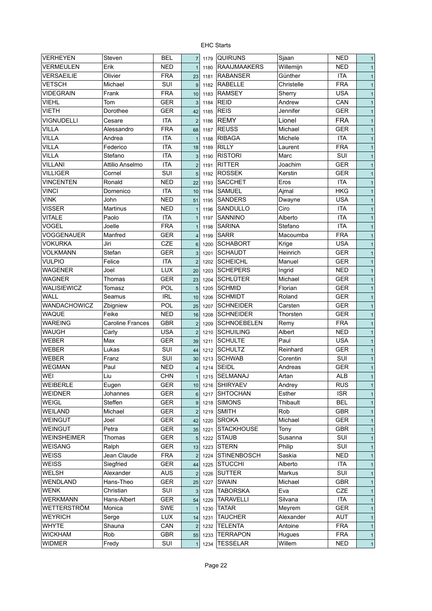| VERHEYEN           | Steven                  | <b>BEL</b>        | $\overline{7}$  | 1179 | <b>QUIRIJNS</b>     | Sjaan      | <b>NED</b>               | $\mathbf{1}$ |
|--------------------|-------------------------|-------------------|-----------------|------|---------------------|------------|--------------------------|--------------|
| <b>VERMEULEN</b>   | Erik                    | <b>NED</b>        | $\overline{1}$  | 1180 | <b>RAAIJMAAKERS</b> | Willemijn  | <b>NED</b>               | $\mathbf{1}$ |
| VERSAEILIE         | Olivier                 | <b>FRA</b>        | 23              | 1181 | <b>RABANSER</b>     | Günther    | <b>ITA</b>               | $\mathbf{1}$ |
| <b>VETSCH</b>      | Michael                 | SUI               | 9               | 1182 | <b>RABELLE</b>      | Christelle | <b>FRA</b>               | $\mathbf{1}$ |
| <b>VIDEGRAIN</b>   | Frank                   | <b>FRA</b>        | 10              | 1183 | <b>RAMSEY</b>       | Sherry     | <b>USA</b>               | $\mathbf{1}$ |
| <b>VIEHL</b>       | Tom                     | <b>GER</b>        | $\mathbf{3}$    | 1184 | <b>REID</b>         | Andrew     | CAN                      | $\mathbf{1}$ |
| <b>VIETH</b>       | Dorothee                | <b>GER</b>        | 42              | 1185 | <b>REIS</b>         | Jennifer   | <b>GER</b>               | $\mathbf{1}$ |
| VIGNUDELLI         | Cesare                  | <b>ITA</b>        | $\overline{2}$  | 1186 | <b>REMY</b>         | Lionel     | <b>FRA</b>               | $\mathbf{1}$ |
| <b>VILLA</b>       | Alessandro              | <b>FRA</b>        | 68              | 1187 | <b>REUSS</b>        | Michael    | <b>GER</b>               | $\mathbf{1}$ |
| <b>VILLA</b>       | Andrea                  | <b>ITA</b>        | $\mathbf{1}$    | 1188 | <b>RIBAGA</b>       | Michele    | <b>ITA</b>               | $\mathbf{1}$ |
| <b>VILLA</b>       | Federico                | <b>ITA</b>        | 18              | 1189 | <b>RILLY</b>        | Laurent    | <b>FRA</b>               | $\mathbf{1}$ |
| <b>VILLA</b>       | Stefano                 | <b>ITA</b>        | 3               | 1190 | <b>RISTORI</b>      | Marc       | SUI                      | $\mathbf{1}$ |
| <b>VILLANI</b>     | Attilio Anselmo         | <b>ITA</b>        | $\overline{2}$  | 1191 | <b>RITTER</b>       | Joachim    | <b>GER</b>               | $\mathbf{1}$ |
| <b>VILLIGER</b>    | Cornel                  | <b>SUI</b>        | 5               | 1192 | <b>ROSSEK</b>       | Kerstin    | <b>GER</b>               | $\mathbf{1}$ |
| <b>VINCENTEN</b>   | Ronald                  | <b>NED</b>        | 22              | 1193 | <b>SACCHET</b>      | Eros       | <b>ITA</b>               | $\mathbf{1}$ |
| <b>VINCI</b>       | Domenico                | <b>ITA</b>        | 10              | 1194 | <b>SAMUEL</b>       | Ajmal      | <b>HKG</b>               | $\mathbf{1}$ |
| <b>VINK</b>        | John                    | <b>NED</b>        | 51              | 1195 | <b>SANDERS</b>      | Dwayne     | <b>USA</b>               | $\mathbf{1}$ |
| <b>VISSER</b>      | <b>Martinus</b>         | <b>NED</b>        | $\mathbf{1}$    | 1196 | SANDULLO            | Ciro       | <b>ITA</b>               | $\mathbf{1}$ |
| <b>VITALE</b>      | Paolo                   | <b>ITA</b>        | $\mathbf{1}$    | 1197 | SANNINO             | Alberto    | <b>ITA</b>               | $\mathbf{1}$ |
| <b>VOGEL</b>       | Joelle                  | <b>FRA</b>        | $\mathbf{1}$    | 1198 | <b>SARINA</b>       | Stefano    | <b>ITA</b>               | $\mathbf{1}$ |
| <b>VOGGENAUER</b>  | Manfred                 | <b>GER</b>        | $\overline{4}$  | 1199 | <b>SARR</b>         | Macoumba   | <b>FRA</b>               | $\mathbf{1}$ |
| <b>VOKURKA</b>     | Jiri                    | CZE               | $6\phantom{1}6$ | 1200 | <b>SCHABORT</b>     | Krige      | <b>USA</b>               | $\mathbf{1}$ |
| <b>VOLKMANN</b>    | Stefan                  | <b>GER</b>        | 3               | 1201 | <b>SCHAUDT</b>      | Heinrich   | <b>GER</b>               | $\mathbf{1}$ |
| <b>VULPIO</b>      | Felice                  | <b>ITA</b>        | $\overline{2}$  | 1202 | <b>SCHEICHL</b>     | Manuel     | <b>GER</b>               | $\mathbf{1}$ |
| <b>WAGENER</b>     | Joel                    | <b>LUX</b>        | 20              |      | <b>SCHEPERS</b>     | Ingrid     | <b>NED</b>               |              |
| <b>WAGNER</b>      | Thomas                  | <b>GER</b>        |                 | 1203 | <b>SCHLÜTER</b>     | Michael    | <b>GER</b>               | $\mathbf{1}$ |
| WALISIEWICZ        |                         |                   | 23              | 1204 | <b>SCHMID</b>       | Florian    |                          | $\mathbf{1}$ |
| <b>WALL</b>        | Tomasz                  | POL<br><b>IRL</b> | 5               | 1205 | <b>SCHMIDT</b>      | Roland     | <b>GER</b><br><b>GER</b> | $\mathbf{1}$ |
|                    | Seamus                  |                   | 10              | 1206 |                     |            |                          | $\mathbf{1}$ |
| WANDACHOWICZ       | Zbigniew                | <b>POL</b>        | 25              | 1207 | <b>SCHNEIDER</b>    | Carsten    | <b>GER</b>               | $\mathbf{1}$ |
| <b>WAQUE</b>       | Feike                   | <b>NED</b>        | 16              | 1208 | <b>SCHNEIDER</b>    | Thorsten   | <b>GER</b>               | $\mathbf{1}$ |
| <b>WAREING</b>     | <b>Caroline Frances</b> | <b>GBR</b>        | $\overline{2}$  | 1209 | <b>SCHNOEBELEN</b>  | Remy       | <b>FRA</b>               | $\mathbf{1}$ |
| <b>WAUGH</b>       | Carly                   | <b>USA</b>        | $\overline{2}$  | 1210 | <b>SCHUILING</b>    | Albert     | <b>NED</b>               | $\mathbf{1}$ |
| <b>WEBER</b>       | Max                     | <b>GER</b>        | 39              | 1211 | <b>SCHULTE</b>      | Paul       | <b>USA</b>               | $\mathbf{1}$ |
| <b>WEBER</b>       | Lukas                   | SUI               | 44              | 1212 | <b>SCHULTZ</b>      | Reinhard   | <b>GER</b>               | $\mathbf{1}$ |
| <b>WEBER</b>       | Franz                   | SUI               | 30              | 1213 | <b>SCHWAB</b>       | Corentin   | SUI                      | $\mathbf{1}$ |
| <b>WEGMAN</b>      | Paul                    | <b>NED</b>        | $\overline{4}$  | 1214 | <b>SEIDL</b>        | Andreas    | <b>GER</b>               | $\mathbf{1}$ |
| WEI                | Liu                     | <b>CHN</b>        | 1               |      | 1215 SELMANAJ       | Artan      | <b>ALB</b>               | $\mathbf{1}$ |
| <b>WEIBERLE</b>    | Eugen                   | <b>GER</b>        | 10 <sup>1</sup> | 1216 | <b>SHIRYAEV</b>     | Andrey     | <b>RUS</b>               | $\mathbf{1}$ |
| <b>WEIDNER</b>     | Johannes                | <b>GER</b>        | $6\phantom{1}6$ | 1217 | <b>SHTOCHAN</b>     | Esther     | <b>ISR</b>               | $\mathbf{1}$ |
| <b>WEIGL</b>       | Steffen                 | GER               | $9\,$           | 1218 | <b>SIMONS</b>       | Thibault   | <b>BEL</b>               | $\mathbf{1}$ |
| <b>WEILAND</b>     | Michael                 | GER               | $\overline{2}$  | 1219 | <b>SMITH</b>        | Rob        | GBR                      | $\mathbf{1}$ |
| <b>WEINGUT</b>     | Joel                    | GER               | 42              | 1220 | <b>SROKA</b>        | Michael    | GER                      | $\mathbf{1}$ |
| <b>WEINGUT</b>     | Petra                   | <b>GER</b>        | 35              | 1221 | <b>STACKHOUSE</b>   | Tony       | GBR                      | $\mathbf{1}$ |
| <b>WEINSHEIMER</b> | Thomas                  | <b>GER</b>        | $\overline{5}$  | 1222 | <b>STAUB</b>        | Susanna    | SUI                      | $\mathbf{1}$ |
| <b>WEISANG</b>     | Ralph                   | <b>GER</b>        | 13              | 1223 | <b>STERN</b>        | Philip     | SUI                      | $\mathbf{1}$ |
| <b>WEISS</b>       | Jean Claude             | <b>FRA</b>        | $\overline{2}$  | 1224 | <b>STINENBOSCH</b>  | Saskia     | <b>NED</b>               | $\mathbf{1}$ |
| <b>WEISS</b>       | Siegfried               | <b>GER</b>        | 44              | 1225 | <b>STUCCHI</b>      | Alberto    | <b>ITA</b>               | $\mathbf{1}$ |
| <b>WELSH</b>       | Alexander               | <b>AUS</b>        | $\overline{c}$  | 1226 | <b>SUTTER</b>       | Markus     | SUI                      | $\mathbf{1}$ |
| WENDLAND           | Hans-Theo               | <b>GER</b>        | 25              | 1227 | <b>SWAIN</b>        | Michael    | <b>GBR</b>               | $\mathbf{1}$ |
| <b>WENK</b>        | Christian               | SUI               | 3               | 1228 | <b>TABORSKA</b>     | Eva        | CZE                      | $\mathbf{1}$ |
| <b>WERKMANN</b>    | Hans-Albert             | <b>GER</b>        | 54              | 1229 | <b>TARAVELLI</b>    | Silvana    | ITA                      | $\mathbf{1}$ |
| <b>WETTERSTRÖM</b> | Monica                  | SWE               | $\mathbf{1}$    | 1230 | <b>TATAR</b>        | Meyrem     | <b>GER</b>               | $\mathbf{1}$ |
| <b>WEYRICH</b>     | Serge                   | <b>LUX</b>        | 14              | 1231 | <b>TAUCHER</b>      | Alexander  | <b>AUT</b>               | $\mathbf{1}$ |
| <b>WHYTE</b>       | Shauna                  | CAN               | $\overline{2}$  | 1232 | <b>TELENTA</b>      | Antoine    | <b>FRA</b>               | $\mathbf{1}$ |
| <b>WICKHAM</b>     | Rob                     | <b>GBR</b>        | 55              | 1233 | <b>TERRAPON</b>     | Hugues     | <b>FRA</b>               | $\mathbf{1}$ |
| <b>WIDMER</b>      | Fredy                   | SUI               | $\mathbf{1}$    | 1234 | <b>TESSELAR</b>     | Willem     | <b>NED</b>               | $\mathbf{1}$ |
|                    |                         |                   |                 |      |                     |            |                          |              |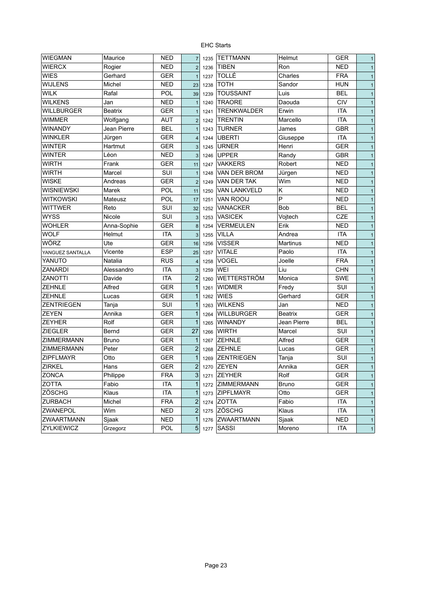| <b>WIEGMAN</b>    | Maurice        | <b>NED</b> | $\overline{7}$ | 1235 | <b>TETTMANN</b>     | Helmut         | <b>GER</b> | $\mathbf{1}$ |
|-------------------|----------------|------------|----------------|------|---------------------|----------------|------------|--------------|
| <b>WIERCX</b>     | Rogier         | NED        | $\overline{2}$ | 1236 | <b>TIBEN</b>        | Ron            | <b>NED</b> | $\mathbf{1}$ |
| <b>WIES</b>       | Gerhard        | GER        | $\mathbf{1}$   | 1237 | <b>TOLLÉ</b>        | Charles        | <b>FRA</b> | $\mathbf{1}$ |
| <b>WIJLENS</b>    | Michel         | NED        | 23             | 1238 | <b>TOTH</b>         | Sandor         | <b>HUN</b> | $\mathbf{1}$ |
| <b>WILK</b>       | Rafal          | POL        | 39             | 1239 | <b>TOUSSAINT</b>    | Luis           | <b>BEL</b> | $\mathbf{1}$ |
| <b>WILKENS</b>    | Jan            | <b>NED</b> |                | 1240 | <b>TRAORE</b>       | Daouda         | <b>CIV</b> | $\mathbf{1}$ |
| <b>WILLBURGER</b> | <b>Beatrix</b> | GER        |                | 1241 | <b>TRENKWALDER</b>  | Erwin          | <b>ITA</b> | $\mathbf{1}$ |
| <b>WIMMER</b>     | Wolfgang       | <b>AUT</b> | $\overline{2}$ | 1242 | <b>TRENTIN</b>      | Marcello       | <b>ITA</b> | $\mathbf{1}$ |
| <b>WINANDY</b>    | Jean Pierre    | <b>BEL</b> |                | 1243 | <b>TURNER</b>       | James          | <b>GBR</b> | $\mathbf{1}$ |
| <b>WINKLER</b>    | Jürgen         | <b>GER</b> | $\overline{4}$ | 1244 | <b>UBERTI</b>       | Giuseppe       | <b>ITA</b> | $\mathbf{1}$ |
| <b>WINTER</b>     | Hartmut        | <b>GER</b> | 3              | 1245 | <b>URNER</b>        | Henri          | <b>GER</b> | $\mathbf{1}$ |
| <b>WINTER</b>     | Léon           | <b>NED</b> | 3              | 1246 | <b>UPPER</b>        | Randy          | GBR        | $\mathbf{1}$ |
| <b>WIRTH</b>      | Frank          | <b>GER</b> | 11             | 1247 | <b>VAKKERS</b>      | Robert         | <b>NED</b> | $\mathbf{1}$ |
| <b>WIRTH</b>      | Marcel         | SUI        | $\overline{1}$ | 1248 | VAN DER BROM        | Jürgen         | <b>NED</b> | $\mathbf{1}$ |
| <b>WISKE</b>      | Andreas        | <b>GER</b> | $\overline{2}$ | 1249 | VAN DER TAK         | Wim            | <b>NED</b> | $\mathbf{1}$ |
| <b>WISNIEWSKI</b> | Marek          | <b>POL</b> | 11             | 1250 | <b>VAN LANKVELD</b> | Κ              | <b>NED</b> | $\mathbf{1}$ |
| <b>WITKOWSKI</b>  | Mateusz        | <b>POL</b> | 17             | 1251 | <b>VAN ROOIJ</b>    | P              | <b>NED</b> | $\mathbf{1}$ |
| <b>WITTWER</b>    | Reto           | SUI        | 32             | 1252 | <b>VANACKER</b>     | <b>Bob</b>     | <b>BEL</b> | $\mathbf{1}$ |
| <b>WYSS</b>       | Nicole         | SUI        | 3              | 1253 | <b>VASICEK</b>      | Vojtech        | CZE        | $\mathbf{1}$ |
| <b>WOHLER</b>     | Anna-Sophie    | <b>GER</b> | 8              | 1254 | <b>VERMEULEN</b>    | Erik           | <b>NED</b> | $\mathbf{1}$ |
| <b>WOLF</b>       | Helmut         | <b>ITA</b> | $\mathbf{3}$   | 1255 | <b>VILLA</b>        | Andrea         | <b>ITA</b> | $\mathbf{1}$ |
| <b>WÖRZ</b>       | Ute            | GER        | 16             | 1256 | <b>VISSER</b>       | Martinus       | <b>NED</b> | $\mathbf{1}$ |
| YANGUEZ SANTALLA  | Vicente        | <b>ESP</b> | 25             | 1257 | <b>VITALE</b>       | Paolo          | <b>ITA</b> | $\mathbf{1}$ |
| YANUTO            | Natalia        | <b>RUS</b> | $\overline{4}$ | 1258 | <b>VOGEL</b>        | Joelle         | <b>FRA</b> | $\mathbf{1}$ |
| <b>ZANARDI</b>    | Alessandro     | <b>ITA</b> | 3              | 1259 | WEI                 | Liu            | <b>CHN</b> | $\mathbf{1}$ |
| <b>ZANOTTI</b>    | Davide         | <b>ITA</b> | $\overline{2}$ | 1260 | <b>WETTERSTRÖM</b>  | Monica         | <b>SWE</b> | $\mathbf{1}$ |
| <b>ZEHNLE</b>     | Alfred         | <b>GER</b> | $\mathbf{1}$   | 1261 | <b>WIDMER</b>       | Fredy          | SUI        | $\mathbf{1}$ |
| <b>ZEHNLE</b>     | Lucas          | GER        | $\mathbf{1}$   | 1262 | <b>WIES</b>         | Gerhard        | <b>GER</b> | $\mathbf{1}$ |
| <b>ZENTRIEGEN</b> | Tanja          | SUI        | $\mathbf{1}$   | 1263 | <b>WILKENS</b>      | Jan            | <b>NED</b> | $\mathbf{1}$ |
| <b>ZEYEN</b>      | Annika         | <b>GER</b> | $\mathbf{1}$   | 1264 | <b>WILLBURGER</b>   | <b>Beatrix</b> | <b>GER</b> | $\mathbf{1}$ |
| <b>ZEYHER</b>     | Rolf           | GER        | $\mathbf{1}$   | 1265 | <b>WINANDY</b>      | Jean Pierre    | <b>BEL</b> | $\mathbf{1}$ |
| <b>ZIEGLER</b>    | Bernd          | <b>GER</b> | 27             | 1266 | <b>WIRTH</b>        | Marcel         | SUI        | $\mathbf{1}$ |
| <b>ZIMMERMANN</b> | <b>Bruno</b>   | GER        | $\mathbf{1}$   | 1267 | <b>ZEHNLE</b>       | Alfred         | <b>GER</b> | $\mathbf{1}$ |
| <b>ZIMMERMANN</b> | Peter          | GER        | $\overline{2}$ | 1268 | <b>ZEHNLE</b>       | Lucas          | <b>GER</b> | $\mathbf{1}$ |
| <b>ZIPFLMAYR</b>  | Otto           | <b>GER</b> | $\mathbf{1}$   | 1269 | <b>ZENTRIEGEN</b>   | Tanja          | SUI        | $\mathbf{1}$ |
| <b>ZIRKEL</b>     | Hans           | GER        | $\overline{2}$ | 1270 | <b>ZEYEN</b>        | Annika         | <b>GER</b> | 1            |
| <b>ZONCA</b>      | Philippe       | <b>FRA</b> | 3 <sup>1</sup> | 1271 | <b>ZEYHER</b>       | Rolf           | <b>GER</b> | $\mathbf{1}$ |
| ZOTTA             | Fabio          | ITA        | $\mathbf{1}$   |      | 1272 ZIMMERMANN     | <b>Bruno</b>   | <b>GER</b> | $\mathbf{1}$ |
| ZÖSCHG            | Klaus          | <b>ITA</b> | $\mathbf{1}$   | 1273 | <b>ZIPFLMAYR</b>    | Otto           | <b>GER</b> | $\mathbf{1}$ |
| <b>ZURBACH</b>    | Michel         | <b>FRA</b> | $\sqrt{2}$     |      | 1274 ZOTTA          | Fabio          | <b>ITA</b> | $\mathbf{1}$ |
| ZWANEPOL          | Wim            | NED        | $\overline{c}$ |      | $1275$ ZÖSCHG       | Klaus          | <b>ITA</b> | $\mathbf{1}$ |
| ZWAARTMANN        | Sjaak          | <b>NED</b> | $\mathbf 1$    | 1276 | <b>ZWAARTMANN</b>   | Sjaak          | <b>NED</b> | $\mathbf{1}$ |
| ZYLKIEWICZ        | Grzegorz       | <b>POL</b> | 5 <sup>5</sup> | 1277 | SASSI               | Moreno         | <b>ITA</b> | $\mathbf{1}$ |